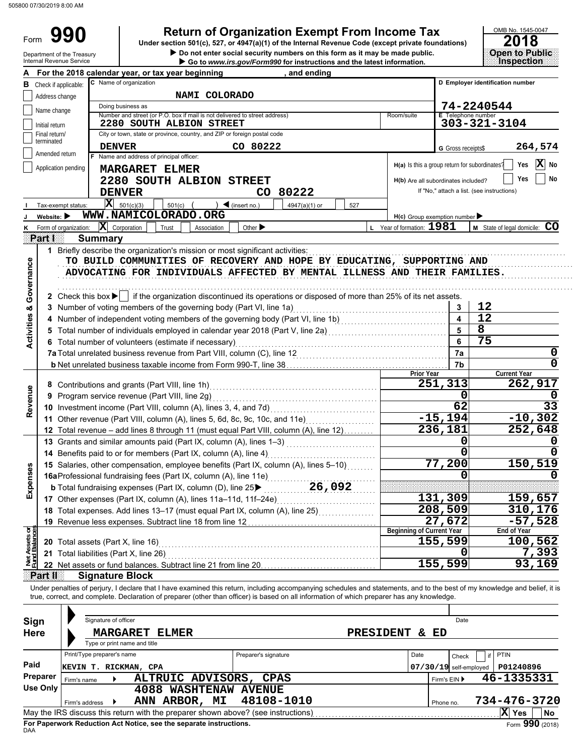Form

Department of the Treasury

# **990 2018 2018 2018 2018 2018 2018 2018 2018 2018 2018 2018 2018 2018 2018 2018 2018 2018 2018 2018 2018 2018 2018 2018 2018 2018 2018 2018 2018 2018 2018 2018**

**b** Do not enter social security numbers on this form as it may be made public. **Open to Public Under section 501(c), 527, or 4947(a)(1) of the Internal Revenue Code (except private foundations)**

| OMB No. 1545-0047 |
|-------------------|
| 2018              |
| menna<br>m<br>n.  |
|                   |

|                                | Internal Revenue Service       |                            |                                                                                                                                            |               |                                   | Go to www.irs.gov/Form990 for instructions and the latest information. |     |                                                     |                    | Inspection                                                                                                                                                                 |
|--------------------------------|--------------------------------|----------------------------|--------------------------------------------------------------------------------------------------------------------------------------------|---------------|-----------------------------------|------------------------------------------------------------------------|-----|-----------------------------------------------------|--------------------|----------------------------------------------------------------------------------------------------------------------------------------------------------------------------|
|                                |                                |                            | For the 2018 calendar year, or tax year beginning                                                                                          |               |                                   | , and ending                                                           |     |                                                     |                    |                                                                                                                                                                            |
|                                | <b>B</b> Check if applicable:  |                            | C Name of organization                                                                                                                     |               |                                   |                                                                        |     |                                                     |                    | D Employer identification number                                                                                                                                           |
|                                | Address change                 |                            |                                                                                                                                            | NAMI COLORADO |                                   |                                                                        |     |                                                     |                    |                                                                                                                                                                            |
|                                |                                |                            | Doing business as                                                                                                                          |               |                                   |                                                                        |     |                                                     |                    | 74-2240544                                                                                                                                                                 |
|                                | Name change                    |                            | Number and street (or P.O. box if mail is not delivered to street address)                                                                 |               |                                   |                                                                        |     | Room/suite                                          |                    | <b>E</b> Telephone number                                                                                                                                                  |
|                                | Initial return                 |                            | 2280 SOUTH ALBION STREET                                                                                                                   |               |                                   |                                                                        |     |                                                     |                    | $303 - 321 - 3104$                                                                                                                                                         |
|                                | Final return/                  |                            | City or town, state or province, country, and ZIP or foreign postal code                                                                   |               |                                   |                                                                        |     |                                                     |                    |                                                                                                                                                                            |
|                                | terminated                     |                            | <b>DENVER</b>                                                                                                                              |               | CO 80222                          |                                                                        |     |                                                     | G Gross receipts\$ | 264,574                                                                                                                                                                    |
|                                | Amended return                 |                            | F Name and address of principal officer:                                                                                                   |               |                                   |                                                                        |     |                                                     |                    |                                                                                                                                                                            |
|                                | Application pending            |                            | <b>MARGARET ELMER</b>                                                                                                                      |               |                                   |                                                                        |     | H(a) Is this a group return for subordinates?       |                    | X No<br>Yes                                                                                                                                                                |
|                                |                                |                            | 2280 SOUTH ALBION STREET                                                                                                                   |               |                                   |                                                                        |     | H(b) Are all subordinates included?                 |                    | No<br>Yes                                                                                                                                                                  |
|                                |                                |                            | <b>DENVER</b>                                                                                                                              |               |                                   | CO 80222                                                               |     |                                                     |                    | If "No," attach a list. (see instructions)                                                                                                                                 |
|                                |                                |                            |                                                                                                                                            |               |                                   |                                                                        |     |                                                     |                    |                                                                                                                                                                            |
|                                | Tax-exempt status:             |                            | $X = 501(c)(3)$<br>$501(c)$ (                                                                                                              |               | $\blacktriangleleft$ (insert no.) | 4947(a)(1) or                                                          | 527 |                                                     |                    |                                                                                                                                                                            |
|                                | Website: $\blacktriangleright$ |                            | WWW.NAMICOLORADO.ORG                                                                                                                       |               |                                   |                                                                        |     | $H(c)$ Group exemption number $\blacktriangleright$ |                    |                                                                                                                                                                            |
|                                | Form of organization:          |                            | $ \mathbf{X} $ Corporation<br>Trust                                                                                                        | Association   | Other $\blacktriangleright$       |                                                                        |     | L Year of formation: 1981                           |                    | M State of legal domicile: CO                                                                                                                                              |
|                                | Part I                         | <b>Summary</b>             |                                                                                                                                            |               |                                   |                                                                        |     |                                                     |                    |                                                                                                                                                                            |
|                                |                                |                            | 1 Briefly describe the organization's mission or most significant activities:                                                              |               |                                   |                                                                        |     |                                                     |                    |                                                                                                                                                                            |
|                                |                                |                            | TO BUILD COMMUNITIES OF RECOVERY AND HOPE BY EDUCATING, SUPPORTING AND                                                                     |               |                                   |                                                                        |     |                                                     |                    |                                                                                                                                                                            |
|                                |                                |                            | ADVOCATING FOR INDIVIDUALS AFFECTED BY MENTAL ILLNESS AND THEIR FAMILIES.                                                                  |               |                                   |                                                                        |     |                                                     |                    |                                                                                                                                                                            |
|                                |                                |                            |                                                                                                                                            |               |                                   |                                                                        |     |                                                     |                    |                                                                                                                                                                            |
| Governance                     |                                |                            | 2 Check this box $\blacktriangleright$   if the organization discontinued its operations or disposed of more than 25% of its net assets.   |               |                                   |                                                                        |     |                                                     |                    |                                                                                                                                                                            |
|                                |                                |                            |                                                                                                                                            |               |                                   |                                                                        |     |                                                     |                    |                                                                                                                                                                            |
|                                |                                |                            | 3 Number of voting members of the governing body (Part VI, line 1a)                                                                        |               |                                   |                                                                        |     |                                                     | 3                  | 12                                                                                                                                                                         |
|                                |                                |                            | 4 Number of independent voting members of the governing body (Part VI, line 1b)                                                            |               |                                   |                                                                        |     |                                                     |                    | 12                                                                                                                                                                         |
| <b>Activities &amp;</b>        |                                |                            | 5 Total number of individuals employed in calendar year 2018 (Part V, line 2a)                                                             |               |                                   |                                                                        |     |                                                     | 5                  | 8                                                                                                                                                                          |
|                                |                                |                            | 6 Total number of volunteers (estimate if necessary)                                                                                       |               |                                   |                                                                        |     |                                                     | 6                  | 75                                                                                                                                                                         |
|                                |                                |                            | 7a Total unrelated business revenue from Part VIII, column (C), line 12                                                                    |               |                                   |                                                                        |     |                                                     | 7a                 | 0                                                                                                                                                                          |
|                                |                                |                            |                                                                                                                                            |               |                                   |                                                                        |     |                                                     | 7b                 |                                                                                                                                                                            |
|                                |                                |                            |                                                                                                                                            |               |                                   |                                                                        |     | Prior Year                                          |                    | <b>Current Year</b>                                                                                                                                                        |
|                                |                                |                            | 8 Contributions and grants (Part VIII, line 1h)                                                                                            |               |                                   |                                                                        |     |                                                     | 251,313            | 262,917                                                                                                                                                                    |
| Revenue                        |                                |                            | 9 Program service revenue (Part VIII, line 2g)                                                                                             |               |                                   |                                                                        |     |                                                     | 0                  |                                                                                                                                                                            |
|                                |                                |                            | 10 Investment income (Part VIII, column (A), lines 3, 4, and 7d)                                                                           |               |                                   |                                                                        |     |                                                     | 62                 | 33                                                                                                                                                                         |
|                                |                                |                            | 11 Other revenue (Part VIII, column (A), lines 5, 6d, 8c, 9c, 10c, and 11e)                                                                |               |                                   |                                                                        |     |                                                     | $-15, 194$         | $-10,302$                                                                                                                                                                  |
|                                |                                |                            | 12 Total revenue - add lines 8 through 11 (must equal Part VIII, column (A), line 12)                                                      |               |                                   |                                                                        |     |                                                     | 236,181            | 252,648                                                                                                                                                                    |
|                                |                                |                            | 13 Grants and similar amounts paid (Part IX, column (A), lines 1-3)                                                                        |               |                                   |                                                                        |     |                                                     | 0                  |                                                                                                                                                                            |
|                                |                                |                            | 14 Benefits paid to or for members (Part IX, column (A), line 4)                                                                           |               |                                   |                                                                        |     |                                                     | 0                  |                                                                                                                                                                            |
|                                |                                |                            |                                                                                                                                            |               |                                   |                                                                        |     |                                                     | 77,200             | 150,519                                                                                                                                                                    |
|                                |                                |                            | 15 Salaries, other compensation, employee benefits (Part IX, column (A), lines 5-10)                                                       |               |                                   |                                                                        |     |                                                     |                    |                                                                                                                                                                            |
| enses                          |                                |                            |                                                                                                                                            |               |                                   |                                                                        |     |                                                     | 0                  | 0                                                                                                                                                                          |
| Exp                            |                                |                            | 15 Salaries, other compensation, employeer.<br>16aProfessional fundraising fees (Part IX, column (A), line 11e)<br>26, 092                 |               |                                   |                                                                        |     |                                                     |                    |                                                                                                                                                                            |
|                                |                                |                            | 17 Other expenses (Part IX, column (A), lines 11a-11d, 11f-24e)                                                                            |               |                                   |                                                                        |     |                                                     | 131,309            | 159,657                                                                                                                                                                    |
|                                |                                |                            | 18 Total expenses. Add lines 13-17 (must equal Part IX, column (A), line 25)                                                               |               |                                   |                                                                        |     |                                                     | 208,509            | 310,176                                                                                                                                                                    |
|                                |                                |                            | 19 Revenue less expenses. Subtract line 18 from line 12                                                                                    |               |                                   |                                                                        |     |                                                     | 27,672             | $-57,528$                                                                                                                                                                  |
| Net Assets or<br>Fund Balances |                                |                            |                                                                                                                                            |               |                                   |                                                                        |     | <b>Beginning of Current Year</b>                    |                    | <b>End of Year</b>                                                                                                                                                         |
|                                |                                |                            | 20 Total assets (Part X, line 16)                                                                                                          |               |                                   |                                                                        |     | 155,599                                             |                    | 100, 562                                                                                                                                                                   |
|                                |                                |                            | 21 Total liabilities (Part X, line 26)                                                                                                     |               |                                   |                                                                        |     |                                                     | O                  | 7,393                                                                                                                                                                      |
|                                |                                |                            |                                                                                                                                            |               |                                   |                                                                        |     |                                                     | 155,599            | 93,169                                                                                                                                                                     |
|                                | Part II                        |                            | <b>Signature Block</b>                                                                                                                     |               |                                   |                                                                        |     |                                                     |                    |                                                                                                                                                                            |
|                                |                                |                            |                                                                                                                                            |               |                                   |                                                                        |     |                                                     |                    | Under penalties of perjury, I declare that I have examined this return, including accompanying schedules and statements, and to the best of my knowledge and belief, it is |
|                                |                                |                            | true, correct, and complete. Declaration of preparer (other than officer) is based on all information of which preparer has any knowledge. |               |                                   |                                                                        |     |                                                     |                    |                                                                                                                                                                            |
|                                |                                |                            |                                                                                                                                            |               |                                   |                                                                        |     |                                                     |                    |                                                                                                                                                                            |
| Sign                           |                                | Signature of officer       |                                                                                                                                            |               |                                   |                                                                        |     |                                                     | Date               |                                                                                                                                                                            |
|                                |                                |                            |                                                                                                                                            |               |                                   |                                                                        |     |                                                     |                    |                                                                                                                                                                            |
| <b>Here</b>                    |                                |                            | <b>MARGARET</b><br><b>ELMER</b>                                                                                                            |               |                                   |                                                                        |     | <b>PRESIDENT</b><br>& ED                            |                    |                                                                                                                                                                            |
|                                |                                |                            | Type or print name and title                                                                                                               |               |                                   |                                                                        |     |                                                     |                    |                                                                                                                                                                            |
|                                |                                | Print/Type preparer's name |                                                                                                                                            |               | Preparer's signature              |                                                                        |     | Date                                                | Check              | <b>PTIN</b><br>if                                                                                                                                                          |
| Paid                           |                                |                            | KEVIN T. RICKMAN, CPA                                                                                                                      |               |                                   |                                                                        |     | $07/30/19$ self-employed                            |                    | P01240896                                                                                                                                                                  |
|                                | Preparer                       | Firm's name                | ALTRUIC ADVISORS, CPAS                                                                                                                     |               |                                   |                                                                        |     |                                                     | Firm's EIN ▶       | 46-1335331                                                                                                                                                                 |
|                                | <b>Use Only</b>                |                            | <b>4088 WASHTENAW AVENUE</b>                                                                                                               |               |                                   |                                                                        |     |                                                     |                    |                                                                                                                                                                            |
|                                |                                | Firm's address             | ANN ARBOR, MI                                                                                                                              |               | 48108-1010                        |                                                                        |     |                                                     | Phone no.          | 734-476-3720                                                                                                                                                               |
|                                |                                |                            | May the IRS discuss this return with the preparer shown above? (see instructions)                                                          |               |                                   |                                                                        |     |                                                     |                    | $ X $ Yes<br>No                                                                                                                                                            |

| Sign<br><b>Here</b> | Signature of officer<br><b>MARGARET</b><br><b>ELMER</b>                           | <b>PRESIDENT</b>     | &.   | ED           | Date                     |                             |                 |
|---------------------|-----------------------------------------------------------------------------------|----------------------|------|--------------|--------------------------|-----------------------------|-----------------|
|                     | Type or print name and title<br>Print/Type preparer's name                        | Preparer's signature | Date |              | Check                    | <b>PTIN</b>                 |                 |
| Paid                | KEVIN T.<br>RICKMAN, CPA                                                          |                      |      |              | $07/30/19$ self-employed | P01240896                   |                 |
| Preparer            | ALTRUIC ADVISORS,<br>Firm's name                                                  | <b>CPAS</b>          |      | Firm's $EIN$ |                          | 46-1335331                  |                 |
| Use Only            | <b>WASHTENAW AVENUE</b><br>4088                                                   |                      |      |              |                          |                             |                 |
|                     | ANN ARBOR, MI<br>Firm's address                                                   | 48108-1010           |      | Phone no.    |                          | 734-476-3720                |                 |
|                     | May the IRS discuss this return with the preparer shown above? (see instructions) |                      |      |              |                          | $\mathbf{\overline{X}}$ Yes | No.             |
| <b>DAA</b>          | For Paperwork Reduction Act Notice, see the separate instructions.                |                      |      |              |                          |                             | Form 990 (2018) |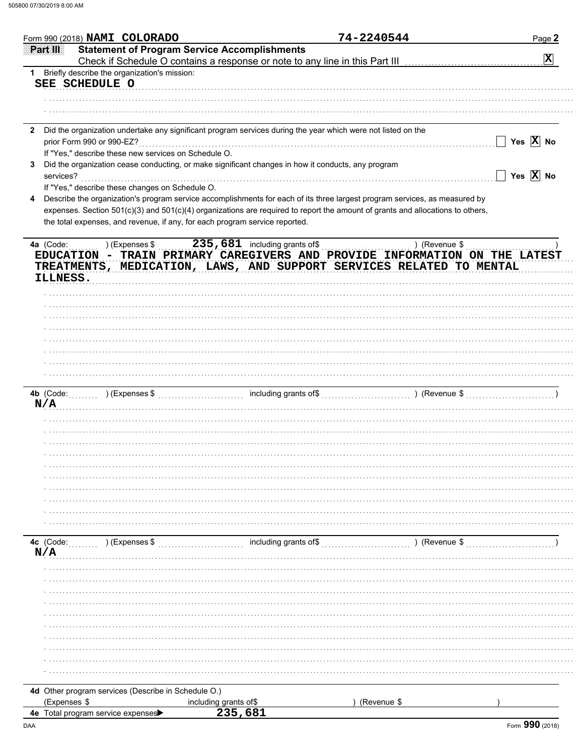|                                  | Form 990 (2018) NAMI COLORADO                        |                                                                                                              | 74-2240544                                                                                                                                         | Page 2                      |
|----------------------------------|------------------------------------------------------|--------------------------------------------------------------------------------------------------------------|----------------------------------------------------------------------------------------------------------------------------------------------------|-----------------------------|
| Part III                         |                                                      | <b>Statement of Program Service Accomplishments</b>                                                          |                                                                                                                                                    |                             |
|                                  |                                                      |                                                                                                              | Check if Schedule O contains a response or note to any line in this Part III [11] [11] [11] [11] [11] [11] [1                                      | $ \mathbf{X} $              |
| 1                                | Briefly describe the organization's mission:         |                                                                                                              |                                                                                                                                                    |                             |
|                                  | SEE SCHEDULE O                                       |                                                                                                              |                                                                                                                                                    |                             |
|                                  |                                                      |                                                                                                              |                                                                                                                                                    |                             |
|                                  |                                                      |                                                                                                              |                                                                                                                                                    |                             |
|                                  |                                                      | Did the organization undertake any significant program services during the year which were not listed on the |                                                                                                                                                    |                             |
| $\mathbf{2}$                     | prior Form 990 or 990-EZ?                            |                                                                                                              |                                                                                                                                                    | Yes $\overline{X}$ No       |
|                                  | If "Yes," describe these new services on Schedule O. |                                                                                                              |                                                                                                                                                    |                             |
|                                  |                                                      | Did the organization cease conducting, or make significant changes in how it conducts, any program           |                                                                                                                                                    |                             |
| services?                        |                                                      |                                                                                                              |                                                                                                                                                    | Yes $\boxed{\mathbf{X}}$ No |
|                                  | If "Yes," describe these changes on Schedule O.      |                                                                                                              |                                                                                                                                                    |                             |
|                                  |                                                      |                                                                                                              | Describe the organization's program service accomplishments for each of its three largest program services, as measured by                         |                             |
|                                  |                                                      | the total expenses, and revenue, if any, for each program service reported.                                  | expenses. Section 501(c)(3) and 501(c)(4) organizations are required to report the amount of grants and allocations to others,                     |                             |
| 4a (Code:                        | ) (Expenses \$                                       | 235,681 including grants of\$                                                                                | ) (Revenue \$                                                                                                                                      |                             |
| ILLNESS.                         |                                                      |                                                                                                              | EDUCATION - TRAIN PRIMARY CAREGIVERS AND PROVIDE INFORMATION ON THE LATEST<br>TREATMENTS, MEDICATION, LAWS, AND SUPPORT SERVICES RELATED TO MENTAL |                             |
|                                  |                                                      |                                                                                                              |                                                                                                                                                    |                             |
|                                  |                                                      |                                                                                                              |                                                                                                                                                    |                             |
|                                  |                                                      |                                                                                                              |                                                                                                                                                    |                             |
|                                  |                                                      |                                                                                                              |                                                                                                                                                    |                             |
|                                  |                                                      |                                                                                                              |                                                                                                                                                    |                             |
|                                  |                                                      |                                                                                                              |                                                                                                                                                    |                             |
|                                  |                                                      |                                                                                                              |                                                                                                                                                    |                             |
|                                  |                                                      |                                                                                                              |                                                                                                                                                    |                             |
|                                  |                                                      |                                                                                                              |                                                                                                                                                    |                             |
|                                  |                                                      |                                                                                                              |                                                                                                                                                    |                             |
| N/A                              |                                                      |                                                                                                              |                                                                                                                                                    |                             |
|                                  |                                                      |                                                                                                              |                                                                                                                                                    |                             |
|                                  |                                                      |                                                                                                              |                                                                                                                                                    |                             |
|                                  |                                                      |                                                                                                              |                                                                                                                                                    |                             |
|                                  |                                                      |                                                                                                              |                                                                                                                                                    |                             |
|                                  |                                                      |                                                                                                              |                                                                                                                                                    |                             |
|                                  |                                                      |                                                                                                              |                                                                                                                                                    |                             |
|                                  |                                                      |                                                                                                              |                                                                                                                                                    |                             |
|                                  |                                                      |                                                                                                              |                                                                                                                                                    |                             |
|                                  |                                                      |                                                                                                              |                                                                                                                                                    |                             |
|                                  |                                                      |                                                                                                              |                                                                                                                                                    |                             |
|                                  |                                                      |                                                                                                              |                                                                                                                                                    |                             |
|                                  |                                                      |                                                                                                              |                                                                                                                                                    |                             |
|                                  | ) (Expenses \$                                       | including grants of\$                                                                                        | (Revenue \$                                                                                                                                        |                             |
|                                  |                                                      |                                                                                                              |                                                                                                                                                    |                             |
|                                  |                                                      |                                                                                                              |                                                                                                                                                    |                             |
|                                  |                                                      |                                                                                                              |                                                                                                                                                    |                             |
|                                  |                                                      |                                                                                                              |                                                                                                                                                    |                             |
|                                  |                                                      |                                                                                                              |                                                                                                                                                    |                             |
|                                  |                                                      |                                                                                                              |                                                                                                                                                    |                             |
|                                  |                                                      |                                                                                                              |                                                                                                                                                    |                             |
|                                  |                                                      |                                                                                                              |                                                                                                                                                    |                             |
|                                  |                                                      |                                                                                                              |                                                                                                                                                    |                             |
|                                  |                                                      |                                                                                                              |                                                                                                                                                    |                             |
|                                  |                                                      |                                                                                                              |                                                                                                                                                    |                             |
|                                  |                                                      |                                                                                                              |                                                                                                                                                    |                             |
| 4c (Code:<br>N/A<br>(Expenses \$ | 4d Other program services (Describe in Schedule O.)  | including grants of\$                                                                                        | ) (Revenue \$                                                                                                                                      |                             |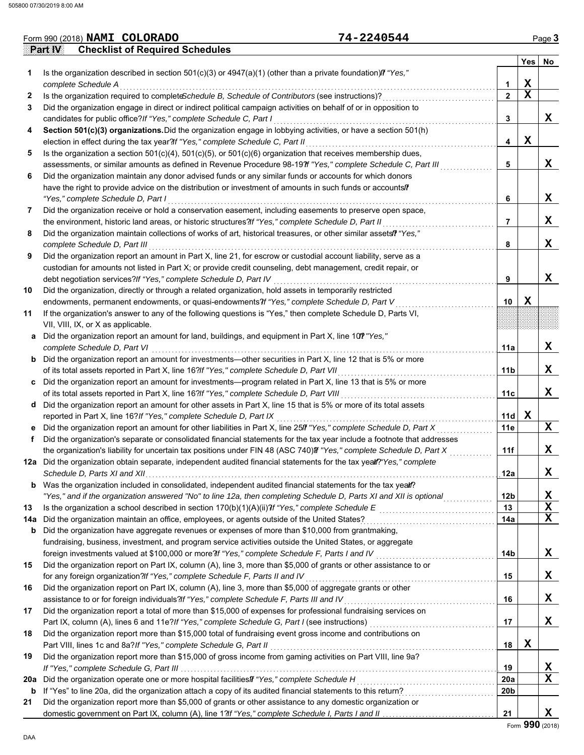|              | Part IV<br><b>Checklist of Required Schedules</b>                                                                                                                                                             |                 |             |    |
|--------------|---------------------------------------------------------------------------------------------------------------------------------------------------------------------------------------------------------------|-----------------|-------------|----|
|              |                                                                                                                                                                                                               |                 | <b>Yes</b>  | No |
| 1            | Is the organization described in section $501(c)(3)$ or $4947(a)(1)$ (other than a private foundation) $\hat{J}$ "Yes,"                                                                                       |                 |             |    |
|              | complete Schedule A                                                                                                                                                                                           | 1               | X           |    |
| $\mathbf{2}$ | Is the organization required to completeSchedule B, Schedule of Contributors (see instructions)?                                                                                                              | $\overline{2}$  | $\mathbf x$ |    |
| 3            | Did the organization engage in direct or indirect political campaign activities on behalf of or in opposition to                                                                                              |                 |             |    |
|              | candidates for public office? If "Yes," complete Schedule C, Part I                                                                                                                                           | 3               |             | X  |
| 4            | Section 501(c)(3) organizations. Did the organization engage in lobbying activities, or have a section 501(h)                                                                                                 |                 |             |    |
|              | election in effect during the tax year?If "Yes," complete Schedule C, Part II                                                                                                                                 | 4               | X           |    |
| 5            | Is the organization a section $501(c)(4)$ , $501(c)(5)$ , or $501(c)(6)$ organization that receives membership dues,                                                                                          |                 |             |    |
|              | assessments, or similar amounts as defined in Revenue Procedure 98-197f "Yes," complete Schedule C, Part III                                                                                                  | 5               |             | X  |
| 6            | Did the organization maintain any donor advised funds or any similar funds or accounts for which donors                                                                                                       |                 |             |    |
|              | have the right to provide advice on the distribution or investment of amounts in such funds or accounts <i>ff</i>                                                                                             |                 |             |    |
|              |                                                                                                                                                                                                               |                 |             | X  |
|              | "Yes," complete Schedule D, Part I                                                                                                                                                                            | 6               |             |    |
| 7            | Did the organization receive or hold a conservation easement, including easements to preserve open space,                                                                                                     |                 |             |    |
|              | the environment, historic land areas, or historic structures?If "Yes," complete Schedule D, Part II                                                                                                           | $\overline{7}$  |             | X  |
| 8            | Did the organization maintain collections of works of art, historical treasures, or other similar assets/f "Yes,"                                                                                             |                 |             |    |
|              | complete Schedule D, Part III                                                                                                                                                                                 | 8               |             | X  |
| 9            | Did the organization report an amount in Part X, line 21, for escrow or custodial account liability, serve as a                                                                                               |                 |             |    |
|              | custodian for amounts not listed in Part X; or provide credit counseling, debt management, credit repair, or                                                                                                  |                 |             |    |
|              | debt negotiation services?If "Yes," complete Schedule D, Part IV                                                                                                                                              | 9               |             | X  |
| 10           | Did the organization, directly or through a related organization, hold assets in temporarily restricted                                                                                                       |                 |             |    |
|              | endowments, permanent endowments, or quasi-endowments 7f "Yes," complete Schedule D, Part V                                                                                                                   | 10              | X           |    |
| 11           | If the organization's answer to any of the following questions is "Yes," then complete Schedule D, Parts VI,                                                                                                  |                 |             |    |
|              | VII, VIII, IX, or X as applicable.                                                                                                                                                                            |                 |             |    |
| a            | Did the organization report an amount for land, buildings, and equipment in Part X, line 10/? "Yes,"                                                                                                          |                 |             |    |
|              | complete Schedule D, Part VI                                                                                                                                                                                  | 11a             |             | X  |
| b            | Did the organization report an amount for investments—other securities in Part X, line 12 that is 5% or more                                                                                                  |                 |             |    |
|              | of its total assets reported in Part X, line 16?If "Yes," complete Schedule D, Part VII                                                                                                                       | 11b             |             | X  |
| c            | Did the organization report an amount for investments—program related in Part X, line 13 that is 5% or more                                                                                                   |                 |             |    |
|              | of its total assets reported in Part X, line 16?If "Yes," complete Schedule D, Part VIII                                                                                                                      | 11c             |             | X  |
| d            | Did the organization report an amount for other assets in Part X, line 15 that is 5% or more of its total assets                                                                                              |                 |             |    |
|              | reported in Part X, line 16? If "Yes," complete Schedule D, Part IX                                                                                                                                           | 11d             | X           |    |
| е            | Did the organization report an amount for other liabilities in Part X, line 25ff "Yes," complete Schedule D, Part X                                                                                           | 11e             |             | X  |
| f            | Did the organization's separate or consolidated financial statements for the tax year include a footnote that addresses                                                                                       |                 |             |    |
|              | the organization's liability for uncertain tax positions under FIN 48 (ASC 740)? "Yes," complete Schedule D, Part X                                                                                           | 11f             |             | x  |
|              | 12a Did the organization obtain separate, independent audited financial statements for the tax yealf?"Yes," complete                                                                                          |                 |             |    |
|              | Schedule D, Parts XI and XII                                                                                                                                                                                  | 12a             |             | Χ  |
| b            | Was the organization included in consolidated, independent audited financial statements for the tax yeal?                                                                                                     |                 |             |    |
|              | "Yes," and if the organization answered "No" to line 12a, then completing Schedule D, Parts XI and XII is optional                                                                                            | 12b             |             | X  |
| 13           | Is the organization a school described in section $170(b)(1)(A)(ii)$ <sup><i>ff</i></sup> "Yes," complete Schedule E                                                                                          | 13              |             | X  |
| 14a          | Did the organization maintain an office, employees, or agents outside of the United States?                                                                                                                   | 14a             |             | X  |
|              |                                                                                                                                                                                                               |                 |             |    |
| b            | Did the organization have aggregate revenues or expenses of more than \$10,000 from grantmaking,<br>fundraising, business, investment, and program service activities outside the United States, or aggregate |                 |             |    |
|              |                                                                                                                                                                                                               |                 |             |    |
|              | foreign investments valued at \$100,000 or more? If "Yes," complete Schedule F, Parts I and IV                                                                                                                | 14b             |             | X  |
| 15           | Did the organization report on Part IX, column (A), line 3, more than \$5,000 of grants or other assistance to or                                                                                             |                 |             |    |
|              | for any foreign organization?If "Yes," complete Schedule F, Parts II and IV                                                                                                                                   | 15              |             | X  |
| 16           | Did the organization report on Part IX, column (A), line 3, more than \$5,000 of aggregate grants or other                                                                                                    |                 |             |    |
|              | assistance to or for foreign individuals? If "Yes," complete Schedule F, Parts III and IV                                                                                                                     | 16              |             | X  |
| 17           | Did the organization report a total of more than \$15,000 of expenses for professional fundraising services on                                                                                                |                 |             |    |
|              | Part IX, column (A), lines 6 and 11e? If "Yes," complete Schedule G, Part I (see instructions)                                                                                                                | 17              |             | X  |
| 18           | Did the organization report more than \$15,000 total of fundraising event gross income and contributions on                                                                                                   |                 |             |    |
|              | Part VIII, lines 1c and 8a? If "Yes," complete Schedule G, Part II                                                                                                                                            | 18              | x           |    |
| 19           | Did the organization report more than \$15,000 of gross income from gaming activities on Part VIII, line 9a?                                                                                                  |                 |             |    |
|              |                                                                                                                                                                                                               | 19              |             | X  |
| 20a          | Did the organization operate one or more hospital facilities@f "Yes," complete Schedule H                                                                                                                     | 20a             |             | X  |
| b            | If "Yes" to line 20a, did the organization attach a copy of its audited financial statements to this return?                                                                                                  | 20 <sub>b</sub> |             |    |
| 21           | Did the organization report more than \$5,000 of grants or other assistance to any domestic organization or                                                                                                   |                 |             |    |
|              |                                                                                                                                                                                                               | 21              |             | X  |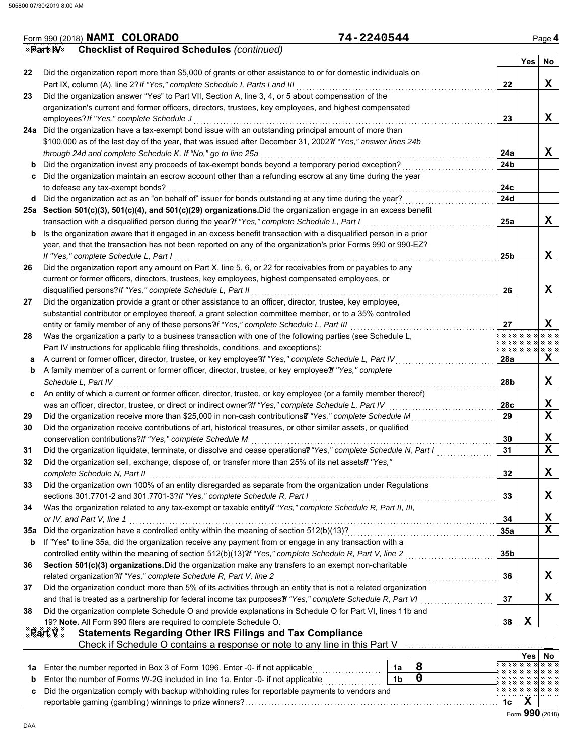|        | Part IV<br><b>Checklist of Required Schedules (continued)</b>                                                                                                                                  |     |            |             |
|--------|------------------------------------------------------------------------------------------------------------------------------------------------------------------------------------------------|-----|------------|-------------|
|        |                                                                                                                                                                                                |     | Yes        | No          |
| 22     | Did the organization report more than \$5,000 of grants or other assistance to or for domestic individuals on                                                                                  |     |            |             |
|        | Part IX, column (A), line 2? If "Yes," complete Schedule I, Parts I and III                                                                                                                    | 22  |            | X           |
| 23     | Did the organization answer "Yes" to Part VII, Section A, line 3, 4, or 5 about compensation of the                                                                                            |     |            |             |
|        | organization's current and former officers, directors, trustees, key employees, and highest compensated                                                                                        |     |            |             |
|        | employees? If "Yes," complete Schedule J                                                                                                                                                       | 23  |            | X           |
|        | 24a Did the organization have a tax-exempt bond issue with an outstanding principal amount of more than                                                                                        |     |            |             |
|        | \$100,000 as of the last day of the year, that was issued after December 31, 2002 Tf "Yes," answer lines 24b                                                                                   |     |            |             |
|        | through 24d and complete Schedule K. If "No," go to line 25a                                                                                                                                   | 24a |            | X           |
| b      | Did the organization invest any proceeds of tax-exempt bonds beyond a temporary period exception?                                                                                              | 24b |            |             |
|        | c Did the organization maintain an escrow account other than a refunding escrow at any time during the year                                                                                    |     |            |             |
|        | to defease any tax-exempt bonds?                                                                                                                                                               | 24c |            |             |
|        | d Did the organization act as an "on behalf of" issuer for bonds outstanding at any time during the year?                                                                                      | 24d |            |             |
|        | 25a Section 501(c)(3), 501(c)(4), and 501(c)(29) organizations. Did the organization engage in an excess benefit                                                                               |     |            |             |
|        | transaction with a disqualified person during the year <sup>7f</sup> "Yes," complete Schedule L, Part I                                                                                        | 25a |            | X           |
| b      | Is the organization aware that it engaged in an excess benefit transaction with a disqualified person in a prior                                                                               |     |            |             |
|        | year, and that the transaction has not been reported on any of the organization's prior Forms 990 or 990-EZ?                                                                                   |     |            |             |
|        | If "Yes," complete Schedule L, Part I                                                                                                                                                          | 25b |            | X           |
| 26     | Did the organization report any amount on Part X, line 5, 6, or 22 for receivables from or payables to any                                                                                     |     |            |             |
|        | current or former officers, directors, trustees, key employees, highest compensated employees, or                                                                                              |     |            |             |
|        | disqualified persons? If "Yes," complete Schedule L, Part II                                                                                                                                   | 26  |            | X           |
| 27     | Did the organization provide a grant or other assistance to an officer, director, trustee, key employee,                                                                                       |     |            |             |
|        | substantial contributor or employee thereof, a grant selection committee member, or to a 35% controlled                                                                                        |     |            |             |
|        | entity or family member of any of these persons?If "Yes," complete Schedule L, Part III                                                                                                        | 27  |            | X           |
| 28     | Was the organization a party to a business transaction with one of the following parties (see Schedule L,                                                                                      |     |            |             |
|        | Part IV instructions for applicable filing thresholds, conditions, and exceptions):<br>A current or former officer, director, trustee, or key employee ?!! "Yes," complete Schedule L, Part IV | 28a |            | X           |
| а<br>b | A family member of a current or former officer, director, trustee, or key employee Y "Yes," complete                                                                                           |     |            |             |
|        | Schedule L, Part IV                                                                                                                                                                            | 28b |            | X           |
| c      | An entity of which a current or former officer, director, trustee, or key employee (or a family member thereof)                                                                                |     |            |             |
|        | was an officer, director, trustee, or direct or indirect owner?If "Yes," complete Schedule L, Part IV                                                                                          | 28c |            | X           |
| 29     | Did the organization receive more than \$25,000 in non-cash contributions?f "Yes," complete Schedule M                                                                                         | 29  |            | $\mathbf x$ |
| 30     | Did the organization receive contributions of art, historical treasures, or other similar assets, or qualified                                                                                 |     |            |             |
|        | conservation contributions? If "Yes," complete Schedule M                                                                                                                                      | 30  |            | X           |
| 31     | Did the organization liquidate, terminate, or dissolve and cease operations? "Yes," complete Schedule N, Part I                                                                                | 31  |            | $\mathbf x$ |
| 32     | Did the organization sell, exchange, dispose of, or transfer more than 25% of its net assets@ "Yes,"                                                                                           |     |            |             |
|        | complete Schedule N, Part II                                                                                                                                                                   | 32  |            | X           |
| 33     | Did the organization own 100% of an entity disregarded as separate from the organization under Regulations                                                                                     |     |            |             |
|        | sections 301.7701-2 and 301.7701-3? If "Yes," complete Schedule R, Part I                                                                                                                      | 33  |            | x           |
| 34     | Was the organization related to any tax-exempt or taxable entity ff "Yes," complete Schedule R, Part II, III,                                                                                  |     |            |             |
|        | or IV, and Part V, line 1                                                                                                                                                                      | 34  |            | X           |
| 35а    | Did the organization have a controlled entity within the meaning of section 512(b)(13)?                                                                                                        | 35a |            | $\mathbf x$ |
| b      | If "Yes" to line 35a, did the organization receive any payment from or engage in any transaction with a                                                                                        |     |            |             |
|        | controlled entity within the meaning of section 512(b)(13) <sup>7</sup> f "Yes," complete Schedule R, Part V, line 2                                                                           | 35b |            |             |
| 36     | Section 501(c)(3) organizations. Did the organization make any transfers to an exempt non-charitable                                                                                           |     |            |             |
|        | related organization?If "Yes," complete Schedule R, Part V, line 2                                                                                                                             | 36  |            | X           |
| 37     | Did the organization conduct more than 5% of its activities through an entity that is not a related organization                                                                               |     |            |             |
|        | and that is treated as a partnership for federal income tax purposes of "Yes," complete Schedule R, Part VI                                                                                    | 37  |            | X           |
| 38     | Did the organization complete Schedule O and provide explanations in Schedule O for Part VI, lines 11b and                                                                                     |     |            |             |
|        | 19? Note. All Form 990 filers are required to complete Schedule O.                                                                                                                             | 38  | X          |             |
|        | <b>Statements Regarding Other IRS Filings and Tax Compliance</b><br>Part V                                                                                                                     |     |            |             |
|        | Check if Schedule O contains a response or note to any line in this Part V                                                                                                                     |     |            |             |
|        |                                                                                                                                                                                                |     | <b>Yes</b> | No          |
| 1a     | 8<br>Enter the number reported in Box 3 of Form 1096. Enter -0- if not applicable<br>1a<br>$\mathbf 0$                                                                                         |     |            |             |
| b      | Enter the number of Forms W-2G included in line 1a. Enter -0- if not applicable<br>1 <sub>b</sub>                                                                                              |     |            |             |
| c      | Did the organization comply with backup withholding rules for reportable payments to vendors and                                                                                               | 1c  | X          |             |
|        |                                                                                                                                                                                                |     | ۵۵Λ        |             |

Form 990 (2018) Page **4 NAMI COLORADO 74-2240544**

DAA

Form **990** (2018)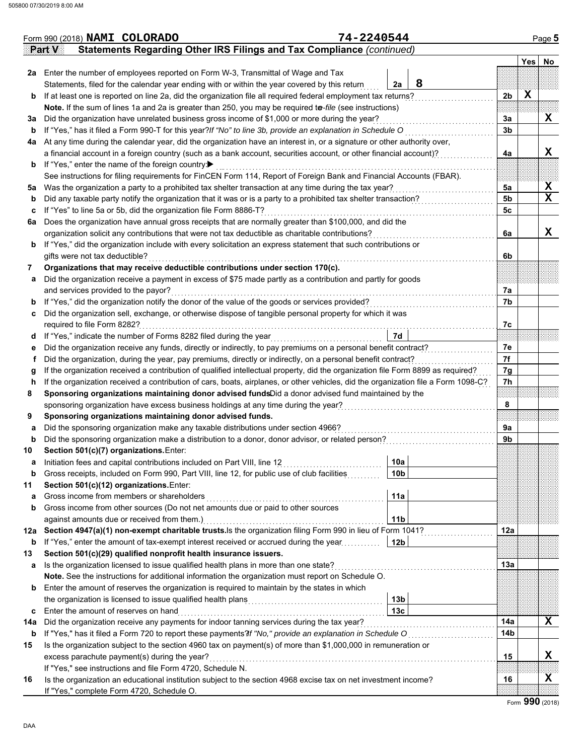|             | Form 990 (2018) NAMI COLORADO                                                                                                      | 74-2240544 |                 |   |                 |            | Page 5      |
|-------------|------------------------------------------------------------------------------------------------------------------------------------|------------|-----------------|---|-----------------|------------|-------------|
|             | Statements Regarding Other IRS Filings and Tax Compliance (continued)<br>Part V                                                    |            |                 |   |                 |            |             |
|             |                                                                                                                                    |            |                 |   |                 | <b>Yes</b> | No          |
| 2a          | Enter the number of employees reported on Form W-3, Transmittal of Wage and Tax                                                    |            |                 |   |                 |            |             |
|             | Statements, filed for the calendar year ending with or within the year covered by this return                                      |            | 2a              | 8 |                 |            |             |
| b           | If at least one is reported on line 2a, did the organization file all required federal employment tax returns?                     |            |                 |   | 2 <sub>b</sub>  | X          |             |
|             | Note. If the sum of lines 1a and 2a is greater than 250, you may be required to -file (see instructions)                           |            |                 |   |                 |            |             |
| За          | Did the organization have unrelated business gross income of \$1,000 or more during the year?                                      |            |                 |   | 3a              |            | X           |
| b           | If "Yes," has it filed a Form 990-T for this year? If "No" to line 3b, provide an explanation in Schedule O                        |            |                 |   | 3 <sub>b</sub>  |            |             |
| 4a          | At any time during the calendar year, did the organization have an interest in, or a signature or other authority over,            |            |                 |   |                 |            |             |
|             | a financial account in a foreign country (such as a bank account, securities account, or other financial account)?                 |            |                 |   | 4a              |            | X           |
| $\mathbf b$ | If "Yes," enter the name of the foreign country:▶                                                                                  |            |                 |   |                 |            |             |
|             | See instructions for filing requirements for FinCEN Form 114, Report of Foreign Bank and Financial Accounts (FBAR).                |            |                 |   |                 |            |             |
| 5a          | Was the organization a party to a prohibited tax shelter transaction at any time during the tax year?                              |            |                 |   | 5a              |            | X           |
| b           | Did any taxable party notify the organization that it was or is a party to a prohibited tax shelter transaction?                   |            |                 |   | 5 <sub>b</sub>  |            | $\mathbf x$ |
| c           | If "Yes" to line 5a or 5b, did the organization file Form 8886-T?                                                                  |            |                 |   | 5c              |            |             |
| 6a          | Does the organization have annual gross receipts that are normally greater than \$100,000, and did the                             |            |                 |   |                 |            |             |
|             | organization solicit any contributions that were not tax deductible as charitable contributions?                                   |            |                 |   | 6a              |            | X           |
| b           | If "Yes," did the organization include with every solicitation an express statement that such contributions or                     |            |                 |   |                 |            |             |
|             | gifts were not tax deductible?                                                                                                     |            |                 |   | 6b              |            |             |
| 7           | Organizations that may receive deductible contributions under section 170(c).                                                      |            |                 |   |                 |            |             |
| а           | Did the organization receive a payment in excess of \$75 made partly as a contribution and partly for goods                        |            |                 |   |                 |            |             |
|             | and services provided to the payor?                                                                                                |            |                 |   | 7a              |            |             |
| b           | If "Yes," did the organization notify the donor of the value of the goods or services provided?                                    |            |                 |   | 7b              |            |             |
| c           | Did the organization sell, exchange, or otherwise dispose of tangible personal property for which it was                           |            |                 |   |                 |            |             |
|             | required to file Form 8282?                                                                                                        |            |                 |   | 7c              |            |             |
| d           | If "Yes," indicate the number of Forms 8282 filed during the year                                                                  |            | 7d              |   |                 |            |             |
| е           | Did the organization receive any funds, directly or indirectly, to pay premiums on a personal benefit contract?                    |            |                 |   | 7е              |            |             |
| f           | Did the organization, during the year, pay premiums, directly or indirectly, on a personal benefit contract?                       |            |                 |   | 7f              |            |             |
|             | If the organization received a contribution of qualified intellectual property, did the organization file Form 8899 as required?   |            |                 |   | 7g              |            |             |
| g<br>h      | If the organization received a contribution of cars, boats, airplanes, or other vehicles, did the organization file a Form 1098-C? |            |                 |   | 7h              |            |             |
| 8           | Sponsoring organizations maintaining donor advised fundsDid a donor advised fund maintained by the                                 |            |                 |   |                 |            |             |
|             |                                                                                                                                    |            |                 |   | 8               |            |             |
|             | sponsoring organization have excess business holdings at any time during the year?                                                 |            |                 |   |                 |            |             |
| 9           | Sponsoring organizations maintaining donor advised funds.                                                                          |            |                 |   |                 |            |             |
| а           | Did the sponsoring organization make any taxable distributions under section 4966?                                                 |            |                 |   | 9а              |            |             |
| b           | Did the sponsoring organization make a distribution to a donor, donor advisor, or related person?                                  |            |                 |   | 9b              |            |             |
| 10          | Section 501(c)(7) organizations. Enter:                                                                                            |            |                 |   |                 |            |             |
| a           | Initiation fees and capital contributions included on Part VIII, line 12                                                           |            | 10a             |   |                 |            |             |
| b           | Gross receipts, included on Form 990, Part VIII, line 12, for public use of club facilities                                        |            | 10 <sub>b</sub> |   |                 |            |             |
| 11          | Section 501(c)(12) organizations. Enter:                                                                                           |            |                 |   |                 |            |             |
| a           | Gross income from members or shareholders                                                                                          |            | 11a             |   |                 |            |             |
| b           | Gross income from other sources (Do not net amounts due or paid to other sources                                                   |            |                 |   |                 |            |             |
|             | against amounts due or received from them.)                                                                                        |            | 11 <sub>b</sub> |   |                 |            |             |
| 12a         | Section 4947(a)(1) non-exempt charitable trusts. Is the organization filing Form 990 in lieu of Form 1041?                         |            |                 |   | 12a             |            |             |
| b           | "Yes," enter the amount of tax-exempt interest received or accrued during the year                                                 |            | 12b             |   |                 |            |             |
| 13          | Section 501(c)(29) qualified nonprofit health insurance issuers.                                                                   |            |                 |   |                 |            |             |
| а           | Is the organization licensed to issue qualified health plans in more than one state?                                               |            |                 |   | 13a             |            |             |
|             | Note. See the instructions for additional information the organization must report on Schedule O.                                  |            |                 |   |                 |            |             |
| b           | Enter the amount of reserves the organization is required to maintain by the states in which                                       |            |                 |   |                 |            |             |
|             | the organization is licensed to issue qualified health plans                                                                       |            | 13 <sub>b</sub> |   |                 |            |             |
| c           | Enter the amount of reserves on hand                                                                                               |            | 13 <sub>c</sub> |   |                 |            |             |
| 14a         | Did the organization receive any payments for indoor tanning services during the tax year?                                         |            |                 |   | 14a             |            | X           |
| b           | "Yes," has it filed a Form 720 to report these payments?/f "No," provide an explanation in Schedule O                              |            |                 |   | 14 <sub>b</sub> |            |             |
| 15          | Is the organization subject to the section 4960 tax on payment(s) of more than \$1,000,000 in remuneration or                      |            |                 |   |                 |            |             |
|             | excess parachute payment(s) during the year?                                                                                       |            |                 |   | 15              |            | X           |
|             | If "Yes," see instructions and file Form 4720, Schedule N.                                                                         |            |                 |   |                 |            |             |
|             | Is the organization an educational institution subject to the section 4968 excise tax on net investment income?                    |            |                 |   | 16              |            | X           |
| 16          |                                                                                                                                    |            |                 |   |                 |            |             |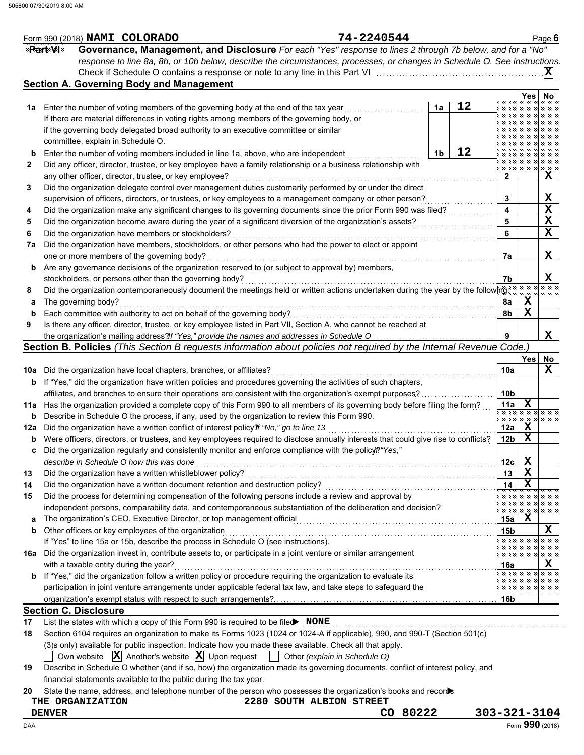|     | Form 990 (2018) NAMI COLORADO                                                                                                       | 74-2240544                    |    |    |                    |             | Page 6                  |
|-----|-------------------------------------------------------------------------------------------------------------------------------------|-------------------------------|----|----|--------------------|-------------|-------------------------|
|     | Governance, Management, and Disclosure For each "Yes" response to lines 2 through 7b below, and for a "No"<br>Part VI               |                               |    |    |                    |             |                         |
|     | response to line 8a, 8b, or 10b below, describe the circumstances, processes, or changes in Schedule O. See instructions.           |                               |    |    |                    |             |                         |
|     | Check if Schedule O contains a response or note to any line in this Part VI                                                         |                               |    |    |                    |             | ΙXΙ                     |
|     | <b>Section A. Governing Body and Management</b>                                                                                     |                               |    |    |                    |             |                         |
|     |                                                                                                                                     |                               |    |    |                    | Yes         | No                      |
| 1a  | Enter the number of voting members of the governing body at the end of the tax year                                                 |                               | 1a | 12 |                    |             |                         |
|     | If there are material differences in voting rights among members of the governing body, or                                          |                               |    |    |                    |             |                         |
|     | if the governing body delegated broad authority to an executive committee or similar                                                |                               |    |    |                    |             |                         |
|     | committee, explain in Schedule O.                                                                                                   |                               |    |    |                    |             |                         |
| b   | Enter the number of voting members included in line 1a, above, who are independent                                                  |                               | 1b | 12 |                    |             |                         |
| 2   | Did any officer, director, trustee, or key employee have a family relationship or a business relationship with                      |                               |    |    |                    |             |                         |
|     | any other officer, director, trustee, or key employee?                                                                              |                               |    |    | $\mathbf{2}$       |             | X                       |
| 3   | Did the organization delegate control over management duties customarily performed by or under the direct                           |                               |    |    |                    |             |                         |
|     | supervision of officers, directors, or trustees, or key employees to a management company or other person?                          |                               |    |    | 3                  |             | X                       |
| 4   | Did the organization make any significant changes to its governing documents since the prior Form 990 was filed?                    |                               |    |    | 4                  |             | $\overline{\mathbf{x}}$ |
| 5   | Did the organization become aware during the year of a significant diversion of the organization's assets?                          |                               |    |    | 5                  |             | $\mathbf x$             |
| 6   | Did the organization have members or stockholders?                                                                                  |                               |    |    | 6                  |             | X                       |
| 7a  | Did the organization have members, stockholders, or other persons who had the power to elect or appoint                             |                               |    |    |                    |             |                         |
|     | one or more members of the governing body?                                                                                          |                               |    |    | 7a                 |             | X                       |
| b   | Are any governance decisions of the organization reserved to (or subject to approval by) members,                                   |                               |    |    |                    |             |                         |
|     | stockholders, or persons other than the governing body?                                                                             |                               |    |    | 7b                 |             | X                       |
| 8   | Did the organization contemporaneously document the meetings held or written actions undertaken during the year by the following:   |                               |    |    |                    |             |                         |
| а   | The governing body?                                                                                                                 |                               |    |    | 8a                 | X           |                         |
| b   | Each committee with authority to act on behalf of the governing body?                                                               |                               |    |    | 8b                 | х           |                         |
| 9   | Is there any officer, director, trustee, or key employee listed in Part VII, Section A, who cannot be reached at                    |                               |    |    |                    |             |                         |
|     | the organization's mailing address?If "Yes," provide the names and addresses in Schedule O                                          |                               |    |    | 9                  |             | X                       |
|     | Section B. Policies (This Section B requests information about policies not required by the Internal Revenue Code.)                 |                               |    |    |                    |             |                         |
|     |                                                                                                                                     |                               |    |    |                    | Yes         | No                      |
| 10a | Did the organization have local chapters, branches, or affiliates?                                                                  |                               |    |    | 10a                |             | X                       |
| b   | If "Yes," did the organization have written policies and procedures governing the activities of such chapters,                      |                               |    |    |                    |             |                         |
|     | affiliates, and branches to ensure their operations are consistent with the organization's exempt purposes?                         |                               |    |    | 10 <sub>b</sub>    |             |                         |
|     | Has the organization provided a complete copy of this Form 990 to all members of its governing body before filing the form?         |                               |    |    | 11a                | X           |                         |
| 11a |                                                                                                                                     |                               |    |    |                    |             |                         |
| b   | Describe in Schedule O the process, if any, used by the organization to review this Form 990.                                       |                               |    |    | 12a                |             |                         |
| 12a | Did the organization have a written conflict of interest policy If "No," go to line 13                                              |                               |    |    | 12 <sub>b</sub>    | X<br>X      |                         |
| b   | Were officers, directors, or trustees, and key employees required to disclose annually interests that could give rise to conflicts? |                               |    |    |                    |             |                         |
|     | Did the organization regularly and consistently monitor and enforce compliance with the policy? "Yes,"                              |                               |    |    |                    | X           |                         |
|     | describe in Schedule O how this was done                                                                                            |                               |    |    | 12c                | $\mathbf x$ |                         |
| 13  | Did the organization have a written whistleblower policy?                                                                           |                               |    |    | 13                 |             |                         |
| 14  | Did the organization have a written document retention and destruction policy?                                                      |                               |    |    | 14                 | $\mathbf x$ |                         |
| 15  | Did the process for determining compensation of the following persons include a review and approval by                              |                               |    |    |                    |             |                         |
|     | independent persons, comparability data, and contemporaneous substantiation of the deliberation and decision?                       |                               |    |    |                    |             |                         |
| a   | The organization's CEO, Executive Director, or top management official                                                              |                               |    |    | 15a                | X           |                         |
| b   | Other officers or key employees of the organization                                                                                 |                               |    |    | 15 <sub>b</sub>    |             | X                       |
|     | If "Yes" to line 15a or 15b, describe the process in Schedule O (see instructions).                                                 |                               |    |    |                    |             |                         |
|     | 16a Did the organization invest in, contribute assets to, or participate in a joint venture or similar arrangement                  |                               |    |    |                    |             |                         |
|     | with a taxable entity during the year?                                                                                              |                               |    |    | 16a                |             | X                       |
| b   | If "Yes," did the organization follow a written policy or procedure requiring the organization to evaluate its                      |                               |    |    |                    |             |                         |
|     | participation in joint venture arrangements under applicable federal tax law, and take steps to safeguard the                       |                               |    |    |                    |             |                         |
|     |                                                                                                                                     |                               |    |    | 16b                |             |                         |
|     | <b>Section C. Disclosure</b>                                                                                                        |                               |    |    |                    |             |                         |
| 17  | List the states with which a copy of this Form 990 is required to be filed NONE                                                     |                               |    |    |                    |             |                         |
| 18  | Section 6104 requires an organization to make its Forms 1023 (1024 or 1024-A if applicable), 990, and 990-T (Section 501(c)         |                               |    |    |                    |             |                         |
|     | (3)s only) available for public inspection. Indicate how you made these available. Check all that apply.                            |                               |    |    |                    |             |                         |
|     | Own website $ \mathbf{X} $ Another's website $ \mathbf{X} $ Upon request                                                            | Other (explain in Schedule O) |    |    |                    |             |                         |
| 19  | Describe in Schedule O whether (and if so, how) the organization made its governing documents, conflict of interest policy, and     |                               |    |    |                    |             |                         |
|     | financial statements available to the public during the tax year.                                                                   |                               |    |    |                    |             |                         |
| 20  | State the name, address, and telephone number of the person who possesses the organization's books and recorde                      |                               |    |    |                    |             |                         |
|     | 2280 SOUTH ALBION STREET<br>THE ORGANIZATION                                                                                        |                               |    |    |                    |             |                         |
|     | <b>DENVER</b>                                                                                                                       | CO 80222                      |    |    | $303 - 321 - 3104$ |             |                         |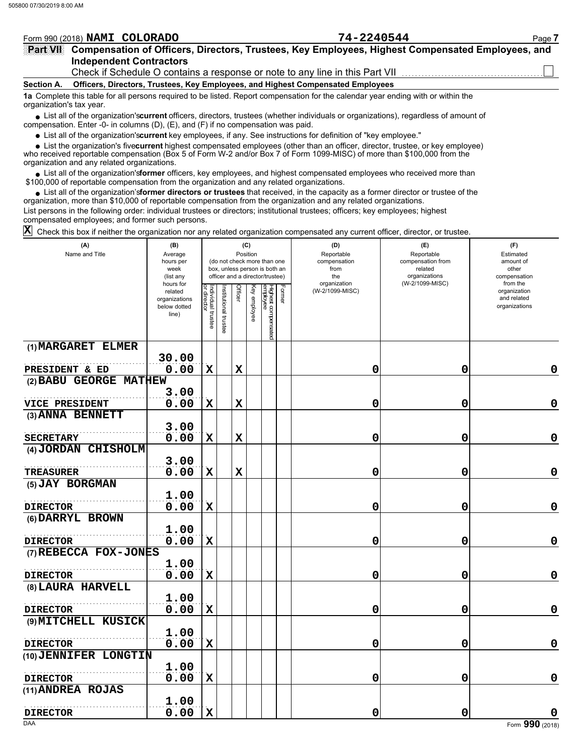|  | Form 990 (2018) <b>NAMI COLORADO</b> | 74-2240544                                                                                                                       | Page 7 |
|--|--------------------------------------|----------------------------------------------------------------------------------------------------------------------------------|--------|
|  |                                      | $\mathsf{Part}\,\mathsf{VIF}\,$ Compensation of Officers, Directors, Trustees, Key Employees, Highest Compensated Employees, and |        |
|  | Independent Contractors              |                                                                                                                                  |        |
|  |                                      | Check if Schedule O contains a response or note to any line in this Part VII                                                     |        |

**Section A. Officers, Directors, Trustees, Key Employees, and Highest Compensated Employees**

**1a** Complete this table for all persons required to be listed. Report compensation for the calendar year ending with or within the organization's tax year.

• List all of the organization's**current** officers, directors, trustees (whether individuals or organizations), regardless of amount of **properties**  $\overline{D}$  in columns  $(D)$ ,  $(E)$ , and  $(E)$  if no compensation was paid compensation. Enter -0- in columns (D), (E), and (F) if no compensation was paid.

List all of the organization's **current** key employees, if any. See instructions for definition of "key employee."

■ List all of the organization's **current** key employees, if any. See instructions for definition of "key employee."<br>■ List the organization's five **current** highest compensated employees (other than an officer, director,

who received reportable compensation (Box 5 of Form W-2 and/or Box 7 of Form 1099-MISC) of more than \$100,000 from the organization and any related organizations.

• List all of the organization's**former** officers, key employees, and highest compensated employees who received more than<br>00,000 of reportable compensation from the organization and any related erganizations \$100,000 of reportable compensation from the organization and any related organizations.

• List all of the organization's**former directors or trustees** that received, in the capacity as a former director or trustee of the organization, more than \$10,000 of reportable compensation from the organization and any related organizations. List persons in the following order: individual trustees or directors; institutional trustees; officers; key employees; highest compensated employees; and former such persons.

 $\bar{\bm{\mathrm{X}}}$  Check this box if neither the organization nor any related organization compensated any current officer, director, or trustee.

| (A)<br>Name and Title                    | (B)<br>Average<br>hours per<br>week<br>(list any<br>hours for |                    |                      | (C)         | Position     | (do not check more than one<br>box, unless person is both an<br>officer and a director/trustee) |        | (D)<br>Reportable<br>compensation<br>from<br>the<br>organization | (E)<br>Reportable<br>compensation from<br>related<br>organizations<br>(W-2/1099-MISC) | (F)<br>Estimated<br>amount of<br>other<br>compensation<br>from the |
|------------------------------------------|---------------------------------------------------------------|--------------------|----------------------|-------------|--------------|-------------------------------------------------------------------------------------------------|--------|------------------------------------------------------------------|---------------------------------------------------------------------------------------|--------------------------------------------------------------------|
|                                          | related<br>organizations<br>below dotted<br>line)             | Individual trustee | nstitutional trustee | Officer     | Key employee | Highest compensated<br>employee                                                                 | Former | (W-2/1099-MISC)                                                  |                                                                                       | organization<br>and related<br>organizations                       |
| (1) MARGARET ELMER                       |                                                               |                    |                      |             |              |                                                                                                 |        |                                                                  |                                                                                       |                                                                    |
|                                          | 30.00                                                         |                    |                      |             |              |                                                                                                 |        |                                                                  |                                                                                       |                                                                    |
| PRESIDENT & ED<br>(2) BABU GEORGE MATHEW | 0.00                                                          | $\mathbf x$        |                      | $\mathbf x$ |              |                                                                                                 |        | 0                                                                | 0                                                                                     | 0                                                                  |
|                                          | 3.00                                                          |                    |                      |             |              |                                                                                                 |        |                                                                  |                                                                                       |                                                                    |
| <b>VICE PRESIDENT</b>                    | 0.00                                                          | $\mathbf x$        |                      | $\mathbf x$ |              |                                                                                                 |        | 0                                                                | 0                                                                                     | $\mathbf 0$                                                        |
| (3) ANNA BENNETT                         |                                                               |                    |                      |             |              |                                                                                                 |        |                                                                  |                                                                                       |                                                                    |
|                                          | 3.00                                                          |                    |                      |             |              |                                                                                                 |        |                                                                  |                                                                                       |                                                                    |
| <b>SECRETARY</b>                         | 0.00                                                          | $\mathbf x$        |                      | $\mathbf x$ |              |                                                                                                 |        | 0                                                                | 0                                                                                     | $\mathbf 0$                                                        |
| (4) JORDAN CHISHOLM                      |                                                               |                    |                      |             |              |                                                                                                 |        |                                                                  |                                                                                       |                                                                    |
|                                          | 3.00                                                          |                    |                      |             |              |                                                                                                 |        |                                                                  |                                                                                       |                                                                    |
| <b>TREASURER</b>                         | 0.00                                                          | $\mathbf x$        |                      | $\mathbf x$ |              |                                                                                                 |        | 0                                                                | 0                                                                                     | $\mathbf 0$                                                        |
| (5) JAY BORGMAN                          |                                                               |                    |                      |             |              |                                                                                                 |        |                                                                  |                                                                                       |                                                                    |
| <b>DIRECTOR</b>                          | 1.00<br>0.00                                                  | $\mathbf x$        |                      |             |              |                                                                                                 |        | 0                                                                | 0                                                                                     | $\mathbf 0$                                                        |
| (6) DARRYL BROWN                         |                                                               |                    |                      |             |              |                                                                                                 |        |                                                                  |                                                                                       |                                                                    |
|                                          | 1.00                                                          |                    |                      |             |              |                                                                                                 |        |                                                                  |                                                                                       |                                                                    |
| <b>DIRECTOR</b>                          | 0.00                                                          | $\mathbf x$        |                      |             |              |                                                                                                 |        | 0                                                                | 0                                                                                     | 0                                                                  |
| (7) REBECCA FOX-JONES                    |                                                               |                    |                      |             |              |                                                                                                 |        |                                                                  |                                                                                       |                                                                    |
|                                          | 1.00                                                          |                    |                      |             |              |                                                                                                 |        |                                                                  |                                                                                       |                                                                    |
| <b>DIRECTOR</b>                          | 0.00                                                          | $\mathbf x$        |                      |             |              |                                                                                                 |        | 0                                                                | 0                                                                                     | $\mathbf 0$                                                        |
| (8) LAURA HARVELL                        |                                                               |                    |                      |             |              |                                                                                                 |        |                                                                  |                                                                                       |                                                                    |
|                                          | 1.00                                                          |                    |                      |             |              |                                                                                                 |        |                                                                  |                                                                                       |                                                                    |
| <b>DIRECTOR</b>                          | 0.00                                                          | $\mathbf x$        |                      |             |              |                                                                                                 |        | 0                                                                | 0                                                                                     | $\mathbf 0$                                                        |
| (9) MITCHELL KUSICK                      | 1.00                                                          |                    |                      |             |              |                                                                                                 |        |                                                                  |                                                                                       |                                                                    |
| <b>DIRECTOR</b>                          | 0.00                                                          | $\mathbf x$        |                      |             |              |                                                                                                 |        | 0                                                                | 0                                                                                     | $\mathbf 0$                                                        |
| (10) JENNIFER LONGTIN                    |                                                               |                    |                      |             |              |                                                                                                 |        |                                                                  |                                                                                       |                                                                    |
|                                          | 1.00                                                          |                    |                      |             |              |                                                                                                 |        |                                                                  |                                                                                       |                                                                    |
| <b>DIRECTOR</b>                          | 0.00                                                          | X                  |                      |             |              |                                                                                                 |        | 0                                                                | 0                                                                                     | 0                                                                  |
| (11) ANDREA ROJAS                        |                                                               |                    |                      |             |              |                                                                                                 |        |                                                                  |                                                                                       |                                                                    |
|                                          | 1.00                                                          |                    |                      |             |              |                                                                                                 |        |                                                                  |                                                                                       |                                                                    |
| <b>DIRECTOR</b>                          | 0.00                                                          | $\mathbf x$        |                      |             |              |                                                                                                 |        | 0                                                                | 0                                                                                     |                                                                    |
| DAA                                      |                                                               |                    |                      |             |              |                                                                                                 |        |                                                                  |                                                                                       | Form 990 (2018)                                                    |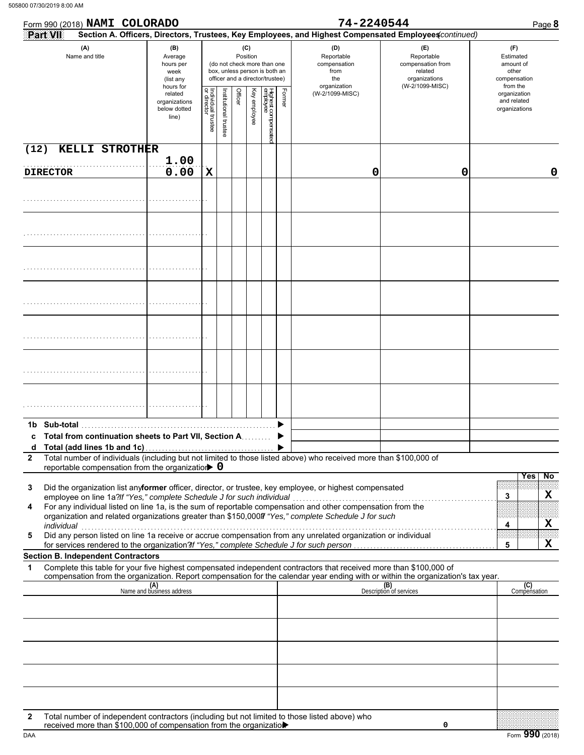| Form 990 (2018) NAMI COLORADO                                                                                                                                                                                                                               |                                                                                                               |                                   |                      |         |                 |                                 |        | 74-2240544                                                                                            |                                                                                       |                                                                    | Page 8              |
|-------------------------------------------------------------------------------------------------------------------------------------------------------------------------------------------------------------------------------------------------------------|---------------------------------------------------------------------------------------------------------------|-----------------------------------|----------------------|---------|-----------------|---------------------------------|--------|-------------------------------------------------------------------------------------------------------|---------------------------------------------------------------------------------------|--------------------------------------------------------------------|---------------------|
| Part VII                                                                                                                                                                                                                                                    | (B)                                                                                                           |                                   |                      |         |                 |                                 |        | Section A. Officers, Directors, Trustees, Key Employees, and Highest Compensated Employees(continued) |                                                                                       |                                                                    |                     |
| (A)<br>Name and title                                                                                                                                                                                                                                       | Average<br>hours per<br>box, unless person is both an<br>week<br>officer and a director/trustee)<br>(list any |                                   |                      |         | (C)<br>Position | (do not check more than one     |        | (D)<br>Reportable<br>compensation<br>from<br>the                                                      | (E)<br>Reportable<br>compensation from<br>related<br>organizations<br>(W-2/1099-MISC) | (F)<br>Estimated<br>amount of<br>other<br>compensation<br>from the |                     |
|                                                                                                                                                                                                                                                             | hours for<br>related<br>organizations<br>below dotted<br>line)                                                | Individual trustee<br>or director | nstitutional trustee | Officer | Key employee    | Highest compensated<br>employee | Former | organization<br>(W-2/1099-MISC)                                                                       |                                                                                       | organization<br>and related<br>organizations                       |                     |
| KELLI STROTHER<br>(12)                                                                                                                                                                                                                                      |                                                                                                               |                                   |                      |         |                 |                                 |        |                                                                                                       |                                                                                       |                                                                    |                     |
| <b>DIRECTOR</b>                                                                                                                                                                                                                                             | 1.00<br>0.00                                                                                                  | $\mathbf x$                       |                      |         |                 |                                 |        | 0                                                                                                     | 0                                                                                     |                                                                    | 0                   |
|                                                                                                                                                                                                                                                             |                                                                                                               |                                   |                      |         |                 |                                 |        |                                                                                                       |                                                                                       |                                                                    |                     |
|                                                                                                                                                                                                                                                             |                                                                                                               |                                   |                      |         |                 |                                 |        |                                                                                                       |                                                                                       |                                                                    |                     |
|                                                                                                                                                                                                                                                             |                                                                                                               |                                   |                      |         |                 |                                 |        |                                                                                                       |                                                                                       |                                                                    |                     |
|                                                                                                                                                                                                                                                             |                                                                                                               |                                   |                      |         |                 |                                 |        |                                                                                                       |                                                                                       |                                                                    |                     |
|                                                                                                                                                                                                                                                             |                                                                                                               |                                   |                      |         |                 |                                 |        |                                                                                                       |                                                                                       |                                                                    |                     |
|                                                                                                                                                                                                                                                             |                                                                                                               |                                   |                      |         |                 |                                 |        |                                                                                                       |                                                                                       |                                                                    |                     |
|                                                                                                                                                                                                                                                             |                                                                                                               |                                   |                      |         |                 |                                 |        |                                                                                                       |                                                                                       |                                                                    |                     |
| Sub-total<br>1b<br>Total from continuation sheets to Part VII, Section A.<br>c<br>d                                                                                                                                                                         |                                                                                                               |                                   |                      |         |                 |                                 |        |                                                                                                       |                                                                                       |                                                                    |                     |
| Total number of individuals (including but not limited to those listed above) who received more than \$100,000 of<br>$\mathbf{2}$<br>reportable compensation from the organization $\triangleright$ 0                                                       |                                                                                                               |                                   |                      |         |                 |                                 |        |                                                                                                       |                                                                                       |                                                                    |                     |
| Did the organization list anyformer officer, director, or trustee, key employee, or highest compensated<br>3<br>employee on line 1a?If "Yes," complete Schedule J for such individual                                                                       |                                                                                                               |                                   |                      |         |                 |                                 |        |                                                                                                       |                                                                                       | 3                                                                  | Yes<br>No<br>X      |
| For any individual listed on line 1a, is the sum of reportable compensation and other compensation from the<br>4<br>organization and related organizations greater than \$150,000# "Yes," complete Schedule J for such<br>individual                        |                                                                                                               |                                   |                      |         |                 |                                 |        |                                                                                                       |                                                                                       | 4                                                                  | X                   |
| Did any person listed on line 1a receive or accrue compensation from any unrelated organization or individual<br>5                                                                                                                                          |                                                                                                               |                                   |                      |         |                 |                                 |        |                                                                                                       |                                                                                       | 5                                                                  | X                   |
| <b>Section B. Independent Contractors</b>                                                                                                                                                                                                                   |                                                                                                               |                                   |                      |         |                 |                                 |        |                                                                                                       |                                                                                       |                                                                    |                     |
| Complete this table for your five highest compensated independent contractors that received more than \$100,000 of<br>1<br>compensation from the organization. Report compensation for the calendar year ending with or within the organization's tax year. |                                                                                                               |                                   |                      |         |                 |                                 |        |                                                                                                       |                                                                                       |                                                                    |                     |
|                                                                                                                                                                                                                                                             | (A)<br>Name and business address                                                                              |                                   |                      |         |                 |                                 |        |                                                                                                       | (B)<br>Description of services                                                        |                                                                    | (C)<br>Compensation |
|                                                                                                                                                                                                                                                             |                                                                                                               |                                   |                      |         |                 |                                 |        |                                                                                                       |                                                                                       |                                                                    |                     |
|                                                                                                                                                                                                                                                             |                                                                                                               |                                   |                      |         |                 |                                 |        |                                                                                                       |                                                                                       |                                                                    |                     |
|                                                                                                                                                                                                                                                             |                                                                                                               |                                   |                      |         |                 |                                 |        |                                                                                                       |                                                                                       |                                                                    |                     |
| Total number of independent contractors (including but not limited to those listed above) who<br>$\mathbf{2}$<br>received more than \$100,000 of compensation from the organizatior>                                                                        |                                                                                                               |                                   |                      |         |                 |                                 |        |                                                                                                       | 0                                                                                     |                                                                    |                     |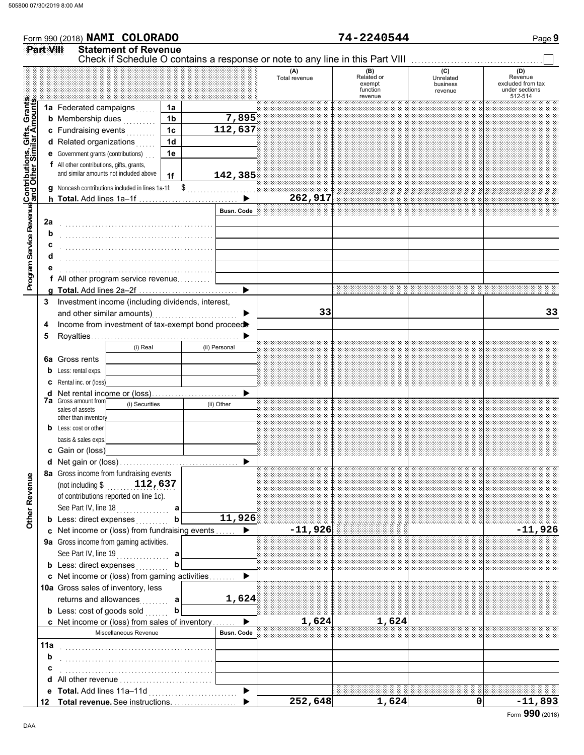|                                                                                                           |                                            |                                                                         | Form 990 (2018) NAMI COLORADO                                                                                       |               |                                                   |                                                                                                       | 74-2240544                                         |                                         | Page 9                                                           |
|-----------------------------------------------------------------------------------------------------------|--------------------------------------------|-------------------------------------------------------------------------|---------------------------------------------------------------------------------------------------------------------|---------------|---------------------------------------------------|-------------------------------------------------------------------------------------------------------|----------------------------------------------------|-----------------------------------------|------------------------------------------------------------------|
|                                                                                                           | Part VIII                                  |                                                                         | <b>Statement of Revenue</b>                                                                                         |               |                                                   |                                                                                                       |                                                    |                                         |                                                                  |
|                                                                                                           |                                            |                                                                         |                                                                                                                     |               |                                                   | Check if Schedule O contains a response or note to any line in this Part VIII<br>(A)<br>Total revenue | (B)<br>Related or<br>exempt<br>function<br>revenue | (C)<br>Unrelated<br>business<br>revenue | (D)<br>Revenue<br>excluded from tax<br>under sections<br>512-514 |
|                                                                                                           |                                            | 1a Federated campaigns                                                  |                                                                                                                     | 1a            |                                                   |                                                                                                       |                                                    |                                         |                                                                  |
|                                                                                                           | <b>b</b> Membership dues<br>1 <sub>b</sub> |                                                                         |                                                                                                                     | 7,895         |                                                   |                                                                                                       |                                                    |                                         |                                                                  |
|                                                                                                           |                                            | 112,637<br>c Fundraising events<br>1 <sub>c</sub>                       |                                                                                                                     |               |                                                   |                                                                                                       |                                                    |                                         |                                                                  |
|                                                                                                           |                                            | d Related organizations                                                 |                                                                                                                     | 1d            |                                                   |                                                                                                       |                                                    |                                         |                                                                  |
|                                                                                                           |                                            | <b>e</b> Government grants (contributions)                              |                                                                                                                     | 1e            |                                                   |                                                                                                       |                                                    |                                         |                                                                  |
|                                                                                                           |                                            | f All other contributions, gifts, grants,                               |                                                                                                                     |               |                                                   |                                                                                                       |                                                    |                                         |                                                                  |
|                                                                                                           |                                            | and similar amounts not included above                                  |                                                                                                                     | 1f            | 142,385                                           |                                                                                                       |                                                    |                                         |                                                                  |
|                                                                                                           |                                            |                                                                         | g Noncash contributions included in lines 1a-1f: \$                                                                 |               |                                                   |                                                                                                       |                                                    |                                         |                                                                  |
|                                                                                                           |                                            |                                                                         | h Total. Add lines 1a-1f                                                                                            |               |                                                   | 262,917                                                                                               |                                                    |                                         |                                                                  |
| Program Service Revenue Contributions, Gifts, Grants<br>Program Service Revenue and Other Similar Amounts | 2a<br>b<br>c<br>d                          |                                                                         |                                                                                                                     |               | <b>Busn. Code</b>                                 |                                                                                                       |                                                    |                                         |                                                                  |
|                                                                                                           |                                            |                                                                         | f All other program service revenue                                                                                 |               |                                                   |                                                                                                       |                                                    |                                         |                                                                  |
|                                                                                                           |                                            |                                                                         |                                                                                                                     |               | ▶                                                 |                                                                                                       |                                                    |                                         |                                                                  |
|                                                                                                           | 3<br>4<br>5                                | and other similar amounts)                                              | Investment income (including dividends, interest,                                                                   |               | Income from investment of tax-exempt bond proceed | 33                                                                                                    |                                                    |                                         | 33                                                               |
|                                                                                                           |                                            |                                                                         | (i) Real                                                                                                            |               | (ii) Personal                                     |                                                                                                       |                                                    |                                         |                                                                  |
|                                                                                                           |                                            | <b>6a</b> Gross rents                                                   |                                                                                                                     |               |                                                   |                                                                                                       |                                                    |                                         |                                                                  |
|                                                                                                           |                                            | <b>b</b> Less: rental exps.                                             |                                                                                                                     |               |                                                   |                                                                                                       |                                                    |                                         |                                                                  |
|                                                                                                           |                                            | <b>c</b> Rental inc. or (loss)                                          |                                                                                                                     |               |                                                   |                                                                                                       |                                                    |                                         |                                                                  |
|                                                                                                           |                                            | <b>7a</b> Gross amount from<br>sales of assets<br>other than inventory  | d Net rental income or (loss)<br>(i) Securities                                                                     |               | (ii) Other                                        |                                                                                                       |                                                    |                                         |                                                                  |
|                                                                                                           |                                            | <b>b</b> Less: cost or other<br>basis & sales exps.<br>c Gain or (loss) |                                                                                                                     |               |                                                   |                                                                                                       |                                                    |                                         |                                                                  |
|                                                                                                           |                                            |                                                                         |                                                                                                                     |               |                                                   |                                                                                                       |                                                    |                                         |                                                                  |
| <b>Other Revenue</b>                                                                                      |                                            | See Part IV, line 18                                                    | 8a Gross income from fundraising events<br>(not including $$112,637$<br>of contributions reported on line 1c).<br>. | a             |                                                   |                                                                                                       |                                                    |                                         |                                                                  |
|                                                                                                           |                                            |                                                                         | <b>b</b> Less: direct expenses                                                                                      | $\mathbf b$   | 11,926                                            |                                                                                                       |                                                    |                                         |                                                                  |
|                                                                                                           |                                            |                                                                         | c Net income or (loss) from fundraising events<br>9a Gross income from gaming activities.                           |               | ▶                                                 | $-11,926$                                                                                             |                                                    |                                         | $-11,926$                                                        |
|                                                                                                           |                                            | See Part IV, line 19                                                    | .                                                                                                                   | a<br>b        |                                                   |                                                                                                       |                                                    |                                         |                                                                  |
|                                                                                                           |                                            | <b>b</b> Less: direct expenses                                          | c Net income or (loss) from gaming activities                                                                       |               |                                                   |                                                                                                       |                                                    |                                         |                                                                  |
|                                                                                                           |                                            |                                                                         | 10a Gross sales of inventory, less                                                                                  |               |                                                   |                                                                                                       |                                                    |                                         |                                                                  |
|                                                                                                           |                                            | returns and allowances                                                  |                                                                                                                     | a<br>$\cdots$ | 1,624                                             |                                                                                                       |                                                    |                                         |                                                                  |
|                                                                                                           |                                            | <b>b</b> Less: cost of goods sold                                       |                                                                                                                     | b             |                                                   |                                                                                                       |                                                    |                                         |                                                                  |
|                                                                                                           |                                            |                                                                         | c Net income or (loss) from sales of inventory                                                                      |               | ▶                                                 | 1,624                                                                                                 | 1,624                                              |                                         |                                                                  |
|                                                                                                           |                                            |                                                                         | Miscellaneous Revenue                                                                                               |               | <b>Busn. Code</b>                                 |                                                                                                       |                                                    |                                         |                                                                  |
|                                                                                                           | 11a<br>b<br>c                              |                                                                         |                                                                                                                     |               |                                                   |                                                                                                       |                                                    |                                         |                                                                  |
|                                                                                                           | d                                          |                                                                         |                                                                                                                     |               |                                                   |                                                                                                       |                                                    |                                         |                                                                  |
|                                                                                                           |                                            | e Total. Add lines 11a-11d                                              |                                                                                                                     |               | ▶                                                 |                                                                                                       |                                                    |                                         |                                                                  |
|                                                                                                           | 12                                         |                                                                         | Total revenue. See instructions.                                                                                    |               |                                                   | 252,648                                                                                               | 1,624                                              | 0                                       | $-11,893$                                                        |

Form **990** (2018)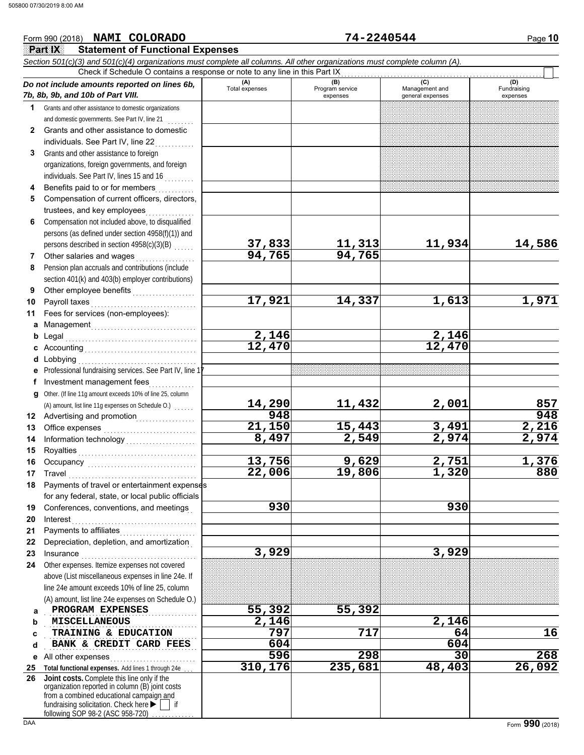#### **Part IX Statement of Functional Expenses** Form 990 (2018) Page **10 NAMI COLORADO 74-2240544** *Section 501(c)(3) and 501(c)(4) organizations must complete all columns. All other organizations must complete column (A). Do not include amounts reported on lines 6b, 7b, 8b, 9b, and 10b of Part VIII.* **1 2 3 4 5 6 7 8 9 10 11 a** Management . . . . . . . . . . . . . . . . . . . . . . . . . . . . . . . . **b** Legal **c** Accounting . . . . . . . . . . . . . . . . . . . . . . . . . . . . . . . . . . Grants and other assistance to domestic organizations and domestic governments. See Part IV, line 21 Grants and other assistance to domestic individuals. See Part IV, line 22 Grants and other assistance to foreign organizations, foreign governments, and foreign individuals. See Part IV, lines 15 and 16 . . . . . . . . . Benefits paid to or for members . . . . . . . . . . Compensation of current officers, directors, trustees, and key employees . . . . . . . . . . . . . Compensation not included above, to disqualified persons (as defined under section 4958(f)(1)) and persons described in section 4958(c)(3)(B) Other salaries and wages . . . . . . . . . . . . . . . . Pension plan accruals and contributions (include section 401(k) and 403(b) employer contributions) Other employee benefits . . . . . . . . . . . . . . . . . . . Payroll taxes . . . . . . . . . . . . . . . . . . . . . . . . . . . . . . . . Fees for services (non-employees): **(A) (B) (C) (D)** Total expenses Program service Management and expenses general expenses (D)<br>Fundraising expenses Check if Schedule O contains a response or note to any line in this Part IX **37,833 11,313 11,934 14,586 94,765 94,765 17,921 14,337 1,613 1,971 2,146 2,146**<br>**2,470 12,470 12,470 12,470**

|    | <b>d</b> Lobbying                                           |         |         |        |        |
|----|-------------------------------------------------------------|---------|---------|--------|--------|
| е  | Professional fundraising services. See Part IV, line 1      |         |         |        |        |
| f  | Investment management fees                                  |         |         |        |        |
| a  | Other. (If line 11g amount exceeds 10% of line 25, column   |         |         |        |        |
|    | (A) amount, list line 11g expenses on Schedule O.) $\ldots$ | 14,290  | 11,432  | 2,001  | 857    |
| 12 | Advertising and promotion                                   | 948     |         |        | 948    |
| 13 |                                                             | 21,150  | 15,443  | 3,491  | 2,216  |
| 14 |                                                             | 8,497   | 2,549   | 2,974  | 2,974  |
| 15 | Royalties                                                   |         |         |        |        |
| 16 |                                                             | 13,756  | 9,629   | 2,751  | 1,376  |
| 17 |                                                             | 22,006  | 19,806  | 1,320  | 880    |
| 18 | Payments of travel or entertainment expenses                |         |         |        |        |
|    | for any federal, state, or local public officials           |         |         |        |        |
| 19 | Conferences, conventions, and meetings                      | 930     |         | 930    |        |
| 20 | Interest                                                    |         |         |        |        |
|    |                                                             |         |         |        |        |
| 21 | Payments to affiliates                                      |         |         |        |        |
| 22 | Depreciation, depletion, and amortization                   |         |         |        |        |
| 23 |                                                             | 3,929   |         | 3,929  |        |
| 24 | Other expenses. Itemize expenses not covered                |         |         |        |        |
|    | above (List miscellaneous expenses in line 24e. If          |         |         |        |        |
|    | line 24e amount exceeds 10% of line 25, column              |         |         |        |        |
|    | (A) amount, list line 24e expenses on Schedule O.)          |         |         |        |        |
| a  | PROGRAM EXPENSES                                            | 55,392  | 55,392  |        |        |
| b  | <b>MISCELLANEOUS</b>                                        | 2,146   |         | 2,146  |        |
| C  | TRAINING & EDUCATION                                        | 797     | 717     | 64     | 16     |
| d  | BANK & CREDIT CARD FEES                                     | 604     |         | 604    |        |
| е  | All other expenses                                          | 596     | 298     | 30     | 268    |
| 25 | Total functional expenses. Add lines 1 through 24e          | 310,176 | 235,681 | 48,403 | 26,092 |
| 26 | Joint costs. Complete this line only if the                 |         |         |        |        |
|    | organization reported in column (B) joint costs             |         |         |        |        |
|    | from a combined educational campaign and                    |         |         |        |        |
|    | fundraising solicitation. Check here >                      |         |         |        |        |

following SOP 98-2 (ASC 958-720) ..............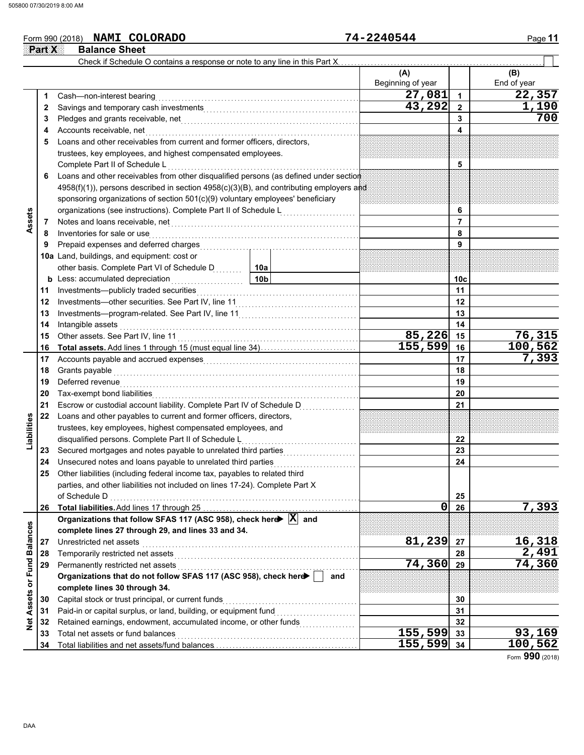## Form 990 (2018) Page **11 NAMI COLORADO 74-2240544 Part X** Balance Sheet

|                             |    |                                                                                                                                                                            | (A)<br>Beginning of year |                 | (B)<br>End of year     |
|-----------------------------|----|----------------------------------------------------------------------------------------------------------------------------------------------------------------------------|--------------------------|-----------------|------------------------|
|                             | 1  | Cash-non-interest bearing                                                                                                                                                  | 27,081                   | $\mathbf 1$     | 22,357                 |
|                             | 2  |                                                                                                                                                                            | 43,292                   | $\overline{2}$  | 1,190                  |
|                             | 3  |                                                                                                                                                                            |                          | 3               | 700                    |
|                             | 4  | Accounts receivable, net                                                                                                                                                   |                          | 4               |                        |
|                             | 5  | Loans and other receivables from current and former officers, directors,                                                                                                   |                          |                 |                        |
|                             |    | trustees, key employees, and highest compensated employees.                                                                                                                |                          |                 |                        |
|                             |    | Complete Part II of Schedule L                                                                                                                                             |                          | 5               |                        |
|                             | 6  | Loans and other receivables from other disqualified persons (as defined under section                                                                                      |                          |                 |                        |
|                             |    | 4958(f)(1)), persons described in section 4958(c)(3)(B), and contributing employers and                                                                                    |                          |                 |                        |
|                             |    | sponsoring organizations of section 501(c)(9) voluntary employees' beneficiary                                                                                             |                          |                 |                        |
|                             |    | organizations (see instructions). Complete Part II of Schedule L                                                                                                           |                          | 6               |                        |
| Assets                      | 7  | Notes and loans receivable, net                                                                                                                                            |                          | $\overline{7}$  |                        |
|                             | 8  | Inventories for sale or use                                                                                                                                                |                          | 8               |                        |
|                             | 9  | Prepaid expenses and deferred charges                                                                                                                                      |                          | 9               |                        |
|                             |    | 10a Land, buildings, and equipment: cost or                                                                                                                                |                          |                 |                        |
|                             |    | other basis. Complete Part VI of Schedule D<br>10a                                                                                                                         |                          |                 |                        |
|                             |    | <b>b</b> Less: accumulated depreciation<br>10 <sub>b</sub>                                                                                                                 |                          | 10 <sub>c</sub> |                        |
|                             | 11 | Investments-publicly traded securities                                                                                                                                     |                          | 11              |                        |
|                             | 12 |                                                                                                                                                                            |                          | 12              |                        |
|                             | 13 |                                                                                                                                                                            |                          | 13              |                        |
|                             | 14 | Intangible assets                                                                                                                                                          |                          | 14              |                        |
|                             | 15 | Other assets. See Part IV, line 11                                                                                                                                         | 85,226                   | 15              | 76,315                 |
|                             | 16 |                                                                                                                                                                            | 155,599                  | 16              | 100,562                |
|                             | 17 |                                                                                                                                                                            |                          | 17              | 7,393                  |
|                             | 18 | Grants payable                                                                                                                                                             |                          | 18              |                        |
|                             | 19 | Deferred revenue                                                                                                                                                           |                          | 19              |                        |
|                             | 20 | Tax-exempt bond liabilities                                                                                                                                                |                          | 20              |                        |
|                             | 21 | Escrow or custodial account liability. Complete Part IV of Schedule D                                                                                                      |                          | 21              |                        |
|                             | 22 | Loans and other payables to current and former officers, directors,                                                                                                        |                          |                 |                        |
| Liabilities                 |    | trustees, key employees, highest compensated employees, and                                                                                                                |                          |                 |                        |
|                             |    | disqualified persons. Complete Part II of Schedule L                                                                                                                       |                          | 22              |                        |
|                             | 23 | Secured mortgages and notes payable to unrelated third parties                                                                                                             |                          | 23              |                        |
|                             | 24 | Unsecured notes and loans payable to unrelated third parties                                                                                                               |                          | 24              |                        |
|                             | 25 | Other liabilities (including federal income tax, payables to related third                                                                                                 |                          |                 |                        |
|                             |    | parties, and other liabilities not included on lines 17-24). Complete Part X                                                                                               |                          |                 |                        |
|                             |    | of Schedule D                                                                                                                                                              |                          | 25              |                        |
|                             | 26 |                                                                                                                                                                            | 0                        | 26              | 7,393                  |
|                             |    | Organizations that follow SFAS 117 (ASC 958), check here $\blacktriangleright \overline{X}$ and                                                                            |                          |                 |                        |
|                             |    | complete lines 27 through 29, and lines 33 and 34.                                                                                                                         |                          |                 |                        |
|                             | 27 | Unrestricted net assets                                                                                                                                                    | 81,239                   | 27              | 16,318                 |
|                             | 28 | Temporarily restricted net assets                                                                                                                                          |                          | 28              | $\frac{2,491}{74,360}$ |
|                             | 29 | Permanently restricted net assets                                                                                                                                          | 74,360                   | 29              |                        |
| Net Assets or Fund Balances |    | Organizations that do not follow SFAS 117 (ASC 958), check here<br>and                                                                                                     |                          |                 |                        |
|                             |    | complete lines 30 through 34.                                                                                                                                              |                          |                 |                        |
|                             | 30 | Capital stock or trust principal, or current funds<br><u> 1986 - Johann Stoff, martin film ar yn y bennaf y de fel y brenning yn y brenning yn y brenning y brenning y</u> |                          | 30              |                        |
|                             | 31 | Paid-in or capital surplus, or land, building, or equipment fund                                                                                                           |                          | 31              |                        |
|                             | 32 | Retained earnings, endowment, accumulated income, or other funds                                                                                                           |                          | 32              |                        |
|                             | 33 | Total net assets or fund balances                                                                                                                                          | 155,599                  | 33              | <u>93,169</u>          |
|                             | 34 |                                                                                                                                                                            | 155,599                  | 34              | 100,562                |

Form **990** (2018)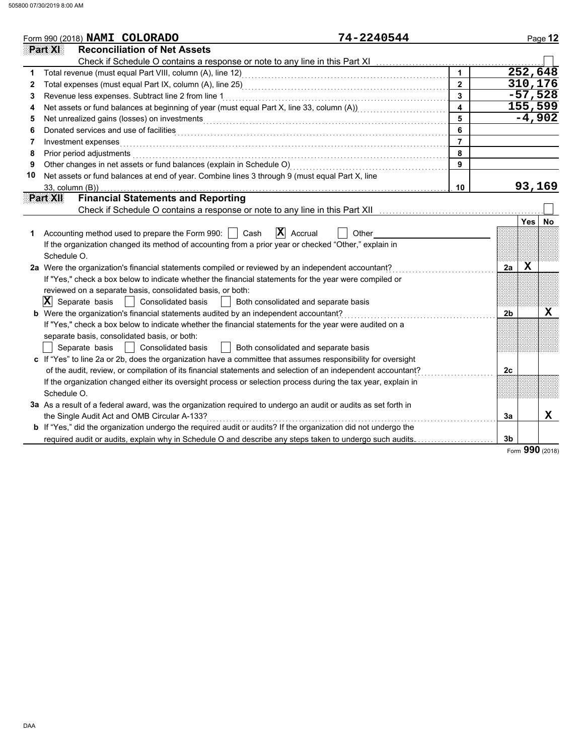|    | 74-2240544<br>Form 990 (2018) NAMI COLORADO                                                                                 |                         |    |          | Page 12   |
|----|-----------------------------------------------------------------------------------------------------------------------------|-------------------------|----|----------|-----------|
|    | Part XI<br><b>Reconciliation of Net Assets</b>                                                                              |                         |    |          |           |
|    |                                                                                                                             |                         |    |          |           |
| 1  | Total revenue (must equal Part VIII, column (A), line 12)                                                                   | $\mathbf{1}$            |    |          | 252,648   |
| 2  | Total expenses (must equal Part IX, column (A), line 25)<br>Total expenses (must equal Part IX, column (A), line 25)        | $\overline{2}$          |    |          | 310, 176  |
| 3  | Revenue less expenses. Subtract line 2 from line 1                                                                          | $\overline{\mathbf{3}}$ |    |          | $-57,528$ |
| 4  | Net assets or fund balances at beginning of year (must equal Part X, line 33, column (A))                                   | $\overline{\mathbf{4}}$ |    |          | 155,599   |
| 5  | Net unrealized gains (losses) on investments                                                                                | 5                       |    | $-4,902$ |           |
| 6  | Donated services and use of facilities <b>constructs</b> and a service of the service of the services and use of facilities | 6                       |    |          |           |
| 7  | Investment expenses                                                                                                         | $\overline{7}$          |    |          |           |
| 8  | Prior period adjustments with the contract of the contract of the contract of the contract of the contract of               | 8                       |    |          |           |
| 9  | Other changes in net assets or fund balances (explain in Schedule O)                                                        | 9                       |    |          |           |
| 10 | Net assets or fund balances at end of year. Combine lines 3 through 9 (must equal Part X, line                              |                         |    |          |           |
|    |                                                                                                                             | 10                      |    | 93,169   |           |
|    | <b>Financial Statements and Reporting</b><br>Part XII                                                                       |                         |    |          |           |
|    | Check if Schedule O contains a response or note to any line in this Part XII                                                |                         |    |          |           |
|    |                                                                                                                             |                         |    | Yes      | <b>No</b> |
| 1  | Accounting method used to prepare the Form 990:     Cash<br>$ \mathbf{X} $<br>Accrual<br>Other                              |                         |    |          |           |
|    | If the organization changed its method of accounting from a prior year or checked "Other," explain in                       |                         |    |          |           |
|    | Schedule O.                                                                                                                 |                         |    |          |           |
|    | 2a Were the organization's financial statements compiled or reviewed by an independent accountant?                          |                         | 2a | X        |           |
|    | If "Yes," check a box below to indicate whether the financial statements for the year were compiled or                      |                         |    |          |           |
|    | reviewed on a separate basis, consolidated basis, or both:                                                                  |                         |    |          |           |
|    | $ \mathbf{X} $ Separate basis $ \cdot $ Consolidated basis<br>Both consolidated and separate basis                          |                         |    |          |           |
|    | b Were the organization's financial statements audited by an independent accountant?                                        |                         | 2b |          | X         |
|    | If "Yes," check a box below to indicate whether the financial statements for the year were audited on a                     |                         |    |          |           |
|    | separate basis, consolidated basis, or both:                                                                                |                         |    |          |           |
|    | Separate basis<br>  Consolidated basis<br>Both consolidated and separate basis                                              |                         |    |          |           |
|    | c If "Yes" to line 2a or 2b, does the organization have a committee that assumes responsibility for oversight               |                         |    |          |           |
|    | of the audit, review, or compilation of its financial statements and selection of an independent accountant?                |                         | 2c |          |           |
|    | If the organization changed either its oversight process or selection process during the tax year, explain in               |                         |    |          |           |
|    | Schedule O.                                                                                                                 |                         |    |          |           |
|    | 3a As a result of a federal award, was the organization required to undergo an audit or audits as set forth in              |                         |    |          |           |
|    | the Single Audit Act and OMB Circular A-133?                                                                                |                         | 3a |          | X         |
|    | <b>b</b> If "Yes," did the organization undergo the required audit or audits? If the organization did not undergo the       |                         |    |          |           |
|    | required audit or audits, explain why in Schedule O and describe any steps taken to undergo such audits                     |                         | 3b |          |           |

Form **990** (2018)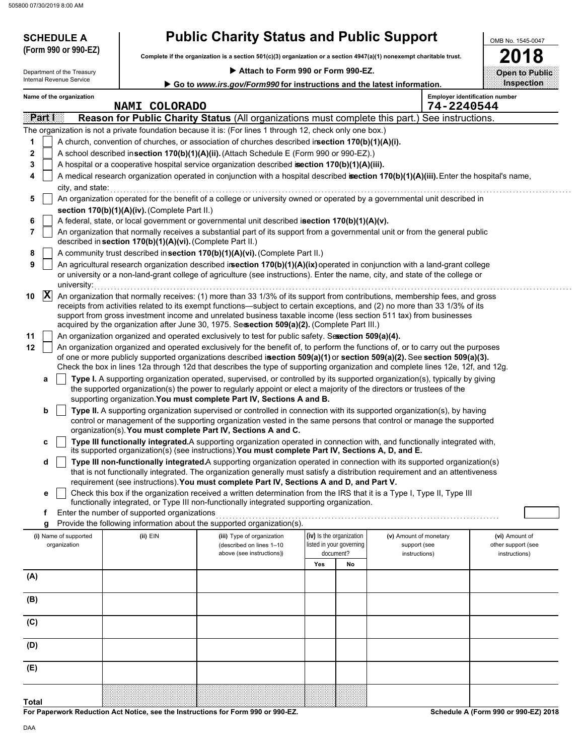505800 07/30/2019 8:00 AM

| (Form 990 or 990-EZ)       | Complete if the organization is a section 501(c)(3) organization or a section 4947(a)(1) nonexempt charitable trust. |                                                                                                                                                                                              |     |                          |                                                                                                                                                                                                                                                                |                       |  |  |
|----------------------------|----------------------------------------------------------------------------------------------------------------------|----------------------------------------------------------------------------------------------------------------------------------------------------------------------------------------------|-----|--------------------------|----------------------------------------------------------------------------------------------------------------------------------------------------------------------------------------------------------------------------------------------------------------|-----------------------|--|--|
| Department of the Treasury |                                                                                                                      | Attach to Form 990 or Form 990-EZ.                                                                                                                                                           |     |                          |                                                                                                                                                                                                                                                                | <b>Open to Public</b> |  |  |
| Internal Revenue Service   |                                                                                                                      | Go to www.irs.gov/Form990 for instructions and the latest information.                                                                                                                       |     |                          |                                                                                                                                                                                                                                                                | Inspection            |  |  |
| Name of the organization   |                                                                                                                      |                                                                                                                                                                                              |     |                          | <b>Employer identification number</b>                                                                                                                                                                                                                          |                       |  |  |
|                            | NAMI COLORADO                                                                                                        |                                                                                                                                                                                              |     |                          | 74-2240544                                                                                                                                                                                                                                                     |                       |  |  |
| Part I                     |                                                                                                                      |                                                                                                                                                                                              |     |                          | Reason for Public Charity Status (All organizations must complete this part.) See instructions.                                                                                                                                                                |                       |  |  |
|                            |                                                                                                                      | The organization is not a private foundation because it is: (For lines 1 through 12, check only one box.)                                                                                    |     |                          |                                                                                                                                                                                                                                                                |                       |  |  |
| 1                          |                                                                                                                      | A church, convention of churches, or association of churches described irsection 170(b)(1)(A)(i).                                                                                            |     |                          |                                                                                                                                                                                                                                                                |                       |  |  |
| 2<br>3                     |                                                                                                                      | A school described in section 170(b)(1)(A)(ii). (Attach Schedule E (Form 990 or 990-EZ).)<br>A hospital or a cooperative hospital service organization described isection 170(b)(1)(A)(iii). |     |                          |                                                                                                                                                                                                                                                                |                       |  |  |
| 4                          |                                                                                                                      |                                                                                                                                                                                              |     |                          | A medical research organization operated in conjunction with a hospital described section 170(b)(1)(A)(iii). Enter the hospital's name,                                                                                                                        |                       |  |  |
| city, and state:           |                                                                                                                      |                                                                                                                                                                                              |     |                          |                                                                                                                                                                                                                                                                |                       |  |  |
| 5                          |                                                                                                                      |                                                                                                                                                                                              |     |                          | An organization operated for the benefit of a college or university owned or operated by a governmental unit described in                                                                                                                                      |                       |  |  |
|                            | section 170(b)(1)(A)(iv). (Complete Part II.)                                                                        |                                                                                                                                                                                              |     |                          |                                                                                                                                                                                                                                                                |                       |  |  |
| 6                          |                                                                                                                      | A federal, state, or local government or governmental unit described isection 170(b)(1)(A)(v).                                                                                               |     |                          |                                                                                                                                                                                                                                                                |                       |  |  |
| $\overline{7}$             |                                                                                                                      |                                                                                                                                                                                              |     |                          | An organization that normally receives a substantial part of its support from a governmental unit or from the general public                                                                                                                                   |                       |  |  |
|                            | described in section 170(b)(1)(A)(vi). (Complete Part II.)                                                           |                                                                                                                                                                                              |     |                          |                                                                                                                                                                                                                                                                |                       |  |  |
| 8                          |                                                                                                                      | A community trust described in section 170(b)(1)(A)(vi). (Complete Part II.)                                                                                                                 |     |                          |                                                                                                                                                                                                                                                                |                       |  |  |
| 9                          |                                                                                                                      |                                                                                                                                                                                              |     |                          | An agricultural research organization described irsection 170(b)(1)(A)(ix) operated in conjunction with a land-grant college<br>or university or a non-land-grant college of agriculture (see instructions). Enter the name, city, and state of the college or |                       |  |  |
| university:                |                                                                                                                      |                                                                                                                                                                                              |     |                          |                                                                                                                                                                                                                                                                |                       |  |  |
| $\mathbf{x}$<br>10         |                                                                                                                      |                                                                                                                                                                                              |     |                          | An organization that normally receives: (1) more than 33 1/3% of its support from contributions, membership fees, and gross<br>receipts from activities related to its exempt functions—subject to certain exceptions, and (2) no more than 33 1/3% of its     |                       |  |  |
|                            |                                                                                                                      | acquired by the organization after June 30, 1975. Sesection 509(a)(2). (Complete Part III.)                                                                                                  |     |                          | support from gross investment income and unrelated business taxable income (less section 511 tax) from businesses                                                                                                                                              |                       |  |  |
| 11                         |                                                                                                                      | An organization organized and operated exclusively to test for public safety. Sexection 509(a)(4).                                                                                           |     |                          |                                                                                                                                                                                                                                                                |                       |  |  |
| 12                         |                                                                                                                      |                                                                                                                                                                                              |     |                          | An organization organized and operated exclusively for the benefit of, to perform the functions of, or to carry out the purposes                                                                                                                               |                       |  |  |
|                            |                                                                                                                      |                                                                                                                                                                                              |     |                          | of one or more publicly supported organizations described issection 509(a)(1) or section 509(a)(2). See section 509(a)(3).                                                                                                                                     |                       |  |  |
|                            |                                                                                                                      |                                                                                                                                                                                              |     |                          | Check the box in lines 12a through 12d that describes the type of supporting organization and complete lines 12e, 12f, and 12g.                                                                                                                                |                       |  |  |
| a                          |                                                                                                                      | the supported organization(s) the power to regularly appoint or elect a majority of the directors or trustees of the                                                                         |     |                          | Type I. A supporting organization operated, supervised, or controlled by its supported organization(s), typically by giving                                                                                                                                    |                       |  |  |
|                            |                                                                                                                      | supporting organization. You must complete Part IV, Sections A and B.                                                                                                                        |     |                          |                                                                                                                                                                                                                                                                |                       |  |  |
| b                          |                                                                                                                      |                                                                                                                                                                                              |     |                          | Type II. A supporting organization supervised or controlled in connection with its supported organization(s), by having                                                                                                                                        |                       |  |  |
|                            |                                                                                                                      |                                                                                                                                                                                              |     |                          | control or management of the supporting organization vested in the same persons that control or manage the supported                                                                                                                                           |                       |  |  |
|                            |                                                                                                                      | organization(s). You must complete Part IV, Sections A and C.                                                                                                                                |     |                          |                                                                                                                                                                                                                                                                |                       |  |  |
| c                          |                                                                                                                      |                                                                                                                                                                                              |     |                          | Type III functionally integrated.A supporting organization operated in connection with, and functionally integrated with,                                                                                                                                      |                       |  |  |
| d                          |                                                                                                                      | its supported organization(s) (see instructions). You must complete Part IV, Sections A, D, and E.                                                                                           |     |                          | Type III non-functionally integrated A supporting organization operated in connection with its supported organization(s)                                                                                                                                       |                       |  |  |
|                            |                                                                                                                      |                                                                                                                                                                                              |     |                          | that is not functionally integrated. The organization generally must satisfy a distribution requirement and an attentiveness                                                                                                                                   |                       |  |  |
|                            |                                                                                                                      | requirement (see instructions). You must complete Part IV, Sections A and D, and Part V.                                                                                                     |     |                          |                                                                                                                                                                                                                                                                |                       |  |  |
| е                          |                                                                                                                      |                                                                                                                                                                                              |     |                          | Check this box if the organization received a written determination from the IRS that it is a Type I, Type II, Type III                                                                                                                                        |                       |  |  |
|                            |                                                                                                                      | functionally integrated, or Type III non-functionally integrated supporting organization.                                                                                                    |     |                          |                                                                                                                                                                                                                                                                |                       |  |  |
| f<br>g                     | Enter the number of supported organizations                                                                          | Provide the following information about the supported organization(s).                                                                                                                       |     |                          |                                                                                                                                                                                                                                                                |                       |  |  |
| (i) Name of supported      | (ii) EIN                                                                                                             | (iii) Type of organization                                                                                                                                                                   |     | (iv) Is the organization | (v) Amount of monetary                                                                                                                                                                                                                                         | (vi) Amount of        |  |  |
| organization               |                                                                                                                      | (described on lines 1-10                                                                                                                                                                     |     | listed in your governing | support (see                                                                                                                                                                                                                                                   | other support (see    |  |  |
|                            |                                                                                                                      | above (see instructions))                                                                                                                                                                    |     | document?                | instructions)                                                                                                                                                                                                                                                  | instructions)         |  |  |
|                            |                                                                                                                      |                                                                                                                                                                                              | Yes | No                       |                                                                                                                                                                                                                                                                |                       |  |  |
| (A)                        |                                                                                                                      |                                                                                                                                                                                              |     |                          |                                                                                                                                                                                                                                                                |                       |  |  |
| (B)                        |                                                                                                                      |                                                                                                                                                                                              |     |                          |                                                                                                                                                                                                                                                                |                       |  |  |
|                            |                                                                                                                      |                                                                                                                                                                                              |     |                          |                                                                                                                                                                                                                                                                |                       |  |  |
| (C)                        |                                                                                                                      |                                                                                                                                                                                              |     |                          |                                                                                                                                                                                                                                                                |                       |  |  |
|                            |                                                                                                                      |                                                                                                                                                                                              |     |                          |                                                                                                                                                                                                                                                                |                       |  |  |
| (D)                        |                                                                                                                      |                                                                                                                                                                                              |     |                          |                                                                                                                                                                                                                                                                |                       |  |  |
|                            |                                                                                                                      |                                                                                                                                                                                              |     |                          |                                                                                                                                                                                                                                                                |                       |  |  |
| (E)                        |                                                                                                                      |                                                                                                                                                                                              |     |                          |                                                                                                                                                                                                                                                                |                       |  |  |
|                            |                                                                                                                      |                                                                                                                                                                                              |     |                          |                                                                                                                                                                                                                                                                |                       |  |  |
|                            |                                                                                                                      |                                                                                                                                                                                              |     |                          |                                                                                                                                                                                                                                                                |                       |  |  |

88888

**For Paperwork Reduction Act Notice, see the Instructions for Form 990 or 990-EZ.**

**Schedule A (Form 990 or 990-EZ) 2018**

**Total**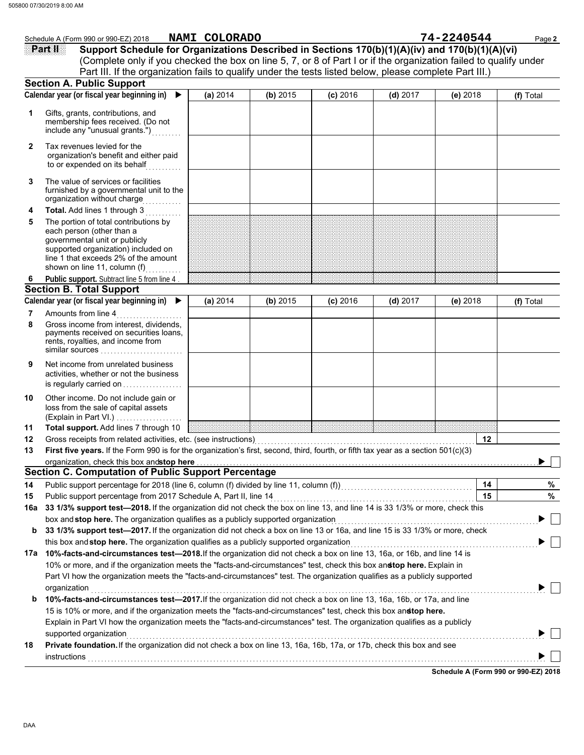|     | Schedule A (Form 990 or 990-EZ) 2018                                                                                                                                                                                                               | NAMI COLORADO |          |            |            | 74-2240544 | Page 2    |
|-----|----------------------------------------------------------------------------------------------------------------------------------------------------------------------------------------------------------------------------------------------------|---------------|----------|------------|------------|------------|-----------|
|     | Support Schedule for Organizations Described in Sections 170(b)(1)(A)(iv) and 170(b)(1)(A)(vi)<br>Part II                                                                                                                                          |               |          |            |            |            |           |
|     | (Complete only if you checked the box on line 5, 7, or 8 of Part I or if the organization failed to qualify under                                                                                                                                  |               |          |            |            |            |           |
|     | Part III. If the organization fails to qualify under the tests listed below, please complete Part III.)                                                                                                                                            |               |          |            |            |            |           |
|     | <b>Section A. Public Support</b>                                                                                                                                                                                                                   |               |          |            |            |            |           |
|     | Calendar year (or fiscal year beginning in)                                                                                                                                                                                                        | (a) 2014      | (b) 2015 | $(c)$ 2016 | $(d)$ 2017 | (e) $2018$ | (f) Total |
| 1   | Gifts, grants, contributions, and<br>membership fees received. (Do not<br>include any "unusual grants.")                                                                                                                                           |               |          |            |            |            |           |
| 2   | Tax revenues levied for the<br>organization's benefit and either paid<br>to or expended on its behalf<br>de de decembre                                                                                                                            |               |          |            |            |            |           |
| 3   | The value of services or facilities<br>furnished by a governmental unit to the<br>organization without charge                                                                                                                                      |               |          |            |            |            |           |
| 4   | Total. Add lines 1 through 3                                                                                                                                                                                                                       |               |          |            |            |            |           |
| 5   | The portion of total contributions by<br>each person (other than a<br>governmental unit or publicly<br>supported organization) included on<br>line 1 that exceeds 2% of the amount<br>shown on line 11, column (f)                                 |               |          |            |            |            |           |
| 6   | Public support. Subtract line 5 from line 4.                                                                                                                                                                                                       |               |          |            |            |            |           |
|     | <b>Section B. Total Support</b>                                                                                                                                                                                                                    |               |          |            |            |            |           |
|     | Calendar year (or fiscal year beginning in) $\blacktriangleright$                                                                                                                                                                                  | (a) 2014      | (b) 2015 | $(c)$ 2016 | $(d)$ 2017 | $(e)$ 2018 | (f) Total |
| 7   | Amounts from line 4                                                                                                                                                                                                                                |               |          |            |            |            |           |
| 8   | Gross income from interest, dividends,<br>payments received on securities loans,<br>rents, royalties, and income from<br>similar sources                                                                                                           |               |          |            |            |            |           |
| 9   | Net income from unrelated business<br>activities, whether or not the business                                                                                                                                                                      |               |          |            |            |            |           |
|     | is regularly carried on                                                                                                                                                                                                                            |               |          |            |            |            |           |
| 10  | Other income. Do not include gain or<br>loss from the sale of capital assets<br>(Explain in Part VI.)                                                                                                                                              |               |          |            |            |            |           |
| 11  | Total support. Add lines 7 through 10                                                                                                                                                                                                              |               |          |            |            |            |           |
| 12  | Gross receipts from related activities, etc. (see instructions)<br>interconsumedial contains accommodation of the container container and the container activities of the contain                                                                  |               |          |            |            | 12         |           |
| 13  | First five years. If the Form 990 is for the organization's first, second, third, fourth, or fifth tax year as a section 501(c)(3)                                                                                                                 |               |          |            |            |            |           |
|     | organization, check this box andstop here                                                                                                                                                                                                          |               |          |            |            |            |           |
|     | <b>Section C. Computation of Public Support Percentage</b>                                                                                                                                                                                         |               |          |            |            |            |           |
| 14  | Public support percentage for 2018 (line 6, column (f) divided by line 11, column (f) [[[[[[[[[[[[[[[[[[[[[[[                                                                                                                                      |               |          |            |            | 14         | $\%$      |
| 15  | Public support percentage from 2017 Schedule A, Part II, line 14                                                                                                                                                                                   |               |          |            |            | 15         | $\%$      |
| 16a | 33 1/3% support test-2018. If the organization did not check the box on line 13, and line 14 is 33 1/3% or more, check this                                                                                                                        |               |          |            |            |            |           |
|     | box and stop here. The organization qualifies as a publicly supported organization                                                                                                                                                                 |               |          |            |            |            |           |
| b   | 33 1/3% support test-2017. If the organization did not check a box on line 13 or 16a, and line 15 is 33 1/3% or more, check                                                                                                                        |               |          |            |            |            |           |
|     | this box and stop here. The organization qualifies as a publicly supported organization                                                                                                                                                            |               |          |            |            |            |           |
|     | 17a 10%-facts-and-circumstances test-2018. If the organization did not check a box on line 13, 16a, or 16b, and line 14 is                                                                                                                         |               |          |            |            |            |           |
|     | 10% or more, and if the organization meets the "facts-and-circumstances" test, check this box andtop here. Explain in<br>Part VI how the organization meets the "facts-and-circumstances" test. The organization qualifies as a publicly supported |               |          |            |            |            |           |
|     | organization                                                                                                                                                                                                                                       |               |          |            |            |            |           |
| b   | 10%-facts-and-circumstances test-2017. If the organization did not check a box on line 13, 16a, 16b, or 17a, and line                                                                                                                              |               |          |            |            |            |           |
|     | 15 is 10% or more, and if the organization meets the "facts-and-circumstances" test, check this box andtop here.                                                                                                                                   |               |          |            |            |            |           |
|     | Explain in Part VI how the organization meets the "facts-and-circumstances" test. The organization qualifies as a publicly                                                                                                                         |               |          |            |            |            |           |
|     | supported organization<br>Private foundation. If the organization did not check a box on line 13, 16a, 16b, 17a, or 17b, check this box and see                                                                                                    |               |          |            |            |            |           |
| 18  |                                                                                                                                                                                                                                                    |               |          |            |            |            |           |
|     |                                                                                                                                                                                                                                                    |               |          |            |            |            |           |

**Schedule A (Form 990 or 990-EZ) 2018**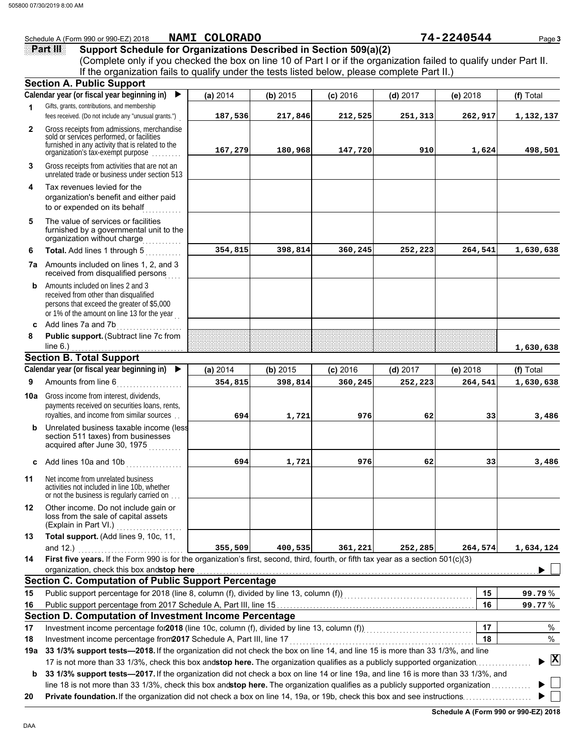|              | Schedule A (Form 990 or 990-EZ) 2018                                                                                                                                    | NAMI COLORADO |          |            |            | 74-2240544 | Page 3         |  |  |
|--------------|-------------------------------------------------------------------------------------------------------------------------------------------------------------------------|---------------|----------|------------|------------|------------|----------------|--|--|
|              | Support Schedule for Organizations Described in Section 509(a)(2)<br><b>Part III</b>                                                                                    |               |          |            |            |            |                |  |  |
|              | (Complete only if you checked the box on line 10 of Part I or if the organization failed to qualify under Part II.                                                      |               |          |            |            |            |                |  |  |
|              | If the organization fails to qualify under the tests listed below, please complete Part II.)                                                                            |               |          |            |            |            |                |  |  |
|              | <b>Section A. Public Support</b>                                                                                                                                        |               |          |            |            |            |                |  |  |
|              | Calendar year (or fiscal year beginning in)<br>▶                                                                                                                        | (a) 2014      | (b) 2015 | $(c)$ 2016 | (d) $2017$ | (e) 2018   | (f) Total      |  |  |
| 1            | Gifts, grants, contributions, and membership<br>fees received. (Do not include any "unusual grants.")                                                                   | 187,536       | 217,846  | 212,525    | 251,313    | 262,917    | 1,132,137      |  |  |
| $\mathbf{2}$ | Gross receipts from admissions, merchandise<br>sold or services performed, or facilities<br>furnished in any activity that is related to the                            |               |          |            |            |            |                |  |  |
|              | organization's tax-exempt purpose                                                                                                                                       | 167,279       | 180,968  | 147,720    | 910        | 1,624      | 498,501        |  |  |
| 3            | Gross receipts from activities that are not an<br>unrelated trade or business under section 513                                                                         |               |          |            |            |            |                |  |  |
| 4            | Tax revenues levied for the<br>organization's benefit and either paid<br>to or expended on its behalf                                                                   |               |          |            |            |            |                |  |  |
| 5            | The value of services or facilities<br>furnished by a governmental unit to the<br>organization without charge<br>.                                                      |               |          |            |            |            |                |  |  |
| 6            | Total. Add lines 1 through 5                                                                                                                                            | 354,815       | 398,814  | 360,245    | 252,223    | 264,541    | 1,630,638      |  |  |
|              | 7a Amounts included on lines 1, 2, and 3<br>received from disqualified persons                                                                                          |               |          |            |            |            |                |  |  |
| b            | Amounts included on lines 2 and 3<br>received from other than disqualified<br>persons that exceed the greater of \$5,000<br>or 1% of the amount on line 13 for the year |               |          |            |            |            |                |  |  |
| c            | Add lines 7a and 7b                                                                                                                                                     |               |          |            |            |            |                |  |  |
| 8            | Public support. (Subtract line 7c from                                                                                                                                  |               |          |            |            |            |                |  |  |
|              | line $6.$ )                                                                                                                                                             |               |          |            |            |            | 1,630,638      |  |  |
|              | <b>Section B. Total Support</b>                                                                                                                                         |               |          |            |            |            |                |  |  |
|              | Calendar year (or fiscal year beginning in) $\blacktriangleright$                                                                                                       | (a) 2014      | (b) 2015 | $(c)$ 2016 | $(d)$ 2017 | (e) 2018   | (f) Total      |  |  |
| 9            | Amounts from line 6                                                                                                                                                     | 354,815       | 398,814  | 360,245    | 252,223    | 264,541    | 1,630,638      |  |  |
|              | <b>10a</b> Gross income from interest, dividends,<br>payments received on securities loans, rents,<br>royalties, and income from similar sources.                       | 694           | 1,721    | 976        | 62         | 33         | 3,486          |  |  |
| b            | Unrelated business taxable income (less<br>section 511 taxes) from businesses<br>acquired after June 30, 1975                                                           |               |          |            |            |            |                |  |  |
| c            | Add lines 10a and 10b                                                                                                                                                   | 694           | 1,721    | 976        | 62         | 33         | 3,486          |  |  |
| 11           | Net income from unrelated business<br>activities not included in line 10b, whether<br>or not the business is regularly carried on                                       |               |          |            |            |            |                |  |  |
| 12           | Other income. Do not include gain or<br>loss from the sale of capital assets<br>(Explain in Part VI.)                                                                   |               |          |            |            |            |                |  |  |
| 13           | Total support. (Add lines 9, 10c, 11,                                                                                                                                   |               |          |            |            |            |                |  |  |
| 14           | and $12.$ )<br>First five years. If the Form 990 is for the organization's first, second, third, fourth, or fifth tax year as a section 501(c)(3)                       | 355,509       | 400,535  | 361,221    | 252,285    | 264,574    | 1,634,124      |  |  |
|              | organization, check this box andstop here                                                                                                                               |               |          |            |            |            |                |  |  |
|              | <b>Section C. Computation of Public Support Percentage</b>                                                                                                              |               |          |            |            |            |                |  |  |
| 15           | Public support percentage for 2018 (line 8, column (f), divided by line 13, column (f)) [[[[[[[[[[[[[[[[[[[[[                                                           |               |          |            |            | 15         | 99.79%         |  |  |
| 16           |                                                                                                                                                                         |               |          |            |            | 16         | 99.77%         |  |  |
|              | Section D. Computation of Investment Income Percentage                                                                                                                  |               |          |            |            |            |                |  |  |
| 17           | Investment income percentage for2018 (line 10c, column (f), divided by line 13, column (f))                                                                             |               |          |            |            | 17         | %              |  |  |
| 18           | Investment income percentage from 2017 Schedule A, Part III, line 17                                                                                                    |               |          |            |            | 18         | $\%$           |  |  |
| 19a          | 33 1/3% support tests-2018. If the organization did not check the box on line 14, and line 15 is more than 33 1/3%, and line                                            |               |          |            |            |            |                |  |  |
|              | 17 is not more than 33 1/3%, check this box andstop here. The organization qualifies as a publicly supported organization                                               |               |          |            |            |            | $ \mathbf{X} $ |  |  |
| b            | 33 1/3% support tests-2017. If the organization did not check a box on line 14 or line 19a, and line 16 is more than 33 1/3%, and                                       |               |          |            |            |            |                |  |  |
|              | line 18 is not more than 33 1/3%, check this box andstop here. The organization qualifies as a publicly supported organization                                          |               |          |            |            |            |                |  |  |

**Schedule A (Form 990 or 990-EZ) 2018**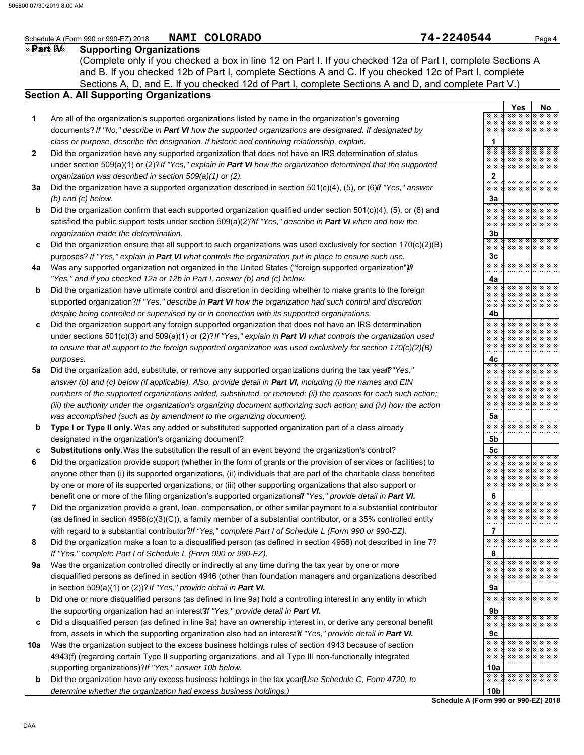#### **Part IV** Supporting Organizations Sections A, D, and E. If you checked 12d of Part I, complete Sections A and D, and complete Part V.) Schedule A (Form 990 or 990-EZ) 2018 **NAMI COLORADO Page 4 Page 4 Page 4 Page 4 Section A. All Supporting Organizations** (Complete only if you checked a box in line 12 on Part I. If you checked 12a of Part I, complete Sections A and B. If you checked 12b of Part I, complete Sections A and C. If you checked 12c of Part I, complete Are all of the organization's supported organizations listed by name in the organization's governing documents? *If "No," describe in Part VI how the supported organizations are designated. If designated by class or purpose, describe the designation. If historic and continuing relationship, explain.* Did the organization have any supported organization that does not have an IRS determination of status under section 509(a)(1) or (2)? *If "Yes," explain in Part VI how the organization determined that the supported organization was described in section 509(a)(1) or (2).* **1 2 3a** Did the organization have a supported organization described in section 501(c)(4), (5), or (6)? *If "Yes," answer* **b c 4a b c 5a** Did the organization add, substitute, or remove any supported organizations during the tax year? *I'Yes*, " **b c 6 7 8 9a b c 10a** *(b) and (c) below.* Did the organization confirm that each supported organization qualified under section 501(c)(4), (5), or (6) and satisfied the public support tests under section 509(a)(2)?*If "Yes," describe in Part VI when and how the organization made the determination.* Did the organization ensure that all support to such organizations was used exclusively for section  $170(c)(2)(B)$ purposes? *If "Yes," explain in Part VI what controls the organization put in place to ensure such use.* Was any supported organization not organized in the United States ("foreign supported organization")? *If "Yes," and if you checked 12a or 12b in Part I, answer (b) and (c) below.* Did the organization have ultimate control and discretion in deciding whether to make grants to the foreign supported organization? *If "Yes," describe in Part VI how the organization had such control and discretion despite being controlled or supervised by or in connection with its supported organizations.* Did the organization support any foreign supported organization that does not have an IRS determination under sections 501(c)(3) and 509(a)(1) or (2)? *If "Yes," explain in Part VI what controls the organization used to ensure that all support to the foreign supported organization was used exclusively for section 170(c)(2)(B) purposes.* answer (b) and (c) below (if applicable). Also, provide detail in **Part VI**, *including (i)* the names and EIN *numbers of the supported organizations added, substituted, or removed; (ii) the reasons for each such action; (iii) the authority under the organization's organizing document authorizing such action; and (iv) how the action was accomplished (such as by amendment to the organizing document).* **Type I or Type II only.** Was any added or substituted supported organization part of a class already designated in the organization's organizing document? **Substitutions only.** Was the substitution the result of an event beyond the organization's control? Did the organization provide support (whether in the form of grants or the provision of services or facilities) to anyone other than (i) its supported organizations, (ii) individuals that are part of the charitable class benefited by one or more of its supported organizations, or (iii) other supporting organizations that also support or benefit one or more of the filing organization's supported organizations<sup>[*f</sup> "Yes," provide detail in Part VI.*</sup> Did the organization provide a grant, loan, compensation, or other similar payment to a substantial contributor (as defined in section 4958(c)(3)(C)), a family member of a substantial contributor, or a 35% controlled entity with regard to a substantial contributor?*If "Yes," complete Part I of Schedule L (Form 990 or 990-EZ)*. Did the organization make a loan to a disqualified person (as defined in section 4958) not described in line 7? *If "Yes," complete Part I of Schedule L (Form 990 or 990-EZ).* Was the organization controlled directly or indirectly at any time during the tax year by one or more disqualified persons as defined in section 4946 (other than foundation managers and organizations described in section 509(a)(1) or (2))? *If "Yes," provide detail in Part VI.* Did one or more disqualified persons (as defined in line 9a) hold a controlling interest in any entity in which the supporting organization had an interest? *If "Yes," provide detail in Part VI.* Did a disqualified person (as defined in line 9a) have an ownership interest in, or derive any personal benefit from, assets in which the supporting organization also had an interest?*f* "Yes," provide detail in Part VI. Was the organization subject to the excess business holdings rules of section 4943 because of section 4943(f) (regarding certain Type II supporting organizations, and all Type III non-functionally integrated supporting organizations)? *If "Yes," answer 10b below.* **Yes No 1 2 3a 3b 3c 4a 4b 4c 5a 5b 5c 6 7 8 9a 9b 9c NAMI COLORADO**

Did the organization have any excess business holdings in the tax year? *Use Schedule C, Form 4720, to* 

*determine whether the organization had excess business holdings.)*

**Schedule A (Form 990 or 990-EZ) 2018 10b**

**10a**

**b**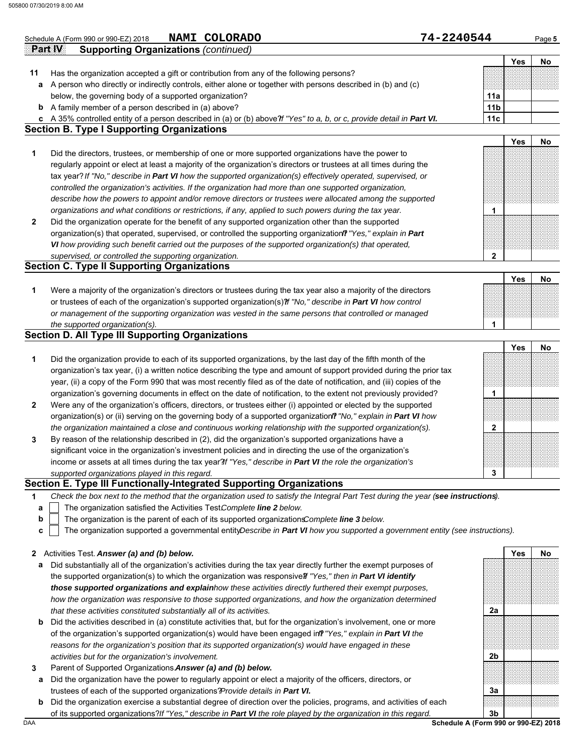|              | NAMI COLORADO<br>Schedule A (Form 990 or 990-EZ) 2018                                                                  | 74-2240544      |     | Page 5 |
|--------------|------------------------------------------------------------------------------------------------------------------------|-----------------|-----|--------|
|              | <b>Supporting Organizations (continued)</b><br>Part IV                                                                 |                 |     |        |
|              |                                                                                                                        |                 | Yes | No     |
| 11           | Has the organization accepted a gift or contribution from any of the following persons?                                |                 |     |        |
|              | a A person who directly or indirectly controls, either alone or together with persons described in (b) and (c)         |                 |     |        |
|              | below, the governing body of a supported organization?                                                                 | 11a             |     |        |
|              | <b>b</b> A family member of a person described in (a) above?                                                           | 11 <sub>b</sub> |     |        |
|              | c A 35% controlled entity of a person described in (a) or (b) above 7f "Yes" to a, b, or c, provide detail in Part VI. | 11c             |     |        |
|              | <b>Section B. Type I Supporting Organizations</b>                                                                      |                 |     |        |
|              |                                                                                                                        |                 | Yes | No     |
| 1            | Did the directors, trustees, or membership of one or more supported organizations have the power to                    |                 |     |        |
|              | regularly appoint or elect at least a majority of the organization's directors or trustees at all times during the     |                 |     |        |
|              | tax year? If "No," describe in Part VI how the supported organization(s) effectively operated, supervised, or          |                 |     |        |
|              | controlled the organization's activities. If the organization had more than one supported organization,                |                 |     |        |
|              | describe how the powers to appoint and/or remove directors or trustees were allocated among the supported              |                 |     |        |
|              | organizations and what conditions or restrictions, if any, applied to such powers during the tax year.                 | 1               |     |        |
| $\mathbf{2}$ | Did the organization operate for the benefit of any supported organization other than the supported                    |                 |     |        |
|              | organization(s) that operated, supervised, or controlled the supporting organization ?" Yes," explain in Part          |                 |     |        |
|              | VI how providing such benefit carried out the purposes of the supported organization(s) that operated,                 |                 |     |        |
|              | supervised, or controlled the supporting organization.                                                                 | $\overline{2}$  |     |        |
|              | <b>Section C. Type II Supporting Organizations</b>                                                                     |                 |     |        |
|              |                                                                                                                        |                 | Yes | No     |
| 1            | Were a majority of the organization's directors or trustees during the tax year also a majority of the directors       |                 |     |        |
|              | or trustees of each of the organization's supported organization(s) ?f "No," describe in Part VI how control           |                 |     |        |
|              | or management of the supporting organization was vested in the same persons that controlled or managed                 |                 |     |        |
|              | the supported organization(s).                                                                                         | 1               |     |        |
|              | <b>Section D. All Type III Supporting Organizations</b>                                                                |                 |     |        |
|              |                                                                                                                        |                 | Yes | No     |
| 1            | Did the organization provide to each of its supported organizations, by the last day of the fifth month of the         |                 |     |        |
|              | organization's tax year, (i) a written notice describing the type and amount of support provided during the prior tax  |                 |     |        |
|              | year, (ii) a copy of the Form 990 that was most recently filed as of the date of notification, and (iii) copies of the |                 |     |        |
|              | organization's governing documents in effect on the date of notification, to the extent not previously provided?       | 1               |     |        |
| $\mathbf{2}$ | Were any of the organization's officers, directors, or trustees either (i) appointed or elected by the supported       |                 |     |        |
|              | organization(s) or (ii) serving on the governing body of a supported organization/? "No," explain in Part VI how       |                 |     |        |
|              | the organization maintained a close and continuous working relationship with the supported organization(s).            | 2               |     |        |
| 3            | By reason of the relationship described in (2), did the organization's supported organizations have a                  |                 |     |        |
|              | significant voice in the organization's investment policies and in directing the use of the organization's             |                 |     |        |
|              | income or assets at all times during the tax year?If "Yes," describe in Part VI the role the organization's            |                 |     |        |
|              | supported organizations played in this regard.                                                                         | 3               |     |        |

### **Section E. Type III Functionally-Integrated Supporting Organizations**

**1** *Check the box next to the method that the organization used to satisfy the Integral Part Test during the year (see instructions).*

- The organization satisfied the Activities Test. *Complete line 2 below.* **a**
- The organization is the parent of each of its supported organizationsComplete line 3 below. **b**

The organization supported a governmental entityDescribe in Part VI how you supported a government entity (see instructions). **c**

|  | 2 Activities Test. Answer (a) and (b) below. |  |  |  |  |  |  |
|--|----------------------------------------------|--|--|--|--|--|--|
|--|----------------------------------------------|--|--|--|--|--|--|

- **a** Did substantially all of the organization's activities during the tax year directly further the exempt purposes of the supported organization(s) to which the organization was responsive? *"Yes," then in Part VI identify those supported organizations and explain how these activities directly furthered their exempt purposes, how the organization was responsive to those supported organizations, and how the organization determined that these activities constituted substantially all of its activities.*
- **b** Did the activities described in (a) constitute activities that, but for the organization's involvement, one or more of the organization's supported organization(s) would have been engaged in? "Yes," explain in Part VI the *reasons for the organization's position that its supported organization(s) would have engaged in these activities but for the organization's involvement.*
- **3** Parent of Supported Organizations. *Answer (a) and (b) below.*
- **a** Did the organization have the power to regularly appoint or elect a majority of the officers, directors, or trustees of each of the supported organizations? *Provide details in Part VI.*
- DAA **Schedule A (Form 990 or 990-EZ) 2018 b** Did the organization exercise a substantial degree of direction over the policies, programs, and activities of each of its supported organizations? *If "Yes," describe in Part VI the role played by the organization in this regard.*

**Yes No 2a 2b 3a 3b**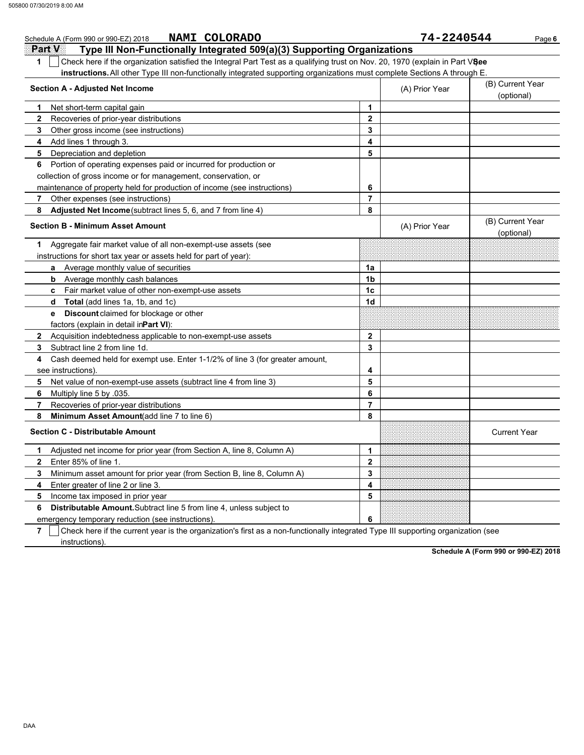| NAMI COLORADO<br>Schedule A (Form 990 or 990-EZ) 2018                                                                             |                | 74-2240544     | Page 6                         |
|-----------------------------------------------------------------------------------------------------------------------------------|----------------|----------------|--------------------------------|
| <b>Part V</b><br>Type III Non-Functionally Integrated 509(a)(3) Supporting Organizations                                          |                |                |                                |
| Check here if the organization satisfied the Integral Part Test as a qualifying trust on Nov. 20, 1970 (explain in Part VSee<br>1 |                |                |                                |
| instructions. All other Type III non-functionally integrated supporting organizations must complete Sections A through E.         |                |                |                                |
| <b>Section A - Adjusted Net Income</b>                                                                                            |                | (A) Prior Year | (B) Current Year               |
|                                                                                                                                   |                |                | (optional)                     |
| Net short-term capital gain<br>1                                                                                                  | 1              |                |                                |
| $\mathbf{2}$<br>Recoveries of prior-year distributions                                                                            | $\mathbf{2}$   |                |                                |
| 3<br>Other gross income (see instructions)                                                                                        | 3              |                |                                |
| Add lines 1 through 3.<br>4                                                                                                       | 4              |                |                                |
| 5<br>Depreciation and depletion                                                                                                   | 5              |                |                                |
| Portion of operating expenses paid or incurred for production or<br>6                                                             |                |                |                                |
| collection of gross income or for management, conservation, or                                                                    |                |                |                                |
| maintenance of property held for production of income (see instructions)                                                          | 6              |                |                                |
| Other expenses (see instructions)<br>$\overline{7}$                                                                               | $\overline{7}$ |                |                                |
| 8<br>Adjusted Net Income (subtract lines 5, 6, and 7 from line 4)                                                                 | 8              |                |                                |
| <b>Section B - Minimum Asset Amount</b>                                                                                           |                | (A) Prior Year | (B) Current Year<br>(optional) |
| Aggregate fair market value of all non-exempt-use assets (see<br>1                                                                |                |                |                                |
| instructions for short tax year or assets held for part of year):                                                                 |                |                |                                |
| a Average monthly value of securities                                                                                             | 1a             |                |                                |
| Average monthly cash balances<br>b                                                                                                | 1b             |                |                                |
| c Fair market value of other non-exempt-use assets                                                                                | 1c             |                |                                |
| <b>Total</b> (add lines 1a, 1b, and 1c)<br>d                                                                                      | 1d             |                |                                |
| <b>e</b> Discount claimed for blockage or other                                                                                   |                |                |                                |
| factors (explain in detail inPart VI):                                                                                            |                |                |                                |
| Acquisition indebtedness applicable to non-exempt-use assets<br>$\mathbf{2}$                                                      | 2              |                |                                |
| 3<br>Subtract line 2 from line 1d.                                                                                                | 3              |                |                                |
| Cash deemed held for exempt use. Enter 1-1/2% of line 3 (for greater amount,<br>4                                                 |                |                |                                |
| see instructions).                                                                                                                | 4              |                |                                |
| 5<br>Net value of non-exempt-use assets (subtract line 4 from line 3)                                                             | 5              |                |                                |
| 6<br>Multiply line 5 by 035.                                                                                                      | 6              |                |                                |
| $\overline{7}$<br>Recoveries of prior-year distributions                                                                          | $\overline{7}$ |                |                                |
| 8<br>Minimum Asset Amount(add line 7 to line 6)                                                                                   | 8              |                |                                |
| <b>Section C - Distributable Amount</b>                                                                                           |                |                | <b>Current Year</b>            |
| Adjusted net income for prior year (from Section A, line 8, Column A)<br>1                                                        | 1              |                |                                |
| Enter 85% of line 1.<br>$\mathbf{2}$                                                                                              | $\mathbf{2}$   |                |                                |
| Minimum asset amount for prior year (from Section B, line 8, Column A)<br>3                                                       | 3              |                |                                |
| Enter greater of line 2 or line 3.<br>4                                                                                           | 4              |                |                                |
| 5<br>Income tax imposed in prior year                                                                                             | 5              |                |                                |
| <b>Distributable Amount.</b> Subtract line 5 from line 4, unless subject to<br>6                                                  |                |                |                                |
| emergency temporary reduction (see instructions)                                                                                  | 6              |                |                                |

**7** instructions). Check here if the current year is the organization's first as a non-functionally integrated Type III supporting organization (see

**Schedule A (Form 990 or 990-EZ) 2018**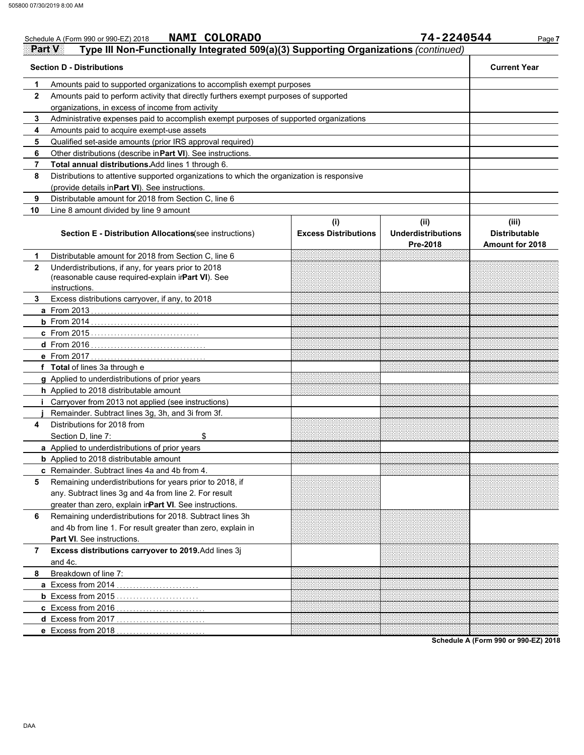|              | NAMI COLORADO<br>Schedule A (Form 990 or 990-EZ) 2018                                      |                                    | 74-2240544                         | Page 7                               |
|--------------|--------------------------------------------------------------------------------------------|------------------------------------|------------------------------------|--------------------------------------|
| Part V       | Type III Non-Functionally Integrated 509(a)(3) Supporting Organizations (continued)        |                                    |                                    |                                      |
|              | <b>Section D - Distributions</b>                                                           |                                    |                                    | <b>Current Year</b>                  |
| 1            | Amounts paid to supported organizations to accomplish exempt purposes                      |                                    |                                    |                                      |
| $\mathbf{2}$ | Amounts paid to perform activity that directly furthers exempt purposes of supported       |                                    |                                    |                                      |
|              | organizations, in excess of income from activity                                           |                                    |                                    |                                      |
| 3            | Administrative expenses paid to accomplish exempt purposes of supported organizations      |                                    |                                    |                                      |
| 4            | Amounts paid to acquire exempt-use assets                                                  |                                    |                                    |                                      |
| 5            | Qualified set-aside amounts (prior IRS approval required)                                  |                                    |                                    |                                      |
| 6            | Other distributions (describe in Part VI). See instructions.                               |                                    |                                    |                                      |
| 7            | Total annual distributions. Add lines 1 through 6.                                         |                                    |                                    |                                      |
| 8            | Distributions to attentive supported organizations to which the organization is responsive |                                    |                                    |                                      |
|              | (provide details in Part VI). See instructions.                                            |                                    |                                    |                                      |
| 9            | Distributable amount for 2018 from Section C, line 6                                       |                                    |                                    |                                      |
| 10           | Line 8 amount divided by line 9 amount                                                     |                                    |                                    |                                      |
|              | Section E - Distribution Allocations(see instructions)                                     | (i)<br><b>Excess Distributions</b> | (iii)<br><b>Underdistributions</b> | (iii)<br><b>Distributable</b>        |
|              |                                                                                            |                                    | Pre-2018                           | <b>Amount for 2018</b>               |
| 1            | Distributable amount for 2018 from Section C, line 6                                       |                                    |                                    |                                      |
| 2            | Underdistributions, if any, for years prior to 2018                                        |                                    |                                    |                                      |
|              | (reasonable cause required-explain irPart VI). See<br>instructions.                        |                                    |                                    |                                      |
| 3            | Excess distributions carryover, if any, to 2018                                            |                                    |                                    |                                      |
|              |                                                                                            |                                    |                                    |                                      |
|              |                                                                                            |                                    |                                    |                                      |
|              |                                                                                            |                                    |                                    |                                      |
|              |                                                                                            |                                    |                                    |                                      |
|              |                                                                                            |                                    |                                    |                                      |
|              |                                                                                            |                                    |                                    |                                      |
|              | f Total of lines 3a through e                                                              |                                    |                                    |                                      |
|              | g Applied to underdistributions of prior years                                             |                                    |                                    |                                      |
|              | h Applied to 2018 distributable amount                                                     |                                    |                                    |                                      |
|              | Carryover from 2013 not applied (see instructions)                                         |                                    |                                    |                                      |
|              | Remainder. Subtract lines 3g, 3h, and 3i from 3f.                                          |                                    |                                    |                                      |
| 4            | Distributions for 2018 from                                                                |                                    |                                    |                                      |
|              | \$<br>Section D, line 7:                                                                   |                                    |                                    |                                      |
|              | a Applied to underdistributions of prior years                                             |                                    |                                    |                                      |
|              | <b>b</b> Applied to 2018 distributable amount                                              |                                    |                                    |                                      |
|              | c Remainder. Subtract lines 4a and 4b from 4.                                              |                                    |                                    |                                      |
| 5            | Remaining underdistributions for years prior to 2018, if                                   |                                    |                                    |                                      |
|              | any. Subtract lines 3g and 4a from line 2. For result                                      |                                    |                                    |                                      |
|              | greater than zero, explain inPart VI. See instructions.                                    |                                    |                                    |                                      |
| 6            | Remaining underdistributions for 2018. Subtract lines 3h                                   |                                    |                                    |                                      |
|              | and 4b from line 1. For result greater than zero, explain in                               |                                    |                                    |                                      |
|              | Part VI. See instructions.                                                                 |                                    |                                    |                                      |
| 7            | Excess distributions carryover to 2019.Add lines 3j                                        |                                    |                                    |                                      |
|              | and 4c.                                                                                    |                                    |                                    |                                      |
| 8            | Breakdown of line 7:                                                                       |                                    |                                    |                                      |
|              |                                                                                            |                                    |                                    |                                      |
|              | <b>b</b> Excess from 2015                                                                  |                                    |                                    |                                      |
|              |                                                                                            |                                    |                                    |                                      |
|              |                                                                                            |                                    |                                    |                                      |
|              | e Excess from 2018                                                                         |                                    |                                    | Schodule A (Form 000 or 000 EZ) 2049 |
|              |                                                                                            |                                    |                                    |                                      |

**Schedule A (Form 990 or 990-EZ) 2018**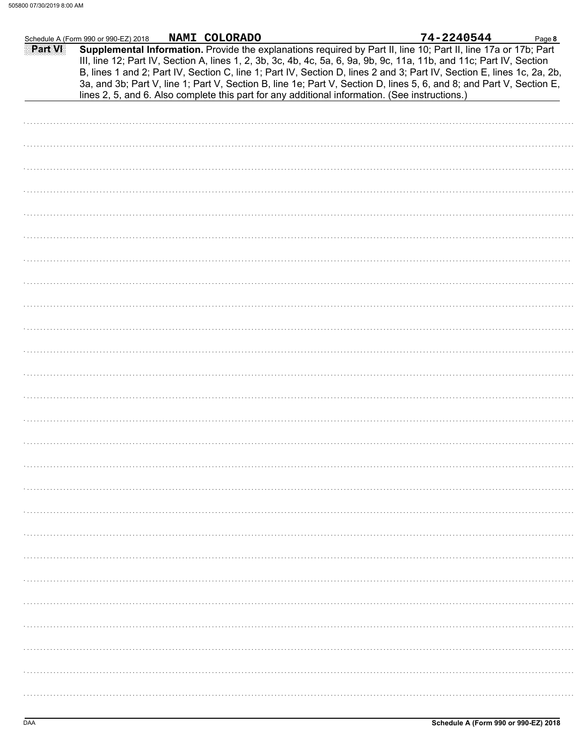|                | Schedule A (Form 990 or 990-EZ) 2018 | NAMI COLORADO |                                                                                                | 74-2240544                                                                                                                                                                                                                                                                                                                                                                                                                                                                                | Page 8 |
|----------------|--------------------------------------|---------------|------------------------------------------------------------------------------------------------|-------------------------------------------------------------------------------------------------------------------------------------------------------------------------------------------------------------------------------------------------------------------------------------------------------------------------------------------------------------------------------------------------------------------------------------------------------------------------------------------|--------|
| <b>Part VI</b> |                                      |               | lines 2, 5, and 6. Also complete this part for any additional information. (See instructions.) | Supplemental Information. Provide the explanations required by Part II, line 10; Part II, line 17a or 17b; Part<br>III, line 12; Part IV, Section A, lines 1, 2, 3b, 3c, 4b, 4c, 5a, 6, 9a, 9b, 9c, 11a, 11b, and 11c; Part IV, Section<br>B, lines 1 and 2; Part IV, Section C, line 1; Part IV, Section D, lines 2 and 3; Part IV, Section E, lines 1c, 2a, 2b,<br>3a, and 3b; Part V, line 1; Part V, Section B, line 1e; Part V, Section D, lines 5, 6, and 8; and Part V, Section E, |        |
|                |                                      |               |                                                                                                |                                                                                                                                                                                                                                                                                                                                                                                                                                                                                           |        |
|                |                                      |               |                                                                                                |                                                                                                                                                                                                                                                                                                                                                                                                                                                                                           |        |
|                |                                      |               |                                                                                                |                                                                                                                                                                                                                                                                                                                                                                                                                                                                                           |        |
|                |                                      |               |                                                                                                |                                                                                                                                                                                                                                                                                                                                                                                                                                                                                           |        |
|                |                                      |               |                                                                                                |                                                                                                                                                                                                                                                                                                                                                                                                                                                                                           |        |
|                |                                      |               |                                                                                                |                                                                                                                                                                                                                                                                                                                                                                                                                                                                                           |        |
|                |                                      |               |                                                                                                |                                                                                                                                                                                                                                                                                                                                                                                                                                                                                           |        |
|                |                                      |               |                                                                                                |                                                                                                                                                                                                                                                                                                                                                                                                                                                                                           |        |
|                |                                      |               |                                                                                                |                                                                                                                                                                                                                                                                                                                                                                                                                                                                                           |        |
|                |                                      |               |                                                                                                |                                                                                                                                                                                                                                                                                                                                                                                                                                                                                           |        |
|                |                                      |               |                                                                                                |                                                                                                                                                                                                                                                                                                                                                                                                                                                                                           |        |
|                |                                      |               |                                                                                                |                                                                                                                                                                                                                                                                                                                                                                                                                                                                                           |        |
|                |                                      |               |                                                                                                |                                                                                                                                                                                                                                                                                                                                                                                                                                                                                           |        |
|                |                                      |               |                                                                                                |                                                                                                                                                                                                                                                                                                                                                                                                                                                                                           |        |
|                |                                      |               |                                                                                                |                                                                                                                                                                                                                                                                                                                                                                                                                                                                                           |        |
|                |                                      |               |                                                                                                |                                                                                                                                                                                                                                                                                                                                                                                                                                                                                           |        |
|                |                                      |               |                                                                                                |                                                                                                                                                                                                                                                                                                                                                                                                                                                                                           |        |
|                |                                      |               |                                                                                                |                                                                                                                                                                                                                                                                                                                                                                                                                                                                                           |        |
|                |                                      |               |                                                                                                |                                                                                                                                                                                                                                                                                                                                                                                                                                                                                           |        |
|                |                                      |               |                                                                                                |                                                                                                                                                                                                                                                                                                                                                                                                                                                                                           |        |
|                |                                      |               |                                                                                                |                                                                                                                                                                                                                                                                                                                                                                                                                                                                                           |        |
|                |                                      |               |                                                                                                |                                                                                                                                                                                                                                                                                                                                                                                                                                                                                           |        |
|                |                                      |               |                                                                                                |                                                                                                                                                                                                                                                                                                                                                                                                                                                                                           |        |
|                |                                      |               |                                                                                                |                                                                                                                                                                                                                                                                                                                                                                                                                                                                                           |        |
|                |                                      |               |                                                                                                |                                                                                                                                                                                                                                                                                                                                                                                                                                                                                           |        |
|                |                                      |               |                                                                                                |                                                                                                                                                                                                                                                                                                                                                                                                                                                                                           |        |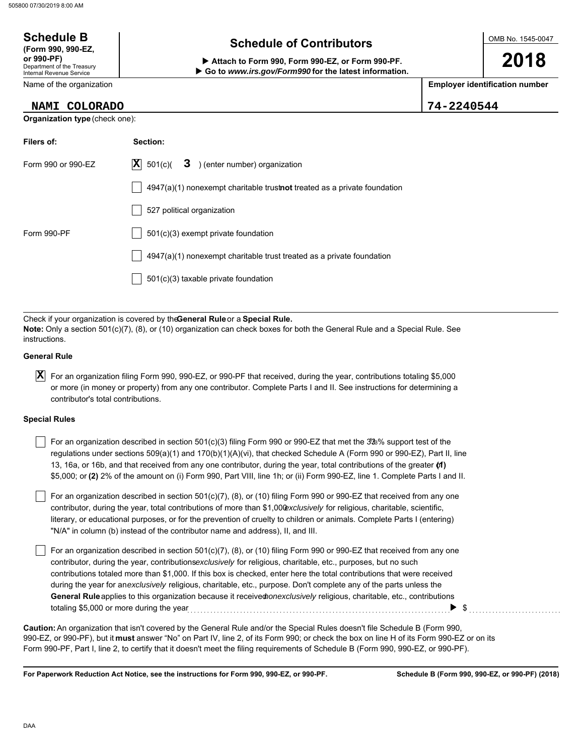| <b>Schedule B</b><br>(Form 990, 990-EZ,                              | <b>Schedule of Contributors</b>                                                                           |            | OMB No. 1545-0047                     |
|----------------------------------------------------------------------|-----------------------------------------------------------------------------------------------------------|------------|---------------------------------------|
| or 990-PF)<br>Department of the Treasury<br>Internal Revenue Service | Attach to Form 990, Form 990-EZ, or Form 990-PF.<br>Go to www.irs.gov/Form990 for the latest information. | 2018       |                                       |
| Name of the organization                                             |                                                                                                           |            | <b>Employer identification number</b> |
| <b>COLORADO</b><br><b>NAMI</b>                                       |                                                                                                           | 74-2240544 |                                       |
| Organization type (check one):                                       |                                                                                                           |            |                                       |
| Filers of:                                                           | Section:                                                                                                  |            |                                       |
| Form 990 or 990-EZ                                                   | $ \mathbf{X} $<br>3 ) (enter number) organization<br>501(c)(                                              |            |                                       |
|                                                                      | $4947(a)(1)$ nonexempt charitable trustnot treated as a private foundation                                |            |                                       |
|                                                                      | 527 political organization                                                                                |            |                                       |
| <b>Form 990-PF</b>                                                   | 501(c)(3) exempt private foundation                                                                       |            |                                       |
|                                                                      | 4947(a)(1) nonexempt charitable trust treated as a private foundation                                     |            |                                       |
|                                                                      | $501(c)(3)$ taxable private foundation                                                                    |            |                                       |

Check if your organization is covered by the **General Rule** or a **Special Rule. Note:** Only a section 501(c)(7), (8), or (10) organization can check boxes for both the General Rule and a Special Rule. See instructions.

### **General Rule**

 $\bm{X}$  For an organization filing Form 990, 990-EZ, or 990-PF that received, during the year, contributions totaling \$5,000 or more (in money or property) from any one contributor. Complete Parts I and II. See instructions for determining a contributor's total contributions.

#### **Special Rules**

| For an organization described in section 501(c)(3) filing Form 990 or 990-EZ that met the 3%% support test of the           |
|-----------------------------------------------------------------------------------------------------------------------------|
| regulations under sections 509(a)(1) and 170(b)(1)(A)(vi), that checked Schedule A (Form 990 or 990-EZ), Part II, line      |
| 13, 16a, or 16b, and that received from any one contributor, during the year, total contributions of the greater of)        |
| \$5,000; or (2) 2% of the amount on (i) Form 990, Part VIII, line 1h; or (ii) Form 990-EZ, line 1. Complete Parts I and II. |

literary, or educational purposes, or for the prevention of cruelty to children or animals. Complete Parts I (entering)  $\vert$  For an organization described in section 501(c)(7), (8), or (10) filing Form 990 or 990-EZ that received from any one contributor, during the year, total contributions of more than \$1,000exclusively for religious, charitable, scientific, "N/A" in column (b) instead of the contributor name and address), II, and III.

For an organization described in section 501(c)(7), (8), or (10) filing Form 990 or 990-EZ that received from any one contributor, during the year, contributions *exclusively* for religious, charitable, etc., purposes, but no such contributions totaled more than \$1,000. If this box is checked, enter here the total contributions that were received during the year for an *exclusively* religious, charitable, etc., purpose. Don't complete any of the parts unless the General Rule applies to this organization because it receivedronexclusively religious, charitable, etc., contributions totaling \$5,000 or more during the year *compare all accept* to the set of the year of the set of the set of the s

990-EZ, or 990-PF), but it **must** answer "No" on Part IV, line 2, of its Form 990; or check the box on line H of its Form 990-EZ or on its Form 990-PF, Part I, line 2, to certify that it doesn't meet the filing requirements of Schedule B (Form 990, 990-EZ, or 990-PF). **Caution:** An organization that isn't covered by the General Rule and/or the Special Rules doesn't file Schedule B (Form 990,

**For Paperwork Reduction Act Notice, see the instructions for Form 990, 990-EZ, or 990-PF.**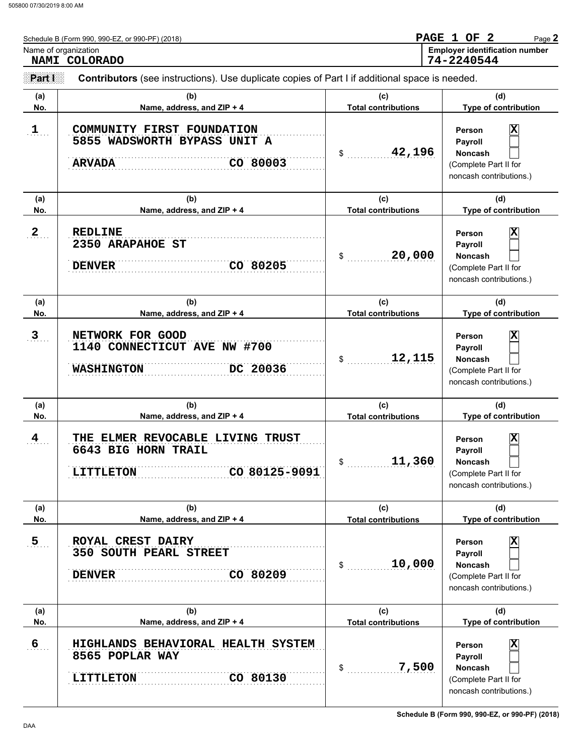|                      | Schedule B (Form 990, 990-EZ, or 990-PF) (2018)                                                | PAGE 1 OF 2<br>Page 2             |                                                                                              |  |  |
|----------------------|------------------------------------------------------------------------------------------------|-----------------------------------|----------------------------------------------------------------------------------------------|--|--|
| Name of organization | NAMI COLORADO                                                                                  |                                   | <b>Employer identification number</b><br>74-2240544                                          |  |  |
| Part I               | Contributors (see instructions). Use duplicate copies of Part I if additional space is needed. |                                   |                                                                                              |  |  |
| (a)<br>No.           | (b)<br>Name, address, and ZIP + 4                                                              | (c)<br><b>Total contributions</b> | (d)<br>Type of contribution                                                                  |  |  |
| $\mathbf{1}$         | COMMUNITY FIRST FOUNDATION<br>5855 WADSWORTH BYPASS UNIT A<br>CO 80003<br><b>ARVADA</b>        | 42,196<br>\$                      | X<br>Person<br>Payroll<br><b>Noncash</b><br>(Complete Part II for<br>noncash contributions.) |  |  |
| (a)                  | (b)                                                                                            | (c)                               | (d)                                                                                          |  |  |
| No.                  | Name, address, and ZIP + 4                                                                     | <b>Total contributions</b>        | Type of contribution                                                                         |  |  |
| 2                    | <b>REDLINE</b><br>2350 ARAPAHOE ST<br>CO 80205<br><b>DENVER</b>                                | 20,000<br>\$                      | X<br><b>Person</b><br>Payroll<br>Noncash<br>(Complete Part II for<br>noncash contributions.) |  |  |
| (a)<br>No.           | (b)<br>Name, address, and ZIP + 4                                                              | (c)<br><b>Total contributions</b> | (d)<br>Type of contribution                                                                  |  |  |
| $3$                  | NETWORK FOR GOOD<br>1140 CONNECTICUT AVE NW #700<br>DC 20036<br><b>WASHINGTON</b>              | 12,115<br>\$                      | X<br>Person<br>Payroll<br>Noncash<br>(Complete Part II for<br>noncash contributions.)        |  |  |
| (a)<br>No.           | (b)<br>Name, address, and ZIP + 4                                                              | (c)<br><b>Total contributions</b> | (d)<br>Type of contribution                                                                  |  |  |
| $\frac{4}{1}$        | THE ELMER REVOCABLE LIVING TRUST<br>6643 BIG HORN TRAIL<br>CO 80125-9091<br><b>LITTLETON</b>   | 11,360<br>\$                      | X<br><b>Person</b><br>Payroll<br>Noncash<br>(Complete Part II for<br>noncash contributions.) |  |  |
| (a)                  | (b)                                                                                            | (c)                               | (d)                                                                                          |  |  |
| No.                  | Name, address, and ZIP + 4                                                                     | <b>Total contributions</b>        | Type of contribution                                                                         |  |  |
| 5 <sub>1</sub>       | ROYAL CREST DAIRY<br><b>350 SOUTH PEARL STREET</b><br>CO 80209<br><b>DENVER</b>                | 10,000<br>\$                      | X<br>Person<br>Payroll<br>Noncash<br>(Complete Part II for<br>noncash contributions.)        |  |  |
| (a)<br>No.           | (b)<br>Name, address, and ZIP + 4                                                              | (c)<br><b>Total contributions</b> | (d)<br>Type of contribution                                                                  |  |  |
| 6 <sub>1</sub>       | HIGHLANDS BEHAVIORAL HEALTH SYSTEM<br>8565 POPLAR WAY<br>CO 80130<br><b>LITTLETON</b>          | 7,500<br>\$                       | X<br>Person<br>Payroll<br>Noncash<br>(Complete Part II for<br>noncash contributions.)        |  |  |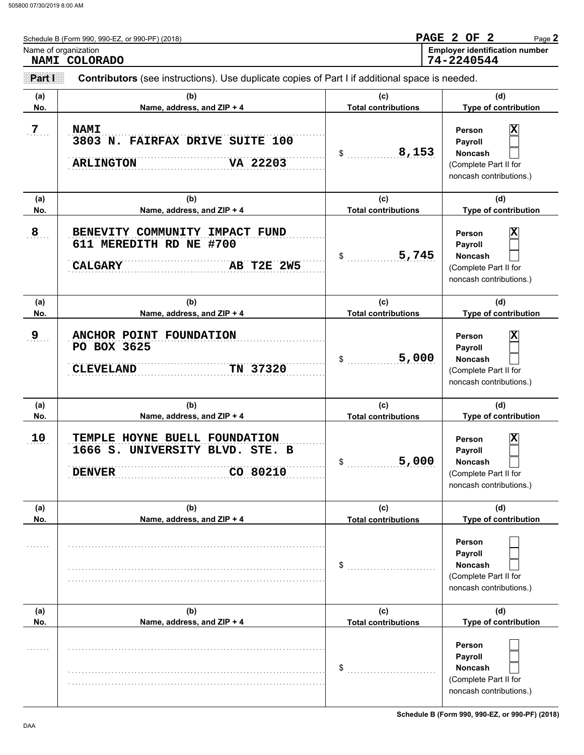|                      | Schedule B (Form 990, 990-EZ, or 990-PF) (2018)                                                         |                                   | PAGE 2 OF 2<br>Page 2                                                                                                     |
|----------------------|---------------------------------------------------------------------------------------------------------|-----------------------------------|---------------------------------------------------------------------------------------------------------------------------|
| Name of organization | NAMI COLORADO                                                                                           |                                   | <b>Employer identification number</b><br>74-2240544                                                                       |
| Part I               | Contributors (see instructions). Use duplicate copies of Part I if additional space is needed.          |                                   |                                                                                                                           |
| (a)<br>No.           | (b)<br>Name, address, and ZIP + 4                                                                       | (c)<br><b>Total contributions</b> | (d)<br>Type of contribution                                                                                               |
| $7_{\ldots}$         | <b>NAMI</b><br>3803 N. FAIRFAX DRIVE SUITE 100<br>VA 22203<br><b>ARLINGTON</b>                          | 8,153<br>\$                       | X<br>Person<br>Payroll<br>Noncash<br>(Complete Part II for<br>noncash contributions.)                                     |
| (a)<br>No.           | (b)<br>Name, address, and ZIP + 4                                                                       | (c)<br><b>Total contributions</b> | (d)<br>Type of contribution                                                                                               |
| 8                    | BENEVITY COMMUNITY IMPACT FUND<br>611 MEREDITH RD NE #700<br>AB T2E 2W5<br><b>CALGARY</b>               | 5,745<br>\$                       | X<br>Person<br>Payroll<br>Noncash<br>(Complete Part II for<br>noncash contributions.)                                     |
| (a)<br>No.           | (b)<br>Name, address, and ZIP + 4                                                                       | (c)<br><b>Total contributions</b> | (d)<br>Type of contribution                                                                                               |
| 9                    | ANCHOR POINT FOUNDATION<br>PO BOX 3625<br>TN 37320<br><b>CLEVELAND</b>                                  | 5,000<br>\$                       | X<br>Person<br>Payroll<br>Noncash<br>(Complete Part II for<br>noncash contributions.)                                     |
| (a)<br>No.           | (b)<br>Name, address, and ZIP + 4                                                                       | (c)<br><b>Total contributions</b> | (d)<br>Type of contribution                                                                                               |
| 10                   | HOYNE BUELL FOUNDATION<br><b>TEMPLE</b><br>1666 S. UNIVERSITY BLVD. STE. B<br>CO 80210<br><b>DENVER</b> | 5,000<br>\$                       | $\overline{\mathbf{x}}$<br>Person<br><b>Payroll</b><br><b>Noncash</b><br>(Complete Part II for<br>noncash contributions.) |
| (a)<br>No.           | (b)<br>Name, address, and ZIP + 4                                                                       | (c)<br><b>Total contributions</b> | (d)<br>Type of contribution                                                                                               |
| .                    |                                                                                                         | \$                                | Person<br>Payroll<br><b>Noncash</b><br>(Complete Part II for<br>noncash contributions.)                                   |
| (a)<br>No.           | (b)<br>Name, address, and ZIP + 4                                                                       | (c)<br><b>Total contributions</b> | (d)<br>Type of contribution                                                                                               |
|                      |                                                                                                         | \$                                | Person<br>Payroll<br><b>Noncash</b><br>(Complete Part II for<br>noncash contributions.)                                   |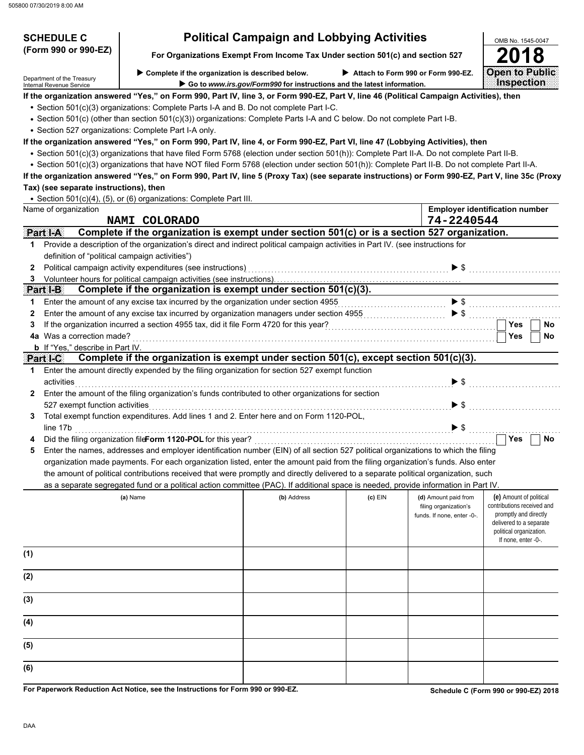| <b>SCHEDULE C</b>                                   |                                                                                                                                                                                                                                   | <b>Political Campaign and Lobbying Activities</b>                             |           |                                                     | OMB No. 1545-0047                                   |
|-----------------------------------------------------|-----------------------------------------------------------------------------------------------------------------------------------------------------------------------------------------------------------------------------------|-------------------------------------------------------------------------------|-----------|-----------------------------------------------------|-----------------------------------------------------|
| (Form 990 or 990-EZ)                                |                                                                                                                                                                                                                                   | For Organizations Exempt From Income Tax Under section 501(c) and section 527 |           |                                                     | 2018                                                |
| Department of the Treasury                          | Complete if the organization is described below.                                                                                                                                                                                  |                                                                               |           | Attach to Form 990 or Form 990-EZ.                  | <b>Open to Public</b>                               |
| Internal Revenue Service                            |                                                                                                                                                                                                                                   | Go to www.irs.gov/Form990 for instructions and the latest information.        |           |                                                     | Inspection                                          |
|                                                     | If the organization answered "Yes," on Form 990, Part IV, line 3, or Form 990-EZ, Part V, line 46 (Political Campaign Activities), then<br>• Section 501(c)(3) organizations: Complete Parts I-A and B. Do not complete Part I-C. |                                                                               |           |                                                     |                                                     |
|                                                     | • Section 501(c) (other than section 501(c)(3)) organizations: Complete Parts I-A and C below. Do not complete Part I-B.                                                                                                          |                                                                               |           |                                                     |                                                     |
|                                                     | • Section 527 organizations: Complete Part I-A only.                                                                                                                                                                              |                                                                               |           |                                                     |                                                     |
|                                                     | If the organization answered "Yes," on Form 990, Part IV, line 4, or Form 990-EZ, Part VI, line 47 (Lobbying Activities), then                                                                                                    |                                                                               |           |                                                     |                                                     |
|                                                     | • Section 501(c)(3) organizations that have filed Form 5768 (election under section 501(h)): Complete Part II-A. Do not complete Part II-B.                                                                                       |                                                                               |           |                                                     |                                                     |
|                                                     | • Section 501(c)(3) organizations that have NOT filed Form 5768 (election under section 501(h)): Complete Part II-B. Do not complete Part II-A.                                                                                   |                                                                               |           |                                                     |                                                     |
|                                                     | If the organization answered "Yes," on Form 990, Part IV, line 5 (Proxy Tax) (see separate instructions) or Form 990-EZ, Part V, line 35c (Proxy                                                                                  |                                                                               |           |                                                     |                                                     |
| Tax) (see separate instructions), then              |                                                                                                                                                                                                                                   |                                                                               |           |                                                     |                                                     |
|                                                     | • Section 501(c)(4), (5), or (6) organizations: Complete Part III.                                                                                                                                                                |                                                                               |           |                                                     |                                                     |
| Name of organization                                |                                                                                                                                                                                                                                   |                                                                               |           |                                                     | <b>Employer identification number</b>               |
|                                                     | NAMI COLORADO                                                                                                                                                                                                                     |                                                                               |           | 74-2240544                                          |                                                     |
| Part I-A                                            | Complete if the organization is exempt under section 501(c) or is a section 527 organization.                                                                                                                                     |                                                                               |           |                                                     |                                                     |
| 1<br>definition of "political campaign activities") | Provide a description of the organization's direct and indirect political campaign activities in Part IV. (see instructions for                                                                                                   |                                                                               |           |                                                     |                                                     |
| 2                                                   | Political campaign activity expenditures (see instructions)                                                                                                                                                                       |                                                                               |           | $\blacktriangleright$ \$                            |                                                     |
| 3.                                                  | Volunteer hours for political campaign activities (see instructions)                                                                                                                                                              |                                                                               |           |                                                     |                                                     |
| <b>PartisB</b>                                      | Complete if the organization is exempt under section $501(c)(3)$ .                                                                                                                                                                |                                                                               |           |                                                     |                                                     |
| 1                                                   | Enter the amount of any excise tax incurred by the organization under section 4955                                                                                                                                                |                                                                               |           |                                                     |                                                     |
| 2                                                   | Enter the amount of any excise tax incurred by organization managers under section 4955                                                                                                                                           |                                                                               |           | $\blacktriangleright$ s                             |                                                     |
| 3                                                   | If the organization incurred a section 4955 tax, did it file Form 4720 for this year?                                                                                                                                             |                                                                               |           |                                                     | Yes<br><b>No</b>                                    |
| 4a Was a correction made?                           |                                                                                                                                                                                                                                   |                                                                               |           |                                                     | Yes<br><b>No</b>                                    |
| <b>b</b> If "Yes," describe in Part IV.             |                                                                                                                                                                                                                                   |                                                                               |           |                                                     |                                                     |
| Part I-C                                            | Complete if the organization is exempt under section 501(c), except section 501(c)(3).                                                                                                                                            |                                                                               |           |                                                     |                                                     |
| 1.                                                  | Enter the amount directly expended by the filing organization for section 527 exempt function                                                                                                                                     |                                                                               |           |                                                     |                                                     |
| activities                                          |                                                                                                                                                                                                                                   |                                                                               |           | $\blacktriangleright$ \$                            |                                                     |
| 2<br>527 exempt function activities                 | Enter the amount of the filing organization's funds contributed to other organizations for section                                                                                                                                |                                                                               |           | $\blacktriangleright$ \$                            |                                                     |
| 3                                                   | Total exempt function expenditures. Add lines 1 and 2. Enter here and on Form 1120-POL,                                                                                                                                           |                                                                               |           |                                                     |                                                     |
| line 17b                                            |                                                                                                                                                                                                                                   |                                                                               |           | $\blacktriangleright$ \$                            |                                                     |
|                                                     | Did the filing organization fileForm 1120-POL for this year?                                                                                                                                                                      |                                                                               |           |                                                     | Yes<br><b>No</b>                                    |
| 5                                                   | Enter the names, addresses and employer identification number (EIN) of all section 527 political organizations to which the filing                                                                                                |                                                                               |           |                                                     |                                                     |
|                                                     | organization made payments. For each organization listed, enter the amount paid from the filing organization's funds. Also enter                                                                                                  |                                                                               |           |                                                     |                                                     |
|                                                     | the amount of political contributions received that were promptly and directly delivered to a separate political organization, such                                                                                               |                                                                               |           |                                                     |                                                     |
|                                                     | as a separate segregated fund or a political action committee (PAC). If additional space is needed, provide information in Part IV.                                                                                               |                                                                               |           |                                                     |                                                     |
|                                                     | (a) Name                                                                                                                                                                                                                          | (b) Address                                                                   | $(c)$ EIN | (d) Amount paid from                                | (e) Amount of political                             |
|                                                     |                                                                                                                                                                                                                                   |                                                                               |           | filing organization's<br>funds. If none, enter -0-. | contributions received and<br>promptly and directly |
|                                                     |                                                                                                                                                                                                                                   |                                                                               |           |                                                     | delivered to a separate                             |
|                                                     |                                                                                                                                                                                                                                   |                                                                               |           |                                                     | political organization.<br>If none, enter -0-.      |
|                                                     |                                                                                                                                                                                                                                   |                                                                               |           |                                                     |                                                     |
| (1)                                                 |                                                                                                                                                                                                                                   |                                                                               |           |                                                     |                                                     |
| (2)                                                 |                                                                                                                                                                                                                                   |                                                                               |           |                                                     |                                                     |
|                                                     |                                                                                                                                                                                                                                   |                                                                               |           |                                                     |                                                     |
| (3)                                                 |                                                                                                                                                                                                                                   |                                                                               |           |                                                     |                                                     |
|                                                     |                                                                                                                                                                                                                                   |                                                                               |           |                                                     |                                                     |
| (4)                                                 |                                                                                                                                                                                                                                   |                                                                               |           |                                                     |                                                     |
|                                                     |                                                                                                                                                                                                                                   |                                                                               |           |                                                     |                                                     |
| (5)                                                 |                                                                                                                                                                                                                                   |                                                                               |           |                                                     |                                                     |
|                                                     |                                                                                                                                                                                                                                   |                                                                               |           |                                                     |                                                     |
| (6)                                                 |                                                                                                                                                                                                                                   |                                                                               |           |                                                     |                                                     |

**For Paperwork Reduction Act Notice, see the Instructions for Form 990 or 990-EZ.**

**Schedule C (Form 990 or 990-EZ) 2018**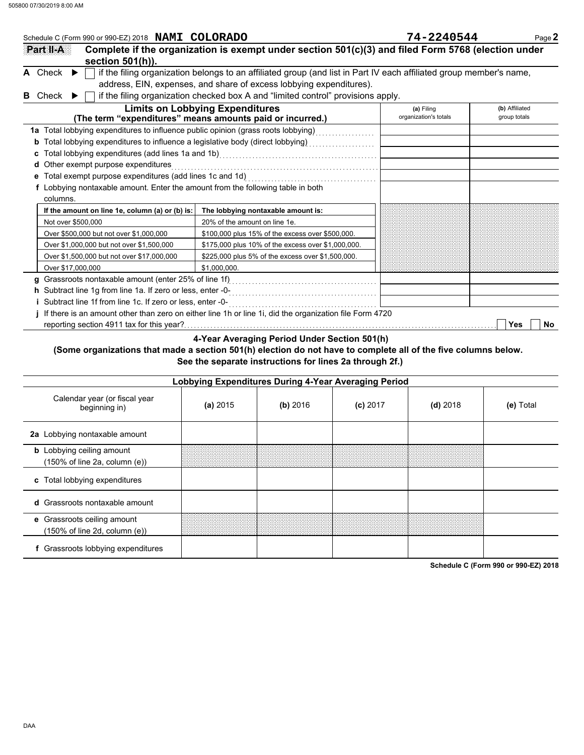| Schedule C (Form 990 or 990-EZ) 2018 NAMI COLORADO                                 |                                                                                                                     | 74-2240544            | Page 2                  |
|------------------------------------------------------------------------------------|---------------------------------------------------------------------------------------------------------------------|-----------------------|-------------------------|
| Part II-A                                                                          | Complete if the organization is exempt under section 501(c)(3) and filed Form 5768 (election under                  |                       |                         |
| section 501(h)).                                                                   |                                                                                                                     |                       |                         |
| A Check $\blacktriangleright$                                                      | if the filing organization belongs to an affiliated group (and list in Part IV each affiliated group member's name, |                       |                         |
|                                                                                    | address, EIN, expenses, and share of excess lobbying expenditures).                                                 |                       |                         |
| Check $\blacktriangleright$<br>в                                                   | if the filing organization checked box A and "limited control" provisions apply.                                    |                       |                         |
|                                                                                    | <b>Limits on Lobbying Expenditures</b>                                                                              | (a) Filing            | (b) Affiliated          |
|                                                                                    | (The term "expenditures" means amounts paid or incurred.)                                                           | organization's totals | group totals            |
| 1a Total lobbying expenditures to influence public opinion (grass roots lobbying)  |                                                                                                                     |                       |                         |
| Total lobbying expenditures to influence a legislative body (direct lobbying)<br>b |                                                                                                                     |                       |                         |
|                                                                                    |                                                                                                                     |                       |                         |
| Other exempt purpose expenditures<br>d                                             |                                                                                                                     |                       |                         |
| Total exempt purpose expenditures (add lines 1c and 1d)<br>е                       |                                                                                                                     |                       |                         |
| f Lobbying nontaxable amount. Enter the amount from the following table in both    |                                                                                                                     |                       |                         |
| columns.                                                                           |                                                                                                                     |                       |                         |
| If the amount on line 1e, column (a) or (b) is:                                    | The lobbying nontaxable amount is:                                                                                  |                       |                         |
| Not over \$500,000                                                                 | 20% of the amount on line 1e.                                                                                       |                       |                         |
| Over \$500,000 but not over \$1,000,000                                            | \$100,000 plus 15% of the excess over \$500,000.                                                                    |                       |                         |
| Over \$1,000,000 but not over \$1,500,000                                          | \$175,000 plus 10% of the excess over \$1,000,000.                                                                  |                       |                         |
| Over \$1,500,000 but not over \$17,000,000                                         | \$225,000 plus 5% of the excess over \$1,500,000.                                                                   |                       |                         |
| Over \$17,000,000                                                                  | \$1.000.000.                                                                                                        |                       |                         |
| Grassroots nontaxable amount (enter 25% of line 1f)<br>a                           |                                                                                                                     |                       |                         |
| h Subtract line 1g from line 1a. If zero or less, enter -0-                        |                                                                                                                     |                       |                         |
| i Subtract line 1f from line 1c. If zero or less, enter -0-                        |                                                                                                                     |                       |                         |
|                                                                                    | If there is an amount other than zero on either line 1h or line 1i, did the organization file Form 4720             |                       |                         |
| reporting section 4911 tax for this year?                                          |                                                                                                                     |                       | <b>Yes</b><br><b>No</b> |
|                                                                                    | 4-Year Averaging Period Under Section 501(h)                                                                        |                       |                         |

## **(Some organizations that made a section 501(h) election do not have to complete all of the five columns below. See the separate instructions for lines 2a through 2f.)**

|                                                                                        | Lobbying Expenditures During 4-Year Averaging Period |            |            |            |           |  |  |
|----------------------------------------------------------------------------------------|------------------------------------------------------|------------|------------|------------|-----------|--|--|
| Calendar year (or fiscal year<br>beginning in)                                         | (a) 2015                                             | $(b)$ 2016 | $(c)$ 2017 | $(d)$ 2018 | (e) Total |  |  |
| 2a Lobbying nontaxable amount                                                          |                                                      |            |            |            |           |  |  |
| <b>b</b> Lobbying ceiling amount<br>$(150\% \text{ of line } 2a, \text{ column } (e))$ |                                                      |            |            |            |           |  |  |
| c Total lobbying expenditures                                                          |                                                      |            |            |            |           |  |  |
| <b>d</b> Grassroots nontaxable amount                                                  |                                                      |            |            |            |           |  |  |
| e Grassroots ceiling amount<br>$(150\% \text{ of line } 2d, \text{ column } (e))$      |                                                      |            |            |            |           |  |  |
| f Grassroots lobbying expenditures                                                     |                                                      |            |            |            |           |  |  |

**Schedule C (Form 990 or 990-EZ) 2018**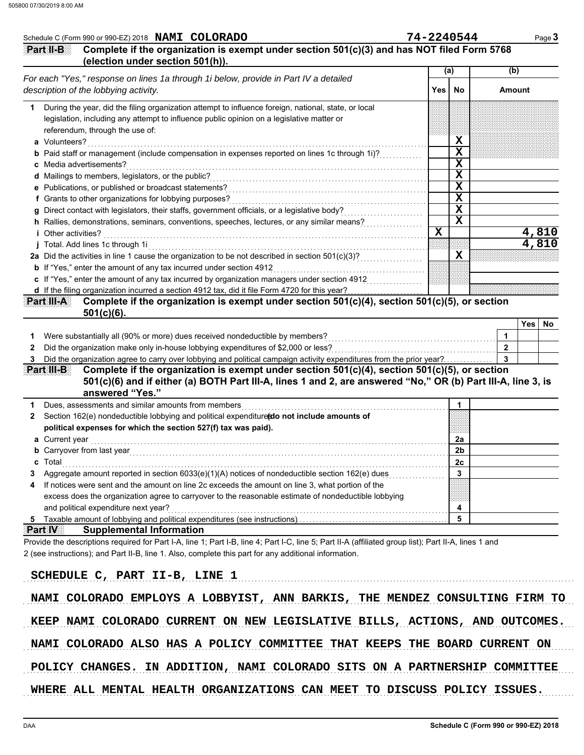|                                                                                                                                                                                                                                                                                                           |             | (a)            | (b)                                                   |
|-----------------------------------------------------------------------------------------------------------------------------------------------------------------------------------------------------------------------------------------------------------------------------------------------------------|-------------|----------------|-------------------------------------------------------|
| For each "Yes," response on lines 1a through 1i below, provide in Part IV a detailed<br>description of the lobbying activity.                                                                                                                                                                             | Yes         | No             | <b>Amount</b>                                         |
| During the year, did the filing organization attempt to influence foreign, national, state, or local<br>1                                                                                                                                                                                                 |             |                |                                                       |
| legislation, including any attempt to influence public opinion on a legislative matter or                                                                                                                                                                                                                 |             |                |                                                       |
| referendum, through the use of:                                                                                                                                                                                                                                                                           |             |                |                                                       |
| a Volunteers?                                                                                                                                                                                                                                                                                             |             | X              |                                                       |
| <b>b</b> Paid staff or management (include compensation in expenses reported on lines 1c through 1i)?                                                                                                                                                                                                     |             | $\mathbf x$    |                                                       |
| c Media advertisements?                                                                                                                                                                                                                                                                                   |             | $\mathbf x$    |                                                       |
| d Mailings to members, legislators, or the public?                                                                                                                                                                                                                                                        |             | $\mathbf x$    |                                                       |
| e Publications, or published or broadcast statements?                                                                                                                                                                                                                                                     |             | $\mathbf x$    |                                                       |
| f Grants to other organizations for lobbying purposes?                                                                                                                                                                                                                                                    |             | $\mathbf x$    |                                                       |
| g Direct contact with legislators, their staffs, government officials, or a legislative body?                                                                                                                                                                                                             |             | $\mathbf x$    |                                                       |
| h Rallies, demonstrations, seminars, conventions, speeches, lectures, or any similar means?                                                                                                                                                                                                               |             | $\mathbf x$    |                                                       |
| <i>i</i> Other activities?                                                                                                                                                                                                                                                                                | $\mathbf x$ |                | 4,810                                                 |
| j Total. Add lines 1c through 1i                                                                                                                                                                                                                                                                          |             |                | $\overline{4,810}$                                    |
| 2a Did the activities in line 1 cause the organization to be not described in section $501(c)(3)?$                                                                                                                                                                                                        |             | X              |                                                       |
| <b>b</b> If "Yes," enter the amount of any tax incurred under section 4912                                                                                                                                                                                                                                |             |                |                                                       |
| c If "Yes," enter the amount of any tax incurred by organization managers under section 4912                                                                                                                                                                                                              |             |                |                                                       |
| d If the filing organization incurred a section 4912 tax, did it file Form 4720 for this year?                                                                                                                                                                                                            |             |                |                                                       |
| $501(c)(6)$ .<br>Were substantially all (90% or more) dues received nondeductible by members?<br>Did the organization make only in-house lobbying expenditures of \$2,000 or less?<br>Did the organization agree to carry over lobbying and political campaign activity expenditures from the prior year? |             |                | <b>Yes</b><br>No<br>1<br>$\mathbf{2}$<br>$\mathbf{3}$ |
| 1.<br>2<br>3<br>Part III-B<br>Complete if the organization is exempt under section $501(c)(4)$ , section $501(c)(5)$ , or section<br>501(c)(6) and if either (a) BOTH Part III-A, lines 1 and 2, are answered "No," OR (b) Part III-A, line 3, is                                                         |             |                |                                                       |
| answered "Yes."                                                                                                                                                                                                                                                                                           |             |                |                                                       |
| Dues, assessments and similar amounts from members                                                                                                                                                                                                                                                        |             | 1              |                                                       |
| Section 162(e) nondeductible lobbying and political expenditure to not include amounts of                                                                                                                                                                                                                 |             |                |                                                       |
| political expenses for which the section 527(f) tax was paid).                                                                                                                                                                                                                                            |             |                |                                                       |
|                                                                                                                                                                                                                                                                                                           |             | 2a             |                                                       |
|                                                                                                                                                                                                                                                                                                           |             | 2 <sub>b</sub> |                                                       |
| Total                                                                                                                                                                                                                                                                                                     |             | 2c             |                                                       |
| Aggregate amount reported in section 6033(e)(1)(A) notices of nondeductible section 162(e) dues                                                                                                                                                                                                           |             | 3              |                                                       |
| 1<br>2<br>a Current year<br><b>b</b> Carryover from last year<br>C<br>3<br>If notices were sent and the amount on line 2c exceeds the amount on line 3, what portion of the<br>4                                                                                                                          |             |                |                                                       |
| excess does the organization agree to carryover to the reasonable estimate of nondeductible lobbying                                                                                                                                                                                                      |             |                |                                                       |
| and political expenditure next year?                                                                                                                                                                                                                                                                      |             | 4              |                                                       |
| 5 Taxable amount of lobbying and political expenditures (see instructions)                                                                                                                                                                                                                                |             | 5              |                                                       |
| Part IV<br><b>Supplemental Information</b>                                                                                                                                                                                                                                                                |             |                |                                                       |
|                                                                                                                                                                                                                                                                                                           |             |                |                                                       |
| Provide the descriptions required for Part I-A, line 1; Part I-B, line 4; Part I-C, line 5; Part II-A (affiliated group list); Part II-A, lines 1 and<br>2 (see instructions); and Part II-B, line 1. Also, complete this part for any additional information.<br>SCHEDULE C, PART II-B, LINE 1           |             |                |                                                       |

NAMI COLORADO ALSO HAS A POLICY COMMITTEE THAT KEEPS THE BOARD CURRENT ON

POLICY CHANGES. IN ADDITION, NAMI COLORADO SITS ON A PARTNERSHIP COMMITTEE

WHERE ALL MENTAL HEALTH ORGANIZATIONS CAN MEET TO DISCUSS POLICY ISSUES.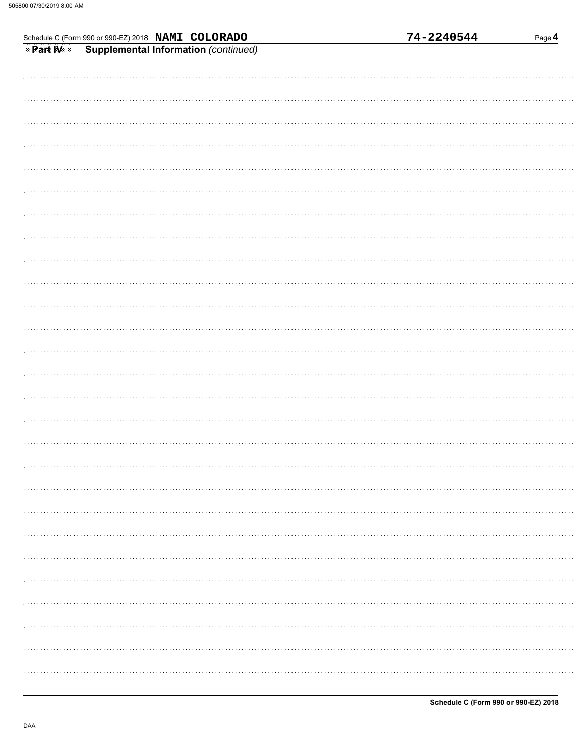| Schedule C (Form 990 or 990-EZ) 2018 NAMI COLORADO<br><b>Part IV</b> Complemental Information (continued) | 74-2240544 | Page 4 |
|-----------------------------------------------------------------------------------------------------------|------------|--------|
|                                                                                                           |            |        |
|                                                                                                           |            |        |
|                                                                                                           |            |        |
|                                                                                                           |            |        |
|                                                                                                           |            |        |
|                                                                                                           |            |        |
|                                                                                                           |            |        |
|                                                                                                           |            |        |
|                                                                                                           |            |        |
|                                                                                                           |            |        |
|                                                                                                           |            |        |
|                                                                                                           |            |        |
|                                                                                                           |            |        |
|                                                                                                           |            |        |
|                                                                                                           |            |        |
|                                                                                                           |            |        |
|                                                                                                           |            |        |
|                                                                                                           |            |        |
|                                                                                                           |            |        |
|                                                                                                           |            |        |
|                                                                                                           |            |        |
|                                                                                                           |            |        |
|                                                                                                           |            |        |
|                                                                                                           |            |        |
|                                                                                                           |            |        |
|                                                                                                           |            |        |
|                                                                                                           |            |        |
|                                                                                                           |            |        |
| 1.1.1.1.1                                                                                                 |            |        |
|                                                                                                           |            |        |
| 1.1.1.1.1                                                                                                 |            |        |
| 1.1.1.1.1                                                                                                 |            |        |
|                                                                                                           |            |        |
| 1.1.1.1.1                                                                                                 |            |        |
|                                                                                                           |            |        |
|                                                                                                           |            |        |
|                                                                                                           |            |        |
|                                                                                                           |            |        |
|                                                                                                           |            |        |
|                                                                                                           |            |        |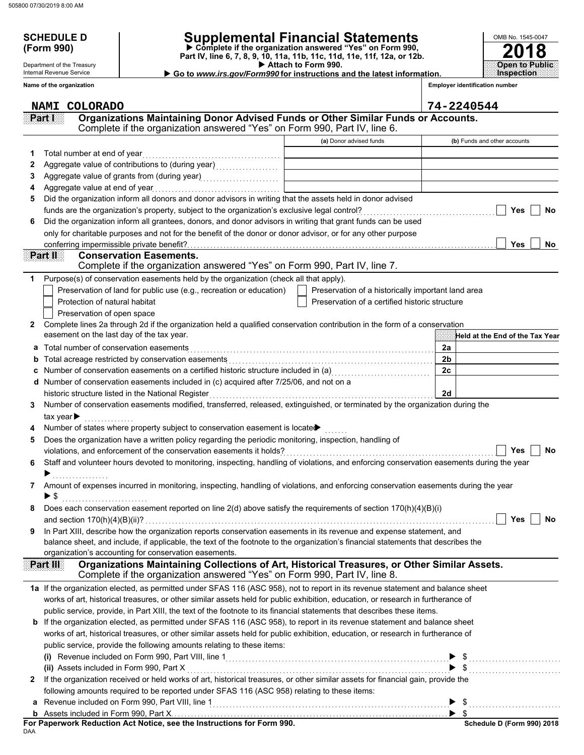# **SCHEDULE D Supplemental Financial Statements**

 **Attach to Form 990. (Form 990) Part IV, line 6, 7, 8, 9, 10, 11a, 11b, 11c, 11d, 11e, 11f, 12a, or 12b. Complete if the organization answered "Yes" on Form 990,**

**2018** OMB No. 1545-0047 **Open to Public Inspection**

 **Go to** *www.irs.gov/Form990* **for instructions and the latest information.**

Internal Revenue Service **Name of the organization**

Department of the Treasury

#### **NAMI COLORADO**

| 74-2240544 |  |  |
|------------|--|--|

**Employer identification number**

|              | Organizations Maintaining Donor Advised Funds or Other Similar Funds or Accounts.<br>Part I<br>Complete if the organization answered "Yes" on Form 990, Part IV, line 6.                                         |                                                    |                                 |
|--------------|------------------------------------------------------------------------------------------------------------------------------------------------------------------------------------------------------------------|----------------------------------------------------|---------------------------------|
|              |                                                                                                                                                                                                                  | (a) Donor advised funds                            | (b) Funds and other accounts    |
| 1.           | Total number at end of year                                                                                                                                                                                      |                                                    |                                 |
| 2            |                                                                                                                                                                                                                  |                                                    |                                 |
| 3            |                                                                                                                                                                                                                  |                                                    |                                 |
| 4            | Aggregate value at end of year                                                                                                                                                                                   |                                                    |                                 |
| 5            | Did the organization inform all donors and donor advisors in writing that the assets held in donor advised                                                                                                       |                                                    |                                 |
|              | funds are the organization's property, subject to the organization's exclusive legal control?                                                                                                                    |                                                    | Yes<br>No                       |
| 6            | Did the organization inform all grantees, donors, and donor advisors in writing that grant funds can be used                                                                                                     |                                                    |                                 |
|              | only for charitable purposes and not for the benefit of the donor or donor advisor, or for any other purpose                                                                                                     |                                                    |                                 |
|              | conferring impermissible private benefit?                                                                                                                                                                        |                                                    | Yes<br>No                       |
|              | <b>Conservation Easements.</b><br>Part II                                                                                                                                                                        |                                                    |                                 |
|              | Complete if the organization answered "Yes" on Form 990, Part IV, line 7.                                                                                                                                        |                                                    |                                 |
| 1            | Purpose(s) of conservation easements held by the organization (check all that apply).                                                                                                                            |                                                    |                                 |
|              | Preservation of land for public use (e.g., recreation or education)                                                                                                                                              | Preservation of a historically important land area |                                 |
|              | Protection of natural habitat                                                                                                                                                                                    | Preservation of a certified historic structure     |                                 |
|              | Preservation of open space                                                                                                                                                                                       |                                                    |                                 |
| $\mathbf{2}$ | Complete lines 2a through 2d if the organization held a qualified conservation contribution in the form of a conservation                                                                                        |                                                    |                                 |
|              | easement on the last day of the tax year.                                                                                                                                                                        |                                                    | Held at the End of the Tax Year |
| а            | Total number of conservation easements                                                                                                                                                                           |                                                    | 2a                              |
| b            | Total acreage restricted by conservation easements                                                                                                                                                               |                                                    | 2 <sub>b</sub>                  |
|              |                                                                                                                                                                                                                  |                                                    | 2c                              |
|              | Number of conservation easements included in (c) acquired after 7/25/06, and not on a                                                                                                                            |                                                    |                                 |
|              | historic structure listed in the National Register                                                                                                                                                               |                                                    | 2d                              |
| 3            | Number of conservation easements modified, transferred, released, extinguished, or terminated by the organization during the                                                                                     |                                                    |                                 |
|              | tax year<br><u> 1986 - Johann Barnett, mar</u>                                                                                                                                                                   |                                                    |                                 |
|              | Number of states where property subject to conservation easement is located                                                                                                                                      |                                                    |                                 |
| 5            | Does the organization have a written policy regarding the periodic monitoring, inspection, handling of                                                                                                           |                                                    | No<br>Yes                       |
|              | violations, and enforcement of the conservation easements it holds?<br>Staff and volunteer hours devoted to monitoring, inspecting, handling of violations, and enforcing conservation easements during the year |                                                    |                                 |
| 6            |                                                                                                                                                                                                                  |                                                    |                                 |
| 7            | Amount of expenses incurred in monitoring, inspecting, handling of violations, and enforcing conservation easements during the year                                                                              |                                                    |                                 |
|              | $\blacktriangleright$ \$                                                                                                                                                                                         |                                                    |                                 |
| 8            | Does each conservation easement reported on line $2(d)$ above satisfy the requirements of section $170(h)(4)(B)(i)$                                                                                              |                                                    |                                 |
|              |                                                                                                                                                                                                                  |                                                    | Yes<br>No                       |
| 9            | In Part XIII, describe how the organization reports conservation easements in its revenue and expense statement, and                                                                                             |                                                    |                                 |
|              | balance sheet, and include, if applicable, the text of the footnote to the organization's financial statements that describes the                                                                                |                                                    |                                 |
|              | organization's accounting for conservation easements.                                                                                                                                                            |                                                    |                                 |
|              | Organizations Maintaining Collections of Art, Historical Treasures, or Other Similar Assets.<br><b>Part III</b><br>Complete if the organization answered "Yes" on Form 990, Part IV, line 8.                     |                                                    |                                 |
|              | 1a If the organization elected, as permitted under SFAS 116 (ASC 958), not to report in its revenue statement and balance sheet                                                                                  |                                                    |                                 |
|              | works of art, historical treasures, or other similar assets held for public exhibition, education, or research in furtherance of                                                                                 |                                                    |                                 |
|              | public service, provide, in Part XIII, the text of the footnote to its financial statements that describes these items.                                                                                          |                                                    |                                 |
|              | <b>b</b> If the organization elected, as permitted under SFAS 116 (ASC 958), to report in its revenue statement and balance sheet                                                                                |                                                    |                                 |
|              | works of art, historical treasures, or other similar assets held for public exhibition, education, or research in furtherance of                                                                                 |                                                    |                                 |
|              | public service, provide the following amounts relating to these items:                                                                                                                                           |                                                    |                                 |
|              |                                                                                                                                                                                                                  |                                                    |                                 |
|              |                                                                                                                                                                                                                  |                                                    | $\frac{1}{2}$                   |
| $\mathbf{2}$ | If the organization received or held works of art, historical treasures, or other similar assets for financial gain, provide the                                                                                 |                                                    |                                 |
|              | following amounts required to be reported under SFAS 116 (ASC 958) relating to these items:                                                                                                                      |                                                    |                                 |
|              | a Revenue included on Form 990, Part VIII, line 1                                                                                                                                                                |                                                    |                                 |
|              | <b>b</b> Assets included in Form 990, Part X……………………………………………………………………………… ▶ \$                                                                                                                                  |                                                    |                                 |
|              | For Paperwork Reduction Act Notice, see the Instructions for Form 990.                                                                                                                                           |                                                    |                                 |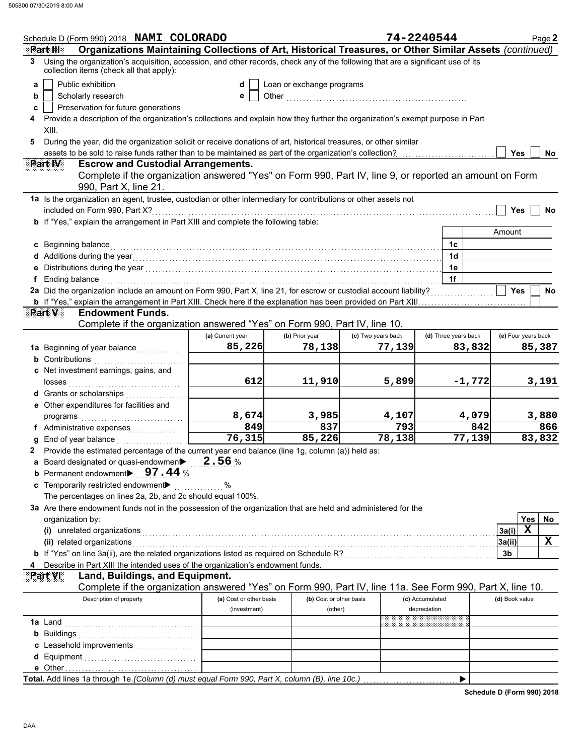| Schedule D (Form 990) 2018 NAMI COLORADO                                                                                                                                                                                                                                                                                                               |                                           |                         |                                                                                                            |                    | 74-2240544           |                     | Page 2 |
|--------------------------------------------------------------------------------------------------------------------------------------------------------------------------------------------------------------------------------------------------------------------------------------------------------------------------------------------------------|-------------------------------------------|-------------------------|------------------------------------------------------------------------------------------------------------|--------------------|----------------------|---------------------|--------|
| Partille                                                                                                                                                                                                                                                                                                                                               |                                           |                         | Organizations Maintaining Collections of Art, Historical Treasures, or Other Similar Assets (continued)    |                    |                      |                     |        |
| Using the organization's acquisition, accession, and other records, check any of the following that are a significant use of its<br>3<br>collection items (check all that apply):                                                                                                                                                                      |                                           |                         |                                                                                                            |                    |                      |                     |        |
| Public exhibition<br>a                                                                                                                                                                                                                                                                                                                                 |                                           |                         | Loan or exchange programs                                                                                  |                    |                      |                     |        |
| Scholarly research<br>b                                                                                                                                                                                                                                                                                                                                |                                           | e                       |                                                                                                            |                    |                      |                     |        |
| Preservation for future generations<br>c                                                                                                                                                                                                                                                                                                               |                                           |                         |                                                                                                            |                    |                      |                     |        |
| Provide a description of the organization's collections and explain how they further the organization's exempt purpose in Part<br>4<br>XIII.                                                                                                                                                                                                           |                                           |                         |                                                                                                            |                    |                      |                     |        |
| During the year, did the organization solicit or receive donations of art, historical treasures, or other similar<br>5                                                                                                                                                                                                                                 |                                           |                         |                                                                                                            |                    |                      |                     |        |
|                                                                                                                                                                                                                                                                                                                                                        |                                           |                         |                                                                                                            |                    |                      | Yes                 | No     |
| Part IV                                                                                                                                                                                                                                                                                                                                                | <b>Escrow and Custodial Arrangements.</b> |                         |                                                                                                            |                    |                      |                     |        |
| 990, Part X, line 21.                                                                                                                                                                                                                                                                                                                                  |                                           |                         | Complete if the organization answered "Yes" on Form 990, Part IV, line 9, or reported an amount on Form    |                    |                      |                     |        |
| 1a Is the organization an agent, trustee, custodian or other intermediary for contributions or other assets not                                                                                                                                                                                                                                        |                                           |                         |                                                                                                            |                    |                      |                     |        |
| included on Form 990, Part X?                                                                                                                                                                                                                                                                                                                          |                                           |                         |                                                                                                            |                    |                      | Yes                 | No     |
| b If "Yes," explain the arrangement in Part XIII and complete the following table:                                                                                                                                                                                                                                                                     |                                           |                         |                                                                                                            |                    |                      |                     |        |
|                                                                                                                                                                                                                                                                                                                                                        |                                           |                         |                                                                                                            |                    |                      | Amount              |        |
| c Beginning balance                                                                                                                                                                                                                                                                                                                                    |                                           |                         |                                                                                                            |                    | 1c                   |                     |        |
| d Additions during the year<br>experience and contained and contained and contained and the year of Additions during the year of Additions during the year of the set of Additional Additional Additional Additional Additional                                                                                                                        |                                           |                         |                                                                                                            |                    | 1d                   |                     |        |
| e Distributions during the year<br>interaction continuous continuous continuous during the year of the year interaction of the set of the set of the set of the set of the set of the set of the set of the set of the set of th                                                                                                                       |                                           |                         |                                                                                                            |                    | 1e                   |                     |        |
| f Ending balance <b>constructs</b> and the construction of the construction of the construction of the construction of the construction of the construction of the construction of the construction of the construction of the cons                                                                                                                    |                                           |                         |                                                                                                            |                    | 1f                   |                     |        |
| 2a Did the organization include an amount on Form 990, Part X, line 21, for escrow or custodial account liability?                                                                                                                                                                                                                                     |                                           |                         |                                                                                                            |                    |                      | <b>Yes</b>          | No     |
|                                                                                                                                                                                                                                                                                                                                                        |                                           |                         |                                                                                                            |                    |                      |                     |        |
| Part V<br><b>Endowment Funds.</b>                                                                                                                                                                                                                                                                                                                      |                                           |                         |                                                                                                            |                    |                      |                     |        |
|                                                                                                                                                                                                                                                                                                                                                        |                                           |                         | Complete if the organization answered "Yes" on Form 990, Part IV, line 10.                                 |                    |                      |                     |        |
|                                                                                                                                                                                                                                                                                                                                                        |                                           | (a) Current year        | (b) Prior year                                                                                             | (c) Two years back | (d) Three years back | (e) Four years back |        |
| 1a Beginning of year balance                                                                                                                                                                                                                                                                                                                           |                                           | 85,226                  | 78,138                                                                                                     | 77,139             | 83,832               | 85,387              |        |
| <b>b</b> Contributions <b>contributions</b>                                                                                                                                                                                                                                                                                                            |                                           |                         |                                                                                                            |                    |                      |                     |        |
| c Net investment earnings, gains, and                                                                                                                                                                                                                                                                                                                  |                                           |                         |                                                                                                            |                    |                      |                     |        |
|                                                                                                                                                                                                                                                                                                                                                        |                                           | 612                     | 11,910                                                                                                     | 5,899              | $-1,772$             |                     | 3,191  |
| d Grants or scholarships                                                                                                                                                                                                                                                                                                                               |                                           |                         |                                                                                                            |                    |                      |                     |        |
| e Other expenditures for facilities and                                                                                                                                                                                                                                                                                                                |                                           |                         |                                                                                                            |                    |                      |                     |        |
|                                                                                                                                                                                                                                                                                                                                                        |                                           | 8,674                   | 3,985                                                                                                      | 4,107              | 4,079                |                     | 3,880  |
| f Administrative expenses                                                                                                                                                                                                                                                                                                                              |                                           | 849                     | 837                                                                                                        | 793                | 842                  |                     | 866    |
| g End of year balance <i>[[[[[[[[[[[[[[[[[[[[[[[[[[[[[]]]]</i> ]]                                                                                                                                                                                                                                                                                      |                                           | 76,315                  | 85,226                                                                                                     | 78,138             | 77,139               |                     | 83,832 |
| 2 Provide the estimated percentage of the current year end balance (line 1g, column (a)) held as:<br><b>a</b> Board designated or quasi-endowmen $\blacktriangleright$ <b>2.56</b> %<br><b>b</b> Permanent endowment $\blacktriangleright$ 97.44 %<br>c Temporarily restricted endowment<br>The percentages on lines 2a, 2b, and 2c should equal 100%. |                                           | $\%$                    |                                                                                                            |                    |                      |                     |        |
| 3a Are there endowment funds not in the possession of the organization that are held and administered for the                                                                                                                                                                                                                                          |                                           |                         |                                                                                                            |                    |                      |                     |        |
| organization by:                                                                                                                                                                                                                                                                                                                                       |                                           |                         |                                                                                                            |                    |                      | Yes<br>X            | No     |
| (i) unrelated organizations entertainment and all the contract of the contract of the contract of the contract or the contract of the contract of the contract of the contract of the contract of the contract of the contract                                                                                                                         |                                           |                         |                                                                                                            |                    |                      | 3a(i)               |        |
| (ii) related organizations entertainment and all the contract of the contract of the contract of the contract of                                                                                                                                                                                                                                       |                                           |                         |                                                                                                            |                    |                      | 3a(ii)              | X      |
| b If "Yes" on line 3a(ii), are the related organizations listed as required on Schedule R?                                                                                                                                                                                                                                                             |                                           |                         |                                                                                                            |                    |                      | 3b                  |        |
| Describe in Part XIII the intended uses of the organization's endowment funds.<br>Part VI                                                                                                                                                                                                                                                              | Land, Buildings, and Equipment.           |                         |                                                                                                            |                    |                      |                     |        |
|                                                                                                                                                                                                                                                                                                                                                        |                                           |                         | Complete if the organization answered "Yes" on Form 990, Part IV, line 11a. See Form 990, Part X, line 10. |                    |                      |                     |        |
| Description of property                                                                                                                                                                                                                                                                                                                                |                                           | (a) Cost or other basis | (b) Cost or other basis                                                                                    |                    | (c) Accumulated      | (d) Book value      |        |
|                                                                                                                                                                                                                                                                                                                                                        |                                           | (investment)            | (other)                                                                                                    |                    | depreciation         |                     |        |
|                                                                                                                                                                                                                                                                                                                                                        |                                           |                         |                                                                                                            |                    |                      |                     |        |
|                                                                                                                                                                                                                                                                                                                                                        |                                           |                         |                                                                                                            |                    |                      |                     |        |
| c Leasehold improvements                                                                                                                                                                                                                                                                                                                               |                                           |                         |                                                                                                            |                    |                      |                     |        |
|                                                                                                                                                                                                                                                                                                                                                        |                                           |                         |                                                                                                            |                    |                      |                     |        |
|                                                                                                                                                                                                                                                                                                                                                        |                                           |                         |                                                                                                            |                    |                      |                     |        |
| Total. Add lines 1a through 1e. (Column (d) must equal Form 990, Part X, column (B), line 10c.)                                                                                                                                                                                                                                                        |                                           |                         |                                                                                                            |                    | ▶                    |                     |        |
|                                                                                                                                                                                                                                                                                                                                                        |                                           |                         |                                                                                                            |                    |                      |                     |        |

**Schedule D (Form 990) 2018**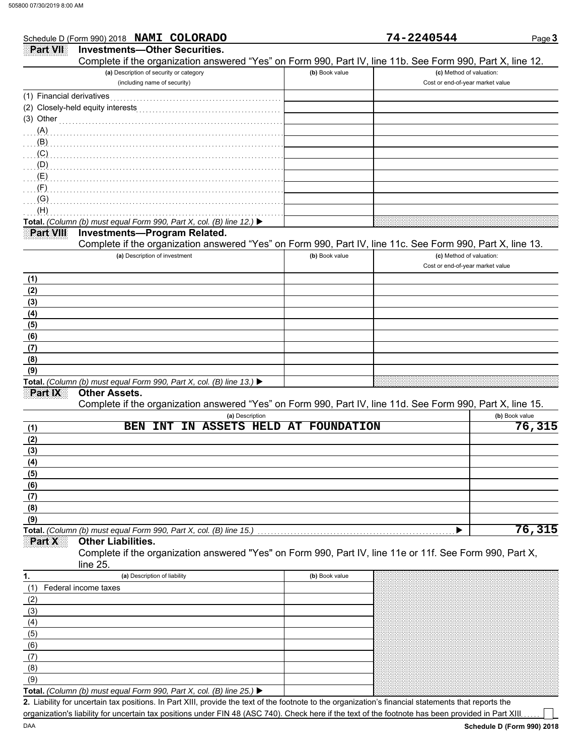|                           | Schedule D (Form 990) 2018 NAMI COLORADO                                                                   |                | 74-2240544                       | Page 3         |
|---------------------------|------------------------------------------------------------------------------------------------------------|----------------|----------------------------------|----------------|
| Part VII                  | <b>Investments-Other Securities.</b>                                                                       |                |                                  |                |
|                           | Complete if the organization answered "Yes" on Form 990, Part IV, line 11b. See Form 990, Part X, line 12. |                |                                  |                |
|                           | (a) Description of security or category                                                                    | (b) Book value | (c) Method of valuation:         |                |
|                           | (including name of security)                                                                               |                | Cost or end-of-year market value |                |
| (1) Financial derivatives |                                                                                                            |                |                                  |                |
|                           |                                                                                                            |                |                                  |                |
|                           |                                                                                                            |                |                                  |                |
| $(3)$ Other               |                                                                                                            |                |                                  |                |
|                           | (A)                                                                                                        |                |                                  |                |
| (B)                       |                                                                                                            |                |                                  |                |
| (C)                       |                                                                                                            |                |                                  |                |
| (D)                       |                                                                                                            |                |                                  |                |
| (E)                       |                                                                                                            |                |                                  |                |
| (F)                       |                                                                                                            |                |                                  |                |
| (G)                       |                                                                                                            |                |                                  |                |
| (H)                       |                                                                                                            |                |                                  |                |
|                           | Total. (Column (b) must equal Form 990, Part X, col. (B) line 12.) ▶                                       |                |                                  |                |
| <b>Part VIII</b>          | <b>Investments-Program Related.</b>                                                                        |                |                                  |                |
|                           | Complete if the organization answered "Yes" on Form 990, Part IV, line 11c. See Form 990, Part X, line 13. |                |                                  |                |
|                           |                                                                                                            |                |                                  |                |
|                           | (a) Description of investment                                                                              | (b) Book value | (c) Method of valuation:         |                |
|                           |                                                                                                            |                | Cost or end-of-year market value |                |
| (1)                       |                                                                                                            |                |                                  |                |
| (2)                       |                                                                                                            |                |                                  |                |
| (3)                       |                                                                                                            |                |                                  |                |
| (4)                       |                                                                                                            |                |                                  |                |
| (5)                       |                                                                                                            |                |                                  |                |
| (6)                       |                                                                                                            |                |                                  |                |
| (7)                       |                                                                                                            |                |                                  |                |
| (8)                       |                                                                                                            |                |                                  |                |
| (9)                       |                                                                                                            |                |                                  |                |
|                           |                                                                                                            |                |                                  |                |
|                           | Total. (Column (b) must equal Form 990, Part X, col. (B) line 13.) ▶                                       |                |                                  |                |
| Part IX                   | <b>Other Assets.</b>                                                                                       |                |                                  |                |
|                           | Complete if the organization answered "Yes" on Form 990, Part IV, line 11d. See Form 990, Part X, line 15. |                |                                  |                |
|                           | (a) Description                                                                                            |                |                                  | (b) Book value |
| (1)                       | BEN INT IN ASSETS HELD AT FOUNDATION                                                                       |                |                                  | 76,315         |
| (2)                       |                                                                                                            |                |                                  |                |
| (3)                       |                                                                                                            |                |                                  |                |
| (4)                       |                                                                                                            |                |                                  |                |
| (5)                       |                                                                                                            |                |                                  |                |
| (6)                       |                                                                                                            |                |                                  |                |
| (7)                       |                                                                                                            |                |                                  |                |
|                           |                                                                                                            |                |                                  |                |
| (8)                       |                                                                                                            |                |                                  |                |
| (9)                       |                                                                                                            |                |                                  |                |
|                           | Total. (Column (b) must equal Form 990, Part X, col. (B) line 15.)                                         |                |                                  | 76, 315        |
| Part X                    | <b>Other Liabilities.</b>                                                                                  |                |                                  |                |
|                           | Complete if the organization answered "Yes" on Form 990, Part IV, line 11e or 11f. See Form 990, Part X,   |                |                                  |                |
|                           | line 25.                                                                                                   |                |                                  |                |
| 1.                        | (a) Description of liability                                                                               | (b) Book value |                                  |                |
| (1)                       | Federal income taxes                                                                                       |                |                                  |                |
| (2)                       |                                                                                                            |                |                                  |                |
| (3)                       |                                                                                                            |                |                                  |                |
|                           |                                                                                                            |                |                                  |                |
| (4)                       |                                                                                                            |                |                                  |                |
| (5)                       |                                                                                                            |                |                                  |                |
| (6)                       |                                                                                                            |                |                                  |                |
| (7)                       |                                                                                                            |                |                                  |                |
| (8)                       |                                                                                                            |                |                                  |                |
| (9)                       |                                                                                                            |                |                                  |                |
|                           |                                                                                                            |                |                                  |                |

**Total.** *(Column (b) must equal Form 990, Part X, col. (B) line 25.)* 

Liability for uncertain tax positions. In Part XIII, provide the text of the footnote to the organization's financial statements that reports the **2.** organization's liability for uncertain tax positions under FIN 48 (ASC 740). Check here if the text of the footnote has been provided in Part XIII.

DAA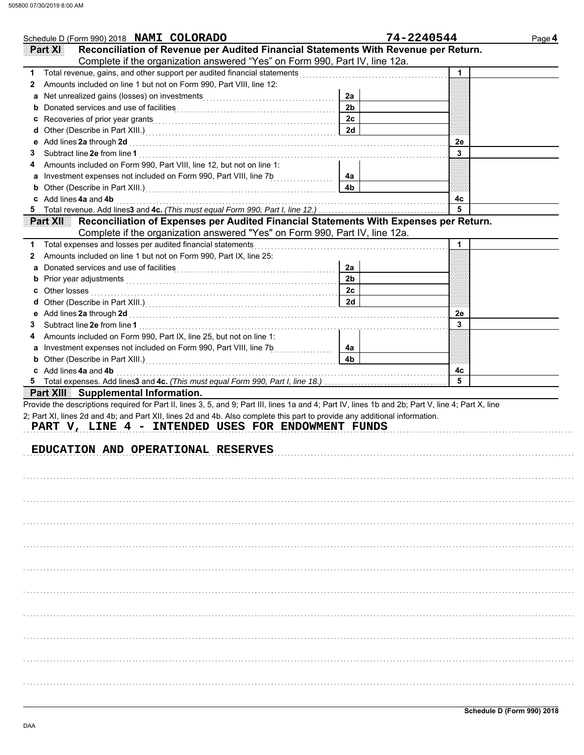| Schedule D (Form 990) 2018 NAMI COLORADO                                                                                                                                                                                                                |                      | 74-2240544   | Page 4 |
|---------------------------------------------------------------------------------------------------------------------------------------------------------------------------------------------------------------------------------------------------------|----------------------|--------------|--------|
| Reconciliation of Revenue per Audited Financial Statements With Revenue per Return.<br>Part XII                                                                                                                                                         |                      |              |        |
| Complete if the organization answered "Yes" on Form 990, Part IV, line 12a.                                                                                                                                                                             |                      |              |        |
| Total revenue, gains, and other support per audited financial statements<br>1.                                                                                                                                                                          |                      | $\mathbf{1}$ |        |
| Amounts included on line 1 but not on Form 990, Part VIII, line 12:<br>2                                                                                                                                                                                |                      |              |        |
| а                                                                                                                                                                                                                                                       | 2a                   |              |        |
|                                                                                                                                                                                                                                                         | 2 <sub>b</sub>       |              |        |
| Recoveries of prior year grants <b>contained a substantial container and properties</b><br>c                                                                                                                                                            | 2c                   |              |        |
| Other (Describe in Part XIII.) [11] March 1999 (12] March 1999 (12] March 1999 (13] March 1999 (13] March 1999 (13] March 1999 (13] March 1999 (13] March 1999 (13] March 1999 (13] March 1999 (13] March 1999 (13] March 1999<br>a                     | 2d                   |              |        |
| Add lines 2a through 2d [[[[[[[[[[[[[[[[[[[[[[[]]]]]]]]] Add lines 2a through 2d<br>е                                                                                                                                                                   |                      | 2e           |        |
| 3                                                                                                                                                                                                                                                       |                      | 3            |        |
| Amounts included on Form 990, Part VIII, line 12, but not on line 1:                                                                                                                                                                                    |                      |              |        |
| Investment expenses not included on Form 990, Part VIII, line 7b.                                                                                                                                                                                       | 4а                   |              |        |
| <b>b</b> Other (Describe in Part XIII.) [10] (2012) [20] (2013) [20] (2013) [20] (2013) [20] (2013) [20] (2013) [20] (2014) [20] (2014) [20] (2014) [20] (2014) [20] (2014) [20] (2014) [2014] [2014] [2014] [2014] [2014] [2014] [                     | 4 <sub>b</sub>       |              |        |
| c Add lines 4a and 4b                                                                                                                                                                                                                                   |                      | 4с           |        |
|                                                                                                                                                                                                                                                         |                      | 5            |        |
| Part XII: Reconciliation of Expenses per Audited Financial Statements With Expenses per Return.                                                                                                                                                         |                      |              |        |
| Complete if the organization answered "Yes" on Form 990, Part IV, line 12a.                                                                                                                                                                             |                      |              |        |
| Total expenses and losses per audited financial statements<br>1                                                                                                                                                                                         |                      | 1            |        |
| Amounts included on line 1 but not on Form 990, Part IX, line 25:<br>2                                                                                                                                                                                  |                      |              |        |
| а                                                                                                                                                                                                                                                       | 2a                   |              |        |
|                                                                                                                                                                                                                                                         | 2 <sub>b</sub>       |              |        |
| Other losses                                                                                                                                                                                                                                            | 2c<br>2d             |              |        |
| Other (Describe in Part XIII.) [11] [2010] [2010] [2010] [2010] [2010] [2010] [2010] [2010] [2010] [2010] [2010] [2010] [2010] [2010] [2010] [2010] [2010] [2010] [2010] [2010] [2010] [2010] [2010] [2010] [2010] [2010] [201                          |                      |              |        |
| Add lines 2a through 2d [[[[[[[[[[[[[[[[[[[[[[[[]]]]]]]]]] Add lines 2a through 2d                                                                                                                                                                      |                      | 2e<br>3      |        |
| 3                                                                                                                                                                                                                                                       |                      |              |        |
| Amounts included on Form 990, Part IX, line 25, but not on line 1:                                                                                                                                                                                      |                      |              |        |
| Investment expenses not included on Form 990, Part VIII, line 7b<br>.                                                                                                                                                                                   | 4a<br>4 <sub>b</sub> |              |        |
| b Other (Describe in Part XIII.) [10] Martin Martin Martin Martin Martin Martin Martin Martin Martin Martin Martin Martin Martin Martin Martin Martin Martin Martin Martin Martin Martin Martin Martin Martin Martin Martin Ma<br>c Add lines 4a and 4b |                      | 4c           |        |
|                                                                                                                                                                                                                                                         |                      |              |        |
| Part XIII Supplemental Information.                                                                                                                                                                                                                     |                      |              |        |
| 2; Part XI, lines 2d and 4b; and Part XII, lines 2d and 4b. Also complete this part to provide any additional information.<br>PART V, LINE 4 - INTENDED USES FOR ENDOWMENT FUNDS<br>EDUCATION AND OPERATIONAL RESERVES                                  |                      |              |        |
|                                                                                                                                                                                                                                                         |                      |              |        |
|                                                                                                                                                                                                                                                         |                      |              |        |
|                                                                                                                                                                                                                                                         |                      |              |        |
|                                                                                                                                                                                                                                                         |                      |              |        |
|                                                                                                                                                                                                                                                         |                      |              |        |
|                                                                                                                                                                                                                                                         |                      |              |        |
|                                                                                                                                                                                                                                                         |                      |              |        |
|                                                                                                                                                                                                                                                         |                      |              |        |
|                                                                                                                                                                                                                                                         |                      |              |        |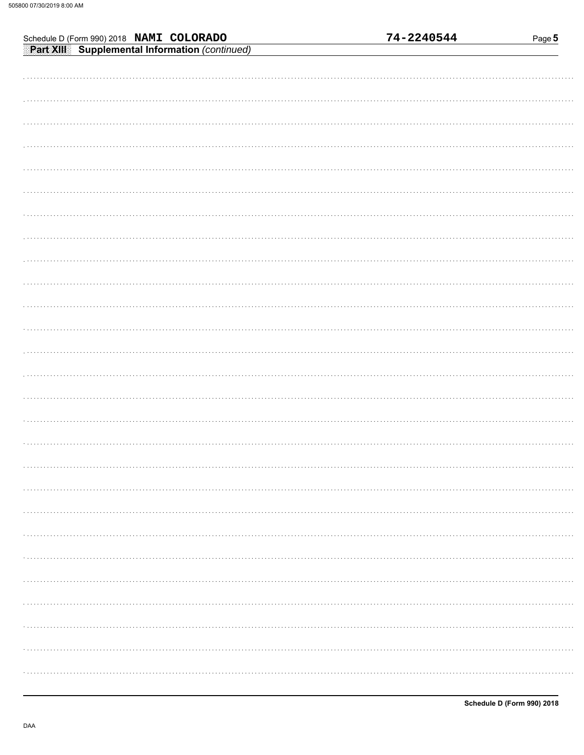| Schedule D (Form 990) 2018 NAMI COLORADO<br>Part XIII Supplemental Information (continued) | 74-2240544 | Page 5 |
|--------------------------------------------------------------------------------------------|------------|--------|
|                                                                                            |            |        |
|                                                                                            |            |        |
|                                                                                            |            |        |
|                                                                                            |            |        |
|                                                                                            |            |        |
|                                                                                            |            |        |
|                                                                                            |            |        |
|                                                                                            |            |        |
|                                                                                            |            |        |
|                                                                                            |            |        |
|                                                                                            |            |        |
|                                                                                            |            |        |
|                                                                                            |            |        |
|                                                                                            |            |        |
|                                                                                            |            |        |
|                                                                                            |            |        |
|                                                                                            |            |        |
|                                                                                            |            |        |
|                                                                                            |            |        |
|                                                                                            |            |        |
|                                                                                            |            |        |
|                                                                                            |            |        |
|                                                                                            |            |        |
|                                                                                            |            |        |
|                                                                                            |            |        |
|                                                                                            |            |        |
|                                                                                            |            |        |
|                                                                                            |            |        |
|                                                                                            |            |        |
|                                                                                            |            |        |
|                                                                                            |            |        |
|                                                                                            |            |        |
|                                                                                            |            |        |
|                                                                                            |            |        |
|                                                                                            |            |        |
|                                                                                            |            |        |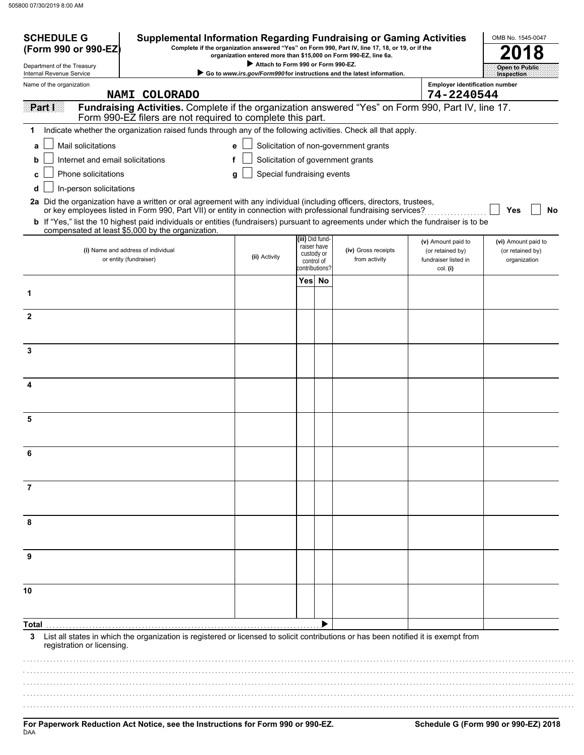| <b>SCHEDULE G</b>                                      | <b>Supplemental Information Regarding Fundraising or Gaming Activities</b>                                                                                                                                                               |                                    |                           |                              |                                                                       |                                        | OMB No. 1545-0047                       |
|--------------------------------------------------------|------------------------------------------------------------------------------------------------------------------------------------------------------------------------------------------------------------------------------------------|------------------------------------|---------------------------|------------------------------|-----------------------------------------------------------------------|----------------------------------------|-----------------------------------------|
| (Form 990 or 990-EZ)                                   | Complete if the organization answered "Yes" on Form 990, Part IV, line 17, 18, or 19, or if the<br>organization entered more than \$15,000 on Form 990-EZ, line 6a.                                                                      |                                    |                           |                              |                                                                       |                                        |                                         |
| Department of the Treasury<br>Internal Revenue Service |                                                                                                                                                                                                                                          | Attach to Form 990 or Form 990-EZ. |                           |                              | Go to www.irs.gov/Form990for instructions and the latest information. |                                        | Open to Public                          |
| Name of the organization                               |                                                                                                                                                                                                                                          |                                    |                           |                              |                                                                       | <b>Employer identification number</b>  | Inspection:                             |
|                                                        | NAMI COLORADO                                                                                                                                                                                                                            |                                    |                           |                              |                                                                       | 74-2240544                             |                                         |
| Part I                                                 | Fundraising Activities. Complete if the organization answered "Yes" on Form 990, Part IV, line 17.<br>Form 990-EZ filers are not required to complete this part.                                                                         |                                    |                           |                              |                                                                       |                                        |                                         |
| 1                                                      | Indicate whether the organization raised funds through any of the following activities. Check all that apply.                                                                                                                            |                                    |                           |                              |                                                                       |                                        |                                         |
| Mail solicitations<br>a                                |                                                                                                                                                                                                                                          | e                                  |                           |                              | Solicitation of non-government grants                                 |                                        |                                         |
| Internet and email solicitations<br>b                  |                                                                                                                                                                                                                                          |                                    |                           |                              | Solicitation of government grants                                     |                                        |                                         |
| Phone solicitations<br>c                               |                                                                                                                                                                                                                                          | Special fundraising events<br>g    |                           |                              |                                                                       |                                        |                                         |
| In-person solicitations<br>d                           |                                                                                                                                                                                                                                          |                                    |                           |                              |                                                                       |                                        |                                         |
|                                                        | 2a Did the organization have a written or oral agreement with any individual (including officers, directors, trustees,<br>or key employees listed in Form 990, Part VII) or entity in connection with professional fundraising services? |                                    |                           |                              |                                                                       |                                        | Yes<br>No                               |
|                                                        | b If "Yes," list the 10 highest paid individuals or entities (fundraisers) pursuant to agreements under which the fundraiser is to be                                                                                                    |                                    |                           |                              |                                                                       |                                        |                                         |
|                                                        | compensated at least \$5,000 by the organization.                                                                                                                                                                                        |                                    |                           | (iii) Did fund-              |                                                                       |                                        |                                         |
|                                                        | (i) Name and address of individual                                                                                                                                                                                                       |                                    | raiser have<br>custody or |                              | (iv) Gross receipts                                                   | (v) Amount paid to<br>(or retained by) | (vi) Amount paid to<br>(or retained by) |
|                                                        | or entity (fundraiser)                                                                                                                                                                                                                   | (ii) Activity                      |                           | control of<br>contributions? | from activity                                                         | fundraiser listed in<br>col. (i)       | organization                            |
|                                                        |                                                                                                                                                                                                                                          |                                    |                           | Yes No                       |                                                                       |                                        |                                         |
| 1                                                      |                                                                                                                                                                                                                                          |                                    |                           |                              |                                                                       |                                        |                                         |
|                                                        |                                                                                                                                                                                                                                          |                                    |                           |                              |                                                                       |                                        |                                         |
| $\mathbf{2}$                                           |                                                                                                                                                                                                                                          |                                    |                           |                              |                                                                       |                                        |                                         |
|                                                        |                                                                                                                                                                                                                                          |                                    |                           |                              |                                                                       |                                        |                                         |
| 3                                                      |                                                                                                                                                                                                                                          |                                    |                           |                              |                                                                       |                                        |                                         |
|                                                        |                                                                                                                                                                                                                                          |                                    |                           |                              |                                                                       |                                        |                                         |
| 4                                                      |                                                                                                                                                                                                                                          |                                    |                           |                              |                                                                       |                                        |                                         |
|                                                        |                                                                                                                                                                                                                                          |                                    |                           |                              |                                                                       |                                        |                                         |
|                                                        |                                                                                                                                                                                                                                          |                                    |                           |                              |                                                                       |                                        |                                         |
| 5                                                      |                                                                                                                                                                                                                                          |                                    |                           |                              |                                                                       |                                        |                                         |
|                                                        |                                                                                                                                                                                                                                          |                                    |                           |                              |                                                                       |                                        |                                         |
| 6                                                      |                                                                                                                                                                                                                                          |                                    |                           |                              |                                                                       |                                        |                                         |
|                                                        |                                                                                                                                                                                                                                          |                                    |                           |                              |                                                                       |                                        |                                         |
|                                                        |                                                                                                                                                                                                                                          |                                    |                           |                              |                                                                       |                                        |                                         |
| 7                                                      |                                                                                                                                                                                                                                          |                                    |                           |                              |                                                                       |                                        |                                         |
|                                                        |                                                                                                                                                                                                                                          |                                    |                           |                              |                                                                       |                                        |                                         |
| 8                                                      |                                                                                                                                                                                                                                          |                                    |                           |                              |                                                                       |                                        |                                         |
|                                                        |                                                                                                                                                                                                                                          |                                    |                           |                              |                                                                       |                                        |                                         |
| 9                                                      |                                                                                                                                                                                                                                          |                                    |                           |                              |                                                                       |                                        |                                         |
|                                                        |                                                                                                                                                                                                                                          |                                    |                           |                              |                                                                       |                                        |                                         |
|                                                        |                                                                                                                                                                                                                                          |                                    |                           |                              |                                                                       |                                        |                                         |
| 10                                                     |                                                                                                                                                                                                                                          |                                    |                           |                              |                                                                       |                                        |                                         |
|                                                        |                                                                                                                                                                                                                                          |                                    |                           |                              |                                                                       |                                        |                                         |
| Total                                                  |                                                                                                                                                                                                                                          |                                    |                           |                              |                                                                       |                                        |                                         |
| 3<br>registration or licensing.                        | List all states in which the organization is registered or licensed to solicit contributions or has been notified it is exempt from                                                                                                      |                                    |                           |                              |                                                                       |                                        |                                         |
|                                                        |                                                                                                                                                                                                                                          |                                    |                           |                              |                                                                       |                                        |                                         |
|                                                        |                                                                                                                                                                                                                                          |                                    |                           |                              |                                                                       |                                        |                                         |
|                                                        |                                                                                                                                                                                                                                          |                                    |                           |                              |                                                                       |                                        |                                         |
|                                                        |                                                                                                                                                                                                                                          |                                    |                           |                              |                                                                       |                                        |                                         |
|                                                        |                                                                                                                                                                                                                                          |                                    |                           |                              |                                                                       |                                        |                                         |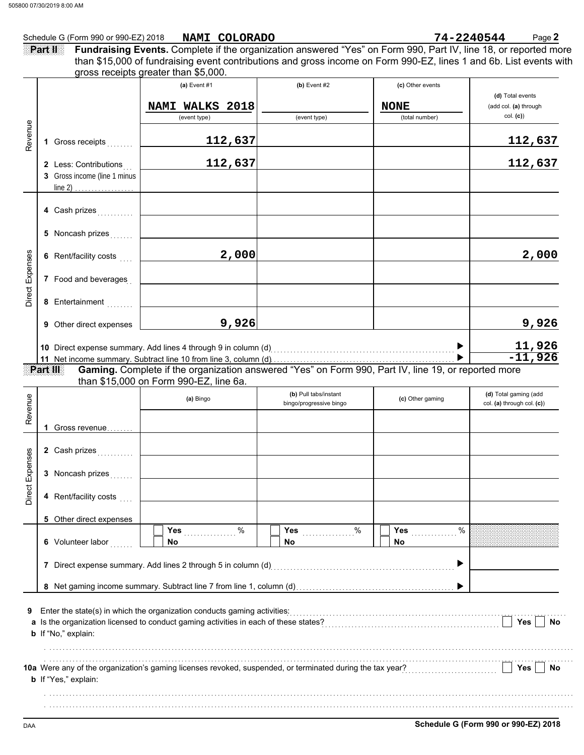|                        | Schedule G (Form 990 or 990-EZ) 2018<br>Part II                    | NAMI COLORADO<br>Fundraising Events. Complete if the organization answered "Yes" on Form 990, Part IV, line 18, or reported more<br>than \$15,000 of fundraising event contributions and gross income on Form 990-EZ, lines 1 and 6b. List events with<br>gross receipts greater than \$5,000. |                                                  |                               | 74-2240544<br>Page 2                                |
|------------------------|--------------------------------------------------------------------|------------------------------------------------------------------------------------------------------------------------------------------------------------------------------------------------------------------------------------------------------------------------------------------------|--------------------------------------------------|-------------------------------|-----------------------------------------------------|
|                        |                                                                    | (a) Event $#1$                                                                                                                                                                                                                                                                                 | $(b)$ Event #2                                   | (c) Other events              | (d) Total events                                    |
| Revenue                |                                                                    | NAMI WALKS 2018<br>(event type)                                                                                                                                                                                                                                                                | (event type)                                     | <b>NONE</b><br>(total number) | (add col. (a) through<br>col. (c)                   |
|                        | 1 Gross receipts                                                   | 112,637                                                                                                                                                                                                                                                                                        |                                                  |                               | 112,637                                             |
|                        | 2 Less: Contributions<br>3 Gross income (line 1 minus<br>$line 2)$ | 112,637                                                                                                                                                                                                                                                                                        |                                                  |                               | 112,637                                             |
|                        | 4 Cash prizes                                                      |                                                                                                                                                                                                                                                                                                |                                                  |                               |                                                     |
|                        | 5 Noncash prizes                                                   |                                                                                                                                                                                                                                                                                                |                                                  |                               |                                                     |
|                        | 6 Rent/facility costs                                              | 2,000                                                                                                                                                                                                                                                                                          |                                                  |                               | 2,000                                               |
|                        | 7 Food and beverages                                               |                                                                                                                                                                                                                                                                                                |                                                  |                               |                                                     |
| <b>Direct Expenses</b> | 8 Entertainment                                                    |                                                                                                                                                                                                                                                                                                |                                                  |                               |                                                     |
|                        | 9 Other direct expenses                                            | 9,926                                                                                                                                                                                                                                                                                          |                                                  |                               | 9,926                                               |
|                        | Part III                                                           | 10 Direct expense summary. Add lines 4 through 9 in column (d)<br>11 Net income summary. Subtract line 10 from line 3, column (d)<br>than \$15,000 on Form 990-EZ, line 6a.                                                                                                                    |                                                  |                               | <u>11,926</u><br>$-11,926$                          |
|                        |                                                                    | (a) Bingo                                                                                                                                                                                                                                                                                      | (b) Pull tabs/instant<br>bingo/progressive bingo | (c) Other gaming              | (d) Total gaming (add<br>col. (a) through col. (c)) |
|                        | Gross revenue<br>1                                                 |                                                                                                                                                                                                                                                                                                |                                                  |                               |                                                     |
|                        | 2 Cash prizes                                                      |                                                                                                                                                                                                                                                                                                |                                                  |                               |                                                     |
|                        | 3 Noncash prizes                                                   |                                                                                                                                                                                                                                                                                                |                                                  |                               |                                                     |
|                        | 4 Rent/facility costs                                              |                                                                                                                                                                                                                                                                                                |                                                  |                               |                                                     |
|                        | 5 Other direct expenses                                            |                                                                                                                                                                                                                                                                                                |                                                  |                               |                                                     |
|                        |                                                                    | $\%$<br><b>Yes</b><br>No                                                                                                                                                                                                                                                                       | $\frac{96}{100}$<br>Yes<br>No                    | $\%$<br><b>Yes</b><br>No      |                                                     |
|                        | 6 Volunteer labor                                                  |                                                                                                                                                                                                                                                                                                |                                                  |                               |                                                     |
|                        |                                                                    | 7 Direct expense summary. Add lines 2 through 5 in column (d)                                                                                                                                                                                                                                  |                                                  |                               |                                                     |

| 10a Were any of the organization's gaming licenses revoked, suspended, or terminated during the tax year?<br><b>b</b> If "Yes," explain: | Yes<br>.No |
|------------------------------------------------------------------------------------------------------------------------------------------|------------|
|                                                                                                                                          |            |
|                                                                                                                                          |            |

**b** If "No," explain: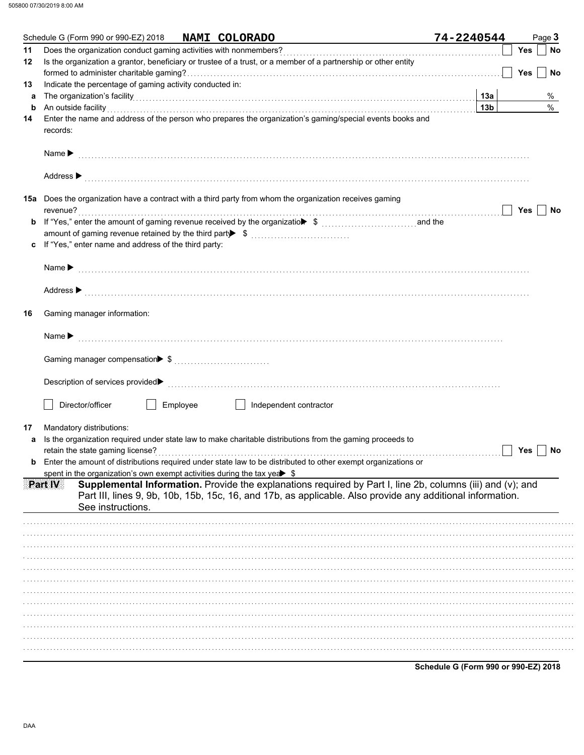|                            | Schedule G (Form 990 or 990-EZ) 2018 NAMI COLORADO                       |          |                        |                                                                                                                                                                                                                                              | 74-2240544                           | Page 3           |
|----------------------------|--------------------------------------------------------------------------|----------|------------------------|----------------------------------------------------------------------------------------------------------------------------------------------------------------------------------------------------------------------------------------------|--------------------------------------|------------------|
| 11                         | Does the organization conduct gaming activities with nonmembers?         |          |                        |                                                                                                                                                                                                                                              |                                      | Yes<br>No        |
| 12                         |                                                                          |          |                        | Is the organization a grantor, beneficiary or trustee of a trust, or a member of a partnership or other entity                                                                                                                               |                                      |                  |
|                            |                                                                          |          |                        |                                                                                                                                                                                                                                              |                                      | <b>Yes</b><br>No |
| 13                         | Indicate the percentage of gaming activity conducted in:                 |          |                        |                                                                                                                                                                                                                                              |                                      |                  |
| а                          |                                                                          |          |                        | The organization's facility entertainment and the organization's facility of the organization's facility                                                                                                                                     | 13а                                  | %                |
| b                          | An outside facility                                                      |          |                        |                                                                                                                                                                                                                                              | 13 <sub>b</sub>                      | $\%$             |
| 14                         |                                                                          |          |                        | Enter the name and address of the person who prepares the organization's gaming/special events books and                                                                                                                                     |                                      |                  |
| records:                   |                                                                          |          |                        |                                                                                                                                                                                                                                              |                                      |                  |
| Name $\blacktriangleright$ |                                                                          |          |                        |                                                                                                                                                                                                                                              |                                      |                  |
|                            |                                                                          |          |                        | Address $\blacktriangleright$ [10] and the contract of the contract of the contract of the contract of the contract of the contract of the contract of the contract of the contract of the contract of the contract of the contract of the c |                                      |                  |
|                            |                                                                          |          |                        | <b>15a</b> Does the organization have a contract with a third party from whom the organization receives gaming                                                                                                                               |                                      |                  |
| revenue?                   |                                                                          |          |                        |                                                                                                                                                                                                                                              |                                      | Yes<br>No        |
|                            |                                                                          |          |                        |                                                                                                                                                                                                                                              |                                      |                  |
|                            |                                                                          |          |                        |                                                                                                                                                                                                                                              |                                      |                  |
|                            | If "Yes," enter name and address of the third party:                     |          |                        |                                                                                                                                                                                                                                              |                                      |                  |
|                            |                                                                          |          |                        |                                                                                                                                                                                                                                              |                                      |                  |
|                            |                                                                          |          |                        | Address $\blacktriangleright$ [10] and the contract of the contract of the contract of the contract of the contract of the contract of the contract of the contract of the contract of the contract of the contract of the contract of the c |                                      |                  |
| 16                         | Gaming manager information:                                              |          |                        |                                                                                                                                                                                                                                              |                                      |                  |
| Name $\blacktriangleright$ |                                                                          |          |                        |                                                                                                                                                                                                                                              |                                      |                  |
|                            |                                                                          |          |                        |                                                                                                                                                                                                                                              |                                      |                  |
|                            |                                                                          |          |                        | Description of services provided vertex contracts and contracts of the contracts of the contracts of the contracts of the contracts of the contracts of the contracts of the contracts of the contracts of the contracts of th               |                                      |                  |
|                            |                                                                          |          |                        |                                                                                                                                                                                                                                              |                                      |                  |
|                            | Director/officer                                                         | Employee | Independent contractor |                                                                                                                                                                                                                                              |                                      |                  |
| 17                         | Mandatory distributions:                                                 |          |                        |                                                                                                                                                                                                                                              |                                      |                  |
|                            |                                                                          |          |                        | Is the organization required under state law to make charitable distributions from the gaming proceeds to                                                                                                                                    |                                      |                  |
|                            |                                                                          |          |                        |                                                                                                                                                                                                                                              |                                      | Yes<br>No        |
|                            |                                                                          |          |                        | Enter the amount of distributions required under state law to be distributed to other exempt organizations or                                                                                                                                |                                      |                  |
|                            |                                                                          |          |                        |                                                                                                                                                                                                                                              |                                      |                  |
| Part IV                    | spent in the organization's own exempt activities during the tax yea> \$ |          |                        | Supplemental Information. Provide the explanations required by Part I, line 2b, columns (iii) and (v); and                                                                                                                                   |                                      |                  |
|                            |                                                                          |          |                        | Part III, lines 9, 9b, 10b, 15b, 15c, 16, and 17b, as applicable. Also provide any additional information.                                                                                                                                   |                                      |                  |
|                            | See instructions.                                                        |          |                        |                                                                                                                                                                                                                                              |                                      |                  |
|                            |                                                                          |          |                        |                                                                                                                                                                                                                                              |                                      |                  |
|                            |                                                                          |          |                        |                                                                                                                                                                                                                                              |                                      |                  |
|                            |                                                                          |          |                        |                                                                                                                                                                                                                                              |                                      |                  |
|                            |                                                                          |          |                        |                                                                                                                                                                                                                                              |                                      |                  |
|                            |                                                                          |          |                        |                                                                                                                                                                                                                                              |                                      |                  |
|                            |                                                                          |          |                        |                                                                                                                                                                                                                                              |                                      |                  |
|                            |                                                                          |          |                        |                                                                                                                                                                                                                                              |                                      |                  |
|                            |                                                                          |          |                        |                                                                                                                                                                                                                                              |                                      |                  |
|                            |                                                                          |          |                        |                                                                                                                                                                                                                                              |                                      |                  |
|                            |                                                                          |          |                        |                                                                                                                                                                                                                                              | Schedule G (Form 990 or 990-EZ) 2018 |                  |
|                            |                                                                          |          |                        |                                                                                                                                                                                                                                              |                                      |                  |